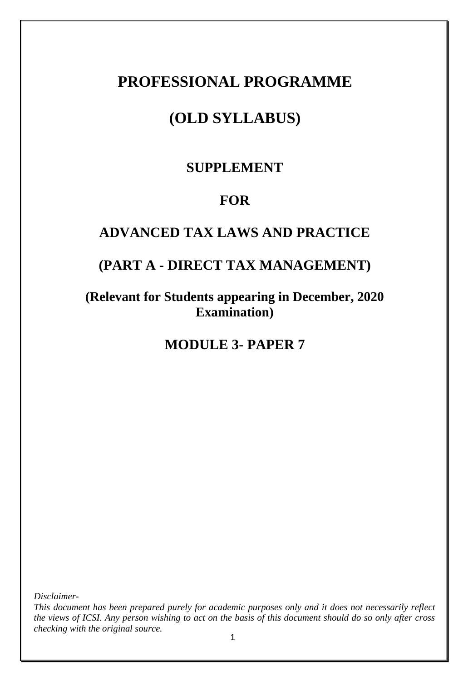# **PROFESSIONAL PROGRAMME**

# **(OLD SYLLABUS)**

# **SUPPLEMENT**

# **FOR**

# **ADVANCED TAX LAWS AND PRACTICE**

# **(PART A - DIRECT TAX MANAGEMENT)**

# **(Relevant for Students appearing in December, 2020 Examination)**

**MODULE 3- PAPER 7**

*Disclaimer-*

*This document has been prepared purely for academic purposes only and it does not necessarily reflect the views of ICSI. Any person wishing to act on the basis of this document should do so only after cross checking with the original source.*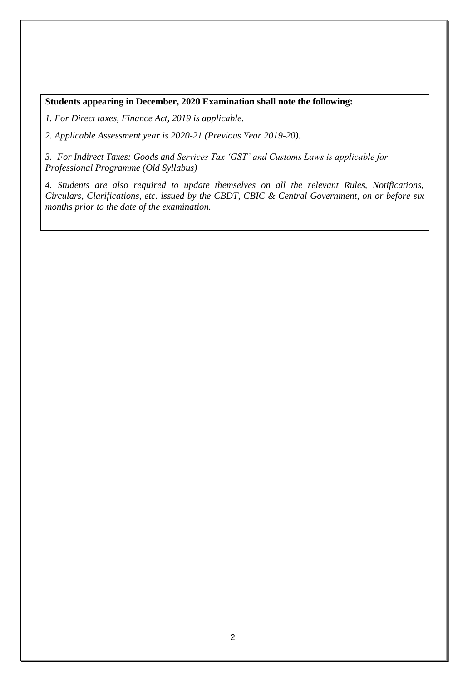#### **Students appearing in December, 2020 Examination shall note the following:**

*1. For Direct taxes, Finance Act, 2019 is applicable.*

*2. Applicable Assessment year is 2020-21 (Previous Year 2019-20).*

*3. For Indirect Taxes: Goods and Services Tax 'GST' and Customs Laws is applicable for Professional Programme (Old Syllabus)*

*4. Students are also required to update themselves on all the relevant Rules, Notifications, Circulars, Clarifications, etc. issued by the CBDT, CBIC & Central Government, on or before six months prior to the date of the examination.*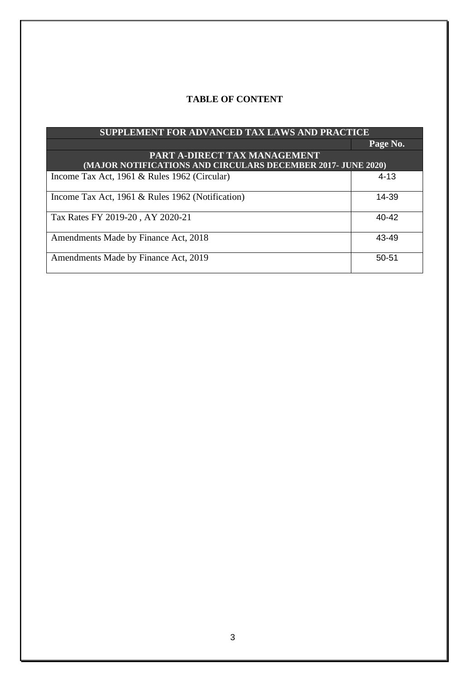### **TABLE OF CONTENT**

| SUPPLEMENT FOR ADVANCED TAX LAWS AND PRACTICE                |           |  |
|--------------------------------------------------------------|-----------|--|
|                                                              | Page No.  |  |
| PART A-DIRECT TAX MANAGEMENT                                 |           |  |
| (MAJOR NOTIFICATIONS AND CIRCULARS DECEMBER 2017- JUNE 2020) |           |  |
| Income Tax Act, 1961 & Rules 1962 (Circular)                 | $4 - 13$  |  |
|                                                              |           |  |
| Income Tax Act, 1961 & Rules 1962 (Notification)             | 14-39     |  |
|                                                              |           |  |
| Tax Rates FY 2019-20, AY 2020-21                             | 40-42     |  |
|                                                              |           |  |
| Amendments Made by Finance Act, 2018                         | 43-49     |  |
|                                                              |           |  |
| Amendments Made by Finance Act, 2019                         | $50 - 51$ |  |
|                                                              |           |  |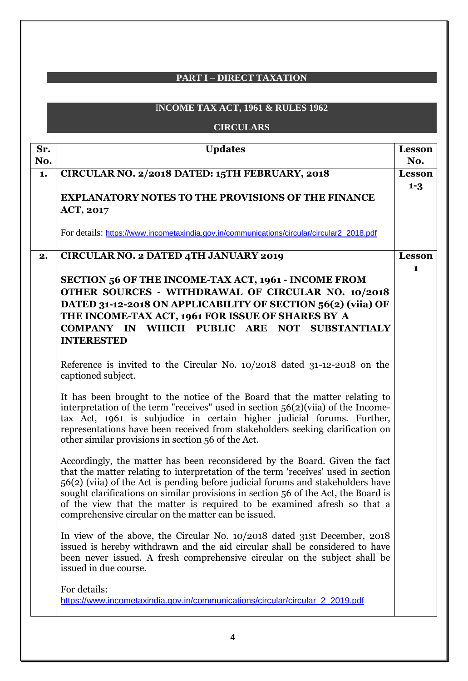## **PART I – DIRECT TAXATION**

## I**NCOME TAX ACT, 1961 & RULES 1962**

## **CIRCULARS**

| Sr.<br>No. | <b>Updates</b>                                                                                                                                                                                                                                                                                                                                                                                                                                                             | <b>Lesson</b><br>No. |
|------------|----------------------------------------------------------------------------------------------------------------------------------------------------------------------------------------------------------------------------------------------------------------------------------------------------------------------------------------------------------------------------------------------------------------------------------------------------------------------------|----------------------|
| 1.         | CIRCULAR NO. 2/2018 DATED: 15TH FEBRUARY, 2018                                                                                                                                                                                                                                                                                                                                                                                                                             | <b>Lesson</b>        |
|            | <b>EXPLANATORY NOTES TO THE PROVISIONS OF THE FINANCE</b><br><b>ACT, 2017</b>                                                                                                                                                                                                                                                                                                                                                                                              | $1 - 3$              |
|            | For details: https://www.incometaxindia.gov.in/communications/circular/circular2_2018.pdf                                                                                                                                                                                                                                                                                                                                                                                  |                      |
| 2.         | <b>CIRCULAR NO. 2 DATED 4TH JANUARY 2019</b>                                                                                                                                                                                                                                                                                                                                                                                                                               | <b>Lesson</b>        |
|            | SECTION 56 OF THE INCOME-TAX ACT, 1961 - INCOME FROM<br>OTHER SOURCES - WITHDRAWAL OF CIRCULAR NO. 10/2018<br>DATED 31-12-2018 ON APPLICABILITY OF SECTION 56(2) (viia) OF<br>THE INCOME-TAX ACT, 1961 FOR ISSUE OF SHARES BY A<br>COMPANY IN WHICH PUBLIC ARE NOT SUBSTANTIALY<br><b>INTERESTED</b>                                                                                                                                                                       | 1                    |
|            | Reference is invited to the Circular No. 10/2018 dated 31-12-2018 on the<br>captioned subject.                                                                                                                                                                                                                                                                                                                                                                             |                      |
|            | It has been brought to the notice of the Board that the matter relating to<br>interpretation of the term "receives" used in section $56(2)$ (viia) of the Income-<br>tax Act, 1961 is subjudice in certain higher judicial forums. Further,<br>representations have been received from stakeholders seeking clarification on<br>other similar provisions in section 56 of the Act.                                                                                         |                      |
|            | Accordingly, the matter has been reconsidered by the Board. Given the fact<br>that the matter relating to interpretation of the term 'receives' used in section<br>56(2) (viia) of the Act is pending before judicial forums and stakeholders have<br>sought clarifications on similar provisions in section 56 of the Act, the Board is<br>of the view that the matter is required to be examined afresh so that a<br>comprehensive circular on the matter can be issued. |                      |
|            | In view of the above, the Circular No. 10/2018 dated 31st December, 2018<br>issued is hereby withdrawn and the aid circular shall be considered to have<br>been never issued. A fresh comprehensive circular on the subject shall be<br>issued in due course.                                                                                                                                                                                                              |                      |
|            | For details:<br>https://www.incometaxindia.gov.in/communications/circular/circular_2_2019.pdf                                                                                                                                                                                                                                                                                                                                                                              |                      |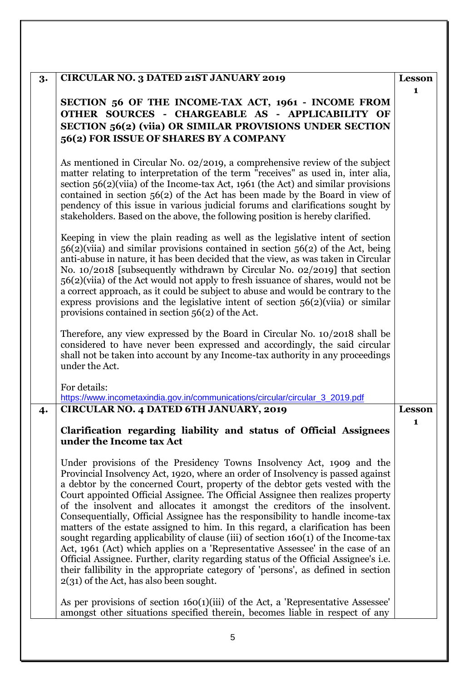| 3. | CIRCULAR NO. 3 DATED 21ST JANUARY 2019                                                                                                                                                                                                                                                                                                                                                                                                                                                                                                                                                                                                                                                                                                                                                                                                                                                                                                                                            | <b>Lesson</b> |
|----|-----------------------------------------------------------------------------------------------------------------------------------------------------------------------------------------------------------------------------------------------------------------------------------------------------------------------------------------------------------------------------------------------------------------------------------------------------------------------------------------------------------------------------------------------------------------------------------------------------------------------------------------------------------------------------------------------------------------------------------------------------------------------------------------------------------------------------------------------------------------------------------------------------------------------------------------------------------------------------------|---------------|
|    | SECTION 56 OF THE INCOME-TAX ACT, 1961 - INCOME FROM<br>OTHER SOURCES - CHARGEABLE AS - APPLICABILITY OF<br>SECTION 56(2) (viia) OR SIMILAR PROVISIONS UNDER SECTION<br>56(2) FOR ISSUE OF SHARES BY A COMPANY                                                                                                                                                                                                                                                                                                                                                                                                                                                                                                                                                                                                                                                                                                                                                                    | 1             |
|    | As mentioned in Circular No. 02/2019, a comprehensive review of the subject<br>matter relating to interpretation of the term "receives" as used in, inter alia,<br>section $56(2)$ (viia) of the Income-tax Act, 1961 (the Act) and similar provisions<br>contained in section $56(2)$ of the Act has been made by the Board in view of<br>pendency of this issue in various judicial forums and clarifications sought by<br>stakeholders. Based on the above, the following position is hereby clarified.                                                                                                                                                                                                                                                                                                                                                                                                                                                                        |               |
|    | Keeping in view the plain reading as well as the legislative intent of section<br>$56(2)$ (viia) and similar provisions contained in section $56(2)$ of the Act, being<br>anti-abuse in nature, it has been decided that the view, as was taken in Circular<br>No. 10/2018 [subsequently withdrawn by Circular No. 02/2019] that section<br>56(2)(viia) of the Act would not apply to fresh issuance of shares, would not be<br>a correct approach, as it could be subject to abuse and would be contrary to the<br>express provisions and the legislative intent of section $56(2)$ (viia) or similar<br>provisions contained in section $56(2)$ of the Act.                                                                                                                                                                                                                                                                                                                     |               |
|    | Therefore, any view expressed by the Board in Circular No. 10/2018 shall be<br>considered to have never been expressed and accordingly, the said circular<br>shall not be taken into account by any Income-tax authority in any proceedings<br>under the Act.                                                                                                                                                                                                                                                                                                                                                                                                                                                                                                                                                                                                                                                                                                                     |               |
| 4. | For details:<br>https://www.incometaxindia.gov.in/communications/circular/circular 3 2019.pdf<br>CIRCULAR NO. 4 DATED 6TH JANUARY, 2019                                                                                                                                                                                                                                                                                                                                                                                                                                                                                                                                                                                                                                                                                                                                                                                                                                           | <b>Lesson</b> |
|    | Clarification regarding liability and status of Official Assignees<br>under the Income tax Act                                                                                                                                                                                                                                                                                                                                                                                                                                                                                                                                                                                                                                                                                                                                                                                                                                                                                    | 1             |
|    | Under provisions of the Presidency Towns Insolvency Act, 1909 and the<br>Provincial Insolvency Act, 1920, where an order of Insolvency is passed against<br>a debtor by the concerned Court, property of the debtor gets vested with the<br>Court appointed Official Assignee. The Official Assignee then realizes property<br>of the insolvent and allocates it amongst the creditors of the insolvent.<br>Consequentially, Official Assignee has the responsibility to handle income-tax<br>matters of the estate assigned to him. In this regard, a clarification has been<br>sought regarding applicability of clause (iii) of section $160(1)$ of the Income-tax<br>Act, 1961 (Act) which applies on a 'Representative Assessee' in the case of an<br>Official Assignee. Further, clarity regarding status of the Official Assignee's i.e.<br>their fallibility in the appropriate category of 'persons', as defined in section<br>$2(31)$ of the Act, has also been sought. |               |
|    | As per provisions of section 160(1)(iii) of the Act, a 'Representative Assessee'<br>amongst other situations specified therein, becomes liable in respect of any                                                                                                                                                                                                                                                                                                                                                                                                                                                                                                                                                                                                                                                                                                                                                                                                                  |               |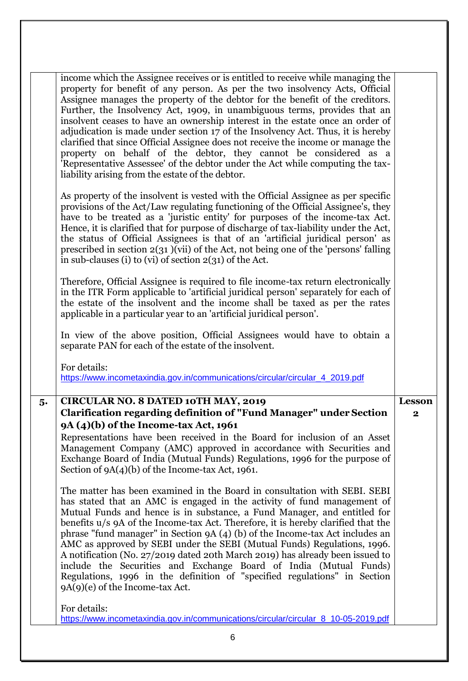|    | income which the Assignee receives or is entitled to receive while managing the<br>property for benefit of any person. As per the two insolvency Acts, Official<br>Assignee manages the property of the debtor for the benefit of the creditors.<br>Further, the Insolvency Act, 1909, in unambiguous terms, provides that an<br>insolvent ceases to have an ownership interest in the estate once an order of<br>adjudication is made under section 17 of the Insolvency Act. Thus, it is hereby<br>clarified that since Official Assignee does not receive the income or manage the<br>property on behalf of the debtor, they cannot be considered as a<br>'Representative Assessee' of the debtor under the Act while computing the tax-<br>liability arising from the estate of the debtor.                    |                         |
|----|--------------------------------------------------------------------------------------------------------------------------------------------------------------------------------------------------------------------------------------------------------------------------------------------------------------------------------------------------------------------------------------------------------------------------------------------------------------------------------------------------------------------------------------------------------------------------------------------------------------------------------------------------------------------------------------------------------------------------------------------------------------------------------------------------------------------|-------------------------|
|    | As property of the insolvent is vested with the Official Assignee as per specific<br>provisions of the Act/Law regulating functioning of the Official Assignee's, they<br>have to be treated as a 'juristic entity' for purposes of the income-tax Act.<br>Hence, it is clarified that for purpose of discharge of tax-liability under the Act,<br>the status of Official Assignees is that of an 'artificial juridical person' as<br>prescribed in section $2(31)(vii)$ of the Act, not being one of the 'persons' falling<br>in sub-clauses (i) to (vi) of section $2(31)$ of the Act.                                                                                                                                                                                                                           |                         |
|    | Therefore, Official Assignee is required to file income-tax return electronically<br>in the ITR Form applicable to 'artificial juridical person' separately for each of<br>the estate of the insolvent and the income shall be taxed as per the rates<br>applicable in a particular year to an 'artificial juridical person'.                                                                                                                                                                                                                                                                                                                                                                                                                                                                                      |                         |
|    | In view of the above position, Official Assignees would have to obtain a<br>separate PAN for each of the estate of the insolvent.                                                                                                                                                                                                                                                                                                                                                                                                                                                                                                                                                                                                                                                                                  |                         |
|    | For details:<br>https://www.incometaxindia.gov.in/communications/circular/circular_4_2019.pdf                                                                                                                                                                                                                                                                                                                                                                                                                                                                                                                                                                                                                                                                                                                      |                         |
| 5. | <b>CIRCULAR NO. 8 DATED 10TH MAY, 2019</b>                                                                                                                                                                                                                                                                                                                                                                                                                                                                                                                                                                                                                                                                                                                                                                         | <b>Lesson</b>           |
|    |                                                                                                                                                                                                                                                                                                                                                                                                                                                                                                                                                                                                                                                                                                                                                                                                                    |                         |
|    | <b>Clarification regarding definition of "Fund Manager" under Section</b>                                                                                                                                                                                                                                                                                                                                                                                                                                                                                                                                                                                                                                                                                                                                          | $\overline{\mathbf{2}}$ |
|    | 9A (4)(b) of the Income-tax Act, 1961<br>Representations have been received in the Board for inclusion of an Asset<br>Management Company (AMC) approved in accordance with Securities and<br>Exchange Board of India (Mutual Funds) Regulations, 1996 for the purpose of                                                                                                                                                                                                                                                                                                                                                                                                                                                                                                                                           |                         |
|    | Section of $9A(4)(b)$ of the Income-tax Act, 1961.<br>The matter has been examined in the Board in consultation with SEBI. SEBI<br>has stated that an AMC is engaged in the activity of fund management of<br>Mutual Funds and hence is in substance, a Fund Manager, and entitled for<br>benefits u/s 9A of the Income-tax Act. Therefore, it is hereby clarified that the<br>phrase "fund manager" in Section 9A $(4)$ (b) of the Income-tax Act includes an<br>AMC as approved by SEBI under the SEBI (Mutual Funds) Regulations, 1996.<br>A notification (No. 27/2019 dated 20th March 2019) has already been issued to<br>include the Securities and Exchange Board of India (Mutual Funds)<br>Regulations, 1996 in the definition of "specified regulations" in Section<br>$9A(9)(e)$ of the Income-tax Act. |                         |
|    | For details:                                                                                                                                                                                                                                                                                                                                                                                                                                                                                                                                                                                                                                                                                                                                                                                                       |                         |
|    | https://www.incometaxindia.gov.in/communications/circular/circular_8_10-05-2019.pdf<br>6                                                                                                                                                                                                                                                                                                                                                                                                                                                                                                                                                                                                                                                                                                                           |                         |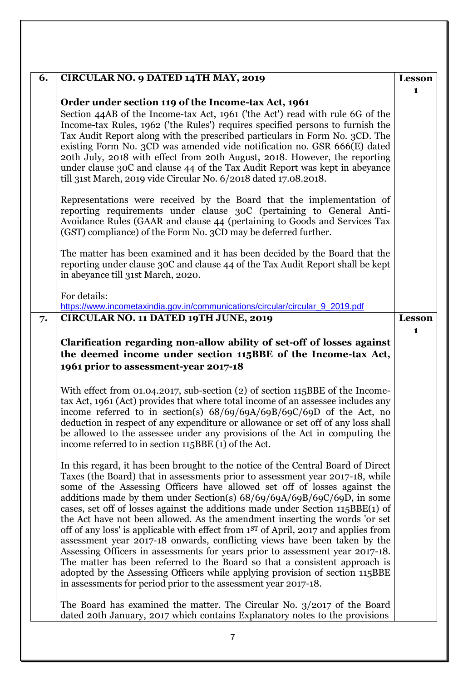| 6. | CIRCULAR NO. 9 DATED 14TH MAY, 2019                                                                                                                                                                                                                                                                                                                                                                                                                                                                                                                                                                                                                                                                                                                                                                                                                                                                                         | <b>Lesson</b>      |
|----|-----------------------------------------------------------------------------------------------------------------------------------------------------------------------------------------------------------------------------------------------------------------------------------------------------------------------------------------------------------------------------------------------------------------------------------------------------------------------------------------------------------------------------------------------------------------------------------------------------------------------------------------------------------------------------------------------------------------------------------------------------------------------------------------------------------------------------------------------------------------------------------------------------------------------------|--------------------|
|    | Order under section 119 of the Income-tax Act, 1961                                                                                                                                                                                                                                                                                                                                                                                                                                                                                                                                                                                                                                                                                                                                                                                                                                                                         | 1                  |
|    | Section 44AB of the Income-tax Act, 1961 ('the Act') read with rule 6G of the<br>Income-tax Rules, 1962 ('the Rules') requires specified persons to furnish the<br>Tax Audit Report along with the prescribed particulars in Form No. 3CD. The<br>existing Form No. 3CD was amended vide notification no. GSR 666(E) dated<br>20th July, 2018 with effect from 20th August, 2018. However, the reporting<br>under clause 30C and clause 44 of the Tax Audit Report was kept in abeyance<br>till 31st March, 2019 vide Circular No. 6/2018 dated 17.08.2018.                                                                                                                                                                                                                                                                                                                                                                 |                    |
|    | Representations were received by the Board that the implementation of<br>reporting requirements under clause 30C (pertaining to General Anti-<br>Avoidance Rules (GAAR and clause 44 (pertaining to Goods and Services Tax<br>(GST) compliance) of the Form No. 3CD may be deferred further.                                                                                                                                                                                                                                                                                                                                                                                                                                                                                                                                                                                                                                |                    |
|    | The matter has been examined and it has been decided by the Board that the<br>reporting under clause 30C and clause 44 of the Tax Audit Report shall be kept<br>in abeyance till 31st March, 2020.                                                                                                                                                                                                                                                                                                                                                                                                                                                                                                                                                                                                                                                                                                                          |                    |
|    | For details:<br>https://www.incometaxindia.gov.in/communications/circular/circular_9_2019.pdf                                                                                                                                                                                                                                                                                                                                                                                                                                                                                                                                                                                                                                                                                                                                                                                                                               |                    |
| 7. | CIRCULAR NO. 11 DATED 19TH JUNE, 2019                                                                                                                                                                                                                                                                                                                                                                                                                                                                                                                                                                                                                                                                                                                                                                                                                                                                                       | <b>Lesson</b><br>1 |
|    | Clarification regarding non-allow ability of set-off of losses against                                                                                                                                                                                                                                                                                                                                                                                                                                                                                                                                                                                                                                                                                                                                                                                                                                                      |                    |
|    | the deemed income under section 115BBE of the Income-tax Act,                                                                                                                                                                                                                                                                                                                                                                                                                                                                                                                                                                                                                                                                                                                                                                                                                                                               |                    |
|    | 1961 prior to assessment-year 2017-18                                                                                                                                                                                                                                                                                                                                                                                                                                                                                                                                                                                                                                                                                                                                                                                                                                                                                       |                    |
|    | With effect from 01.04.2017, sub-section (2) of section 115BBE of the Income-<br>tax Act, 1961 (Act) provides that where total income of an assessee includes any<br>income referred to in section(s) $68/69/69A/69B/69C/69D$ of the Act, no<br>deduction in respect of any expenditure or allowance or set off of any loss shall<br>be allowed to the assessee under any provisions of the Act in computing the<br>income referred to in section 115BBE (1) of the Act.                                                                                                                                                                                                                                                                                                                                                                                                                                                    |                    |
|    | In this regard, it has been brought to the notice of the Central Board of Direct<br>Taxes (the Board) that in assessments prior to assessment year 2017-18, while<br>some of the Assessing Officers have allowed set off of losses against the<br>additions made by them under Section(s) $68/69/69A/69B/69C/69D$ , in some<br>cases, set off of losses against the additions made under Section 115BBE(1) of<br>the Act have not been allowed. As the amendment inserting the words 'or set<br>off of any loss' is applicable with effect from 1 <sup>ST</sup> of April, 2017 and applies from<br>assessment year 2017-18 onwards, conflicting views have been taken by the<br>Assessing Officers in assessments for years prior to assessment year 2017-18.<br>The matter has been referred to the Board so that a consistent approach is<br>adopted by the Assessing Officers while applying provision of section 115BBE |                    |
|    | in assessments for period prior to the assessment year 2017-18.<br>The Board has examined the matter. The Circular No. $3/2017$ of the Board                                                                                                                                                                                                                                                                                                                                                                                                                                                                                                                                                                                                                                                                                                                                                                                |                    |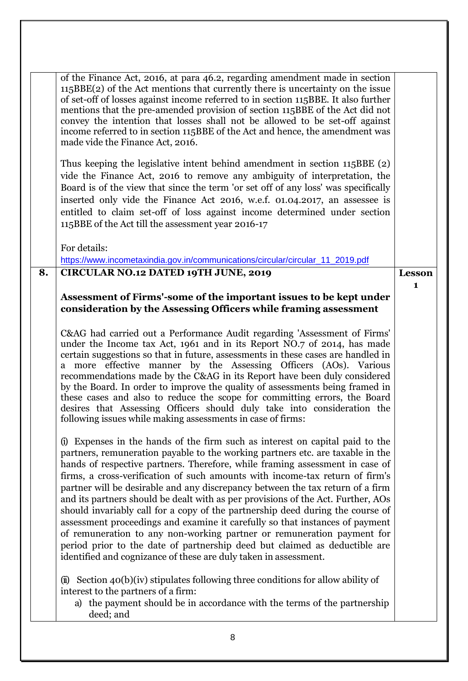| of the Finance Act, 2016, at para 46.2, regarding amendment made in section<br>$115BBE(2)$ of the Act mentions that currently there is uncertainty on the issue<br>of set-off of losses against income referred to in section 115BBE. It also further<br>mentions that the pre-amended provision of section 115BBE of the Act did not<br>convey the intention that losses shall not be allowed to be set-off against<br>income referred to in section 115BBE of the Act and hence, the amendment was<br>made vide the Finance Act, 2016.                                                                                                                                                                                                                                                                                                                                                               |              |
|--------------------------------------------------------------------------------------------------------------------------------------------------------------------------------------------------------------------------------------------------------------------------------------------------------------------------------------------------------------------------------------------------------------------------------------------------------------------------------------------------------------------------------------------------------------------------------------------------------------------------------------------------------------------------------------------------------------------------------------------------------------------------------------------------------------------------------------------------------------------------------------------------------|--------------|
| Thus keeping the legislative intent behind amendment in section 115BBE (2)<br>vide the Finance Act, 2016 to remove any ambiguity of interpretation, the<br>Board is of the view that since the term 'or set off of any loss' was specifically<br>inserted only vide the Finance Act 2016, w.e.f. 01.04.2017, an assessee is<br>entitled to claim set-off of loss against income determined under section<br>115BBE of the Act till the assessment year 2016-17                                                                                                                                                                                                                                                                                                                                                                                                                                         |              |
| For details:                                                                                                                                                                                                                                                                                                                                                                                                                                                                                                                                                                                                                                                                                                                                                                                                                                                                                           |              |
| https://www.incometaxindia.gov.in/communications/circular/circular_11_2019.pdf                                                                                                                                                                                                                                                                                                                                                                                                                                                                                                                                                                                                                                                                                                                                                                                                                         |              |
| <b>CIRCULAR NO.12 DATED 19TH JUNE, 2019</b><br>8.                                                                                                                                                                                                                                                                                                                                                                                                                                                                                                                                                                                                                                                                                                                                                                                                                                                      | Lesson       |
|                                                                                                                                                                                                                                                                                                                                                                                                                                                                                                                                                                                                                                                                                                                                                                                                                                                                                                        | $\mathbf{1}$ |
| Assessment of Firms'-some of the important issues to be kept under<br>consideration by the Assessing Officers while framing assessment                                                                                                                                                                                                                                                                                                                                                                                                                                                                                                                                                                                                                                                                                                                                                                 |              |
|                                                                                                                                                                                                                                                                                                                                                                                                                                                                                                                                                                                                                                                                                                                                                                                                                                                                                                        |              |
| C&AG had carried out a Performance Audit regarding 'Assessment of Firms'<br>under the Income tax Act, 1961 and in its Report NO.7 of 2014, has made<br>certain suggestions so that in future, assessments in these cases are handled in<br>a more effective manner by the Assessing Officers (AOs). Various<br>recommendations made by the C&AG in its Report have been duly considered<br>by the Board. In order to improve the quality of assessments being framed in<br>these cases and also to reduce the scope for committing errors, the Board<br>desires that Assessing Officers should duly take into consideration the<br>following issues while making assessments in case of firms:                                                                                                                                                                                                         |              |
| Expenses in the hands of the firm such as interest on capital paid to the<br>(i)<br>partners, remuneration payable to the working partners etc. are taxable in the<br>hands of respective partners. Therefore, while framing assessment in case of<br>firms, a cross-verification of such amounts with income-tax return of firm's<br>partner will be desirable and any discrepancy between the tax return of a firm<br>and its partners should be dealt with as per provisions of the Act. Further, AOs<br>should invariably call for a copy of the partnership deed during the course of<br>assessment proceedings and examine it carefully so that instances of payment<br>of remuneration to any non-working partner or remuneration payment for<br>period prior to the date of partnership deed but claimed as deductible are<br>identified and cognizance of these are duly taken in assessment. |              |
| $(i)$ Section 40(b)(iv) stipulates following three conditions for allow ability of<br>interest to the partners of a firm:<br>a) the payment should be in accordance with the terms of the partnership<br>deed; and                                                                                                                                                                                                                                                                                                                                                                                                                                                                                                                                                                                                                                                                                     |              |
| 8                                                                                                                                                                                                                                                                                                                                                                                                                                                                                                                                                                                                                                                                                                                                                                                                                                                                                                      |              |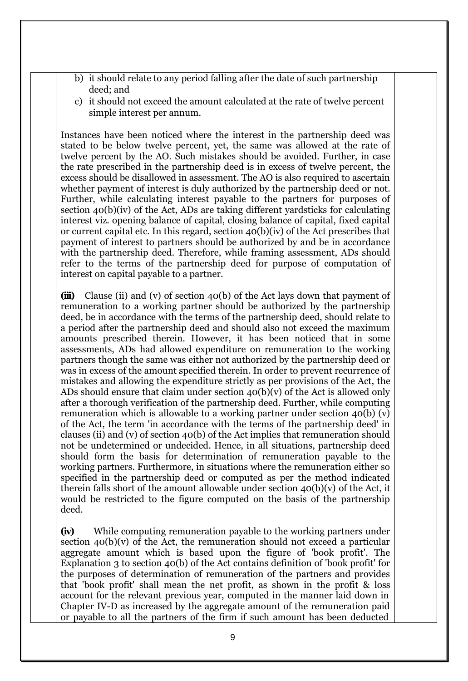- b) it should relate to any period falling after the date of such partnership deed; and
- c) it should not exceed the amount calculated at the rate of twelve percent simple interest per annum.

Instances have been noticed where the interest in the partnership deed was stated to be below twelve percent, yet, the same was allowed at the rate of twelve percent by the AO. Such mistakes should be avoided. Further, in case the rate prescribed in the partnership deed is in excess of twelve percent, the excess should be disallowed in assessment. The AO is also required to ascertain whether payment of interest is duly authorized by the partnership deed or not. Further, while calculating interest payable to the partners for purposes of section 40(b)(iv) of the Act, ADs are taking different yardsticks for calculating interest viz. opening balance of capital, closing balance of capital, fixed capital or current capital etc. In this regard, section 40(b)(iv) of the Act prescribes that payment of interest to partners should be authorized by and be in accordance with the partnership deed. Therefore, while framing assessment, ADs should refer to the terms of the partnership deed for purpose of computation of interest on capital payable to a partner.

**(iii)** Clause (ii) and (v) of section 40(b) of the Act lays down that payment of remuneration to a working partner should be authorized by the partnership deed, be in accordance with the terms of the partnership deed, should relate to a period after the partnership deed and should also not exceed the maximum amounts prescribed therein. However, it has been noticed that in some assessments, ADs had allowed expenditure on remuneration to the working partners though the same was either not authorized by the partnership deed or was in excess of the amount specified therein. In order to prevent recurrence of mistakes and allowing the expenditure strictly as per provisions of the Act, the ADs should ensure that claim under section  $40(b)(v)$  of the Act is allowed only after a thorough verification of the partnership deed. Further, while computing remuneration which is allowable to a working partner under section 40(b) (v) of the Act, the term 'in accordance with the terms of the partnership deed' in clauses (ii) and (v) of section 40(b) of the Act implies that remuneration should not be undetermined or undecided. Hence, in all situations, partnership deed should form the basis for determination of remuneration payable to the working partners. Furthermore, in situations where the remuneration either so specified in the partnership deed or computed as per the method indicated therein falls short of the amount allowable under section  $40(b)(v)$  of the Act, it would be restricted to the figure computed on the basis of the partnership deed.

**(iv)** While computing remuneration payable to the working partners under section  $40(b)(v)$  of the Act, the remuneration should not exceed a particular aggregate amount which is based upon the figure of 'book profit'. The Explanation 3 to section 40(b) of the Act contains definition of 'book profit' for the purposes of determination of remuneration of the partners and provides that 'book profit' shall mean the net profit, as shown in the profit & loss account for the relevant previous year, computed in the manner laid down in Chapter IV-D as increased by the aggregate amount of the remuneration paid or payable to all the partners of the firm if such amount has been deducted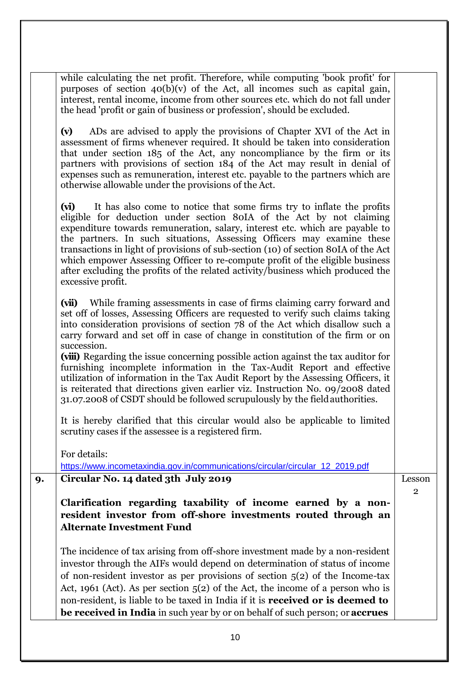|    | 10                                                                                                                                                                                                                                                                                                                                                                                                                                                                                                                                                                                                                                                                                                                                                                    |                        |
|----|-----------------------------------------------------------------------------------------------------------------------------------------------------------------------------------------------------------------------------------------------------------------------------------------------------------------------------------------------------------------------------------------------------------------------------------------------------------------------------------------------------------------------------------------------------------------------------------------------------------------------------------------------------------------------------------------------------------------------------------------------------------------------|------------------------|
|    | The incidence of tax arising from off-shore investment made by a non-resident<br>investor through the AIFs would depend on determination of status of income<br>of non-resident investor as per provisions of section $5(2)$ of the Income-tax<br>Act, 1961 (Act). As per section $5(2)$ of the Act, the income of a person who is<br>non-resident, is liable to be taxed in India if it is <b>received or is deemed to</b><br>be received in India in such year by or on behalf of such person; or accrues                                                                                                                                                                                                                                                           |                        |
|    | Clarification regarding taxability of income earned by a non-<br>resident investor from off-shore investments routed through an<br><b>Alternate Investment Fund</b>                                                                                                                                                                                                                                                                                                                                                                                                                                                                                                                                                                                                   |                        |
| 9. | Circular No. 14 dated 3th July 2019                                                                                                                                                                                                                                                                                                                                                                                                                                                                                                                                                                                                                                                                                                                                   | Lesson<br>$\mathbf{2}$ |
|    | For details:<br>https://www.incometaxindia.gov.in/communications/circular/circular_12_2019.pdf                                                                                                                                                                                                                                                                                                                                                                                                                                                                                                                                                                                                                                                                        |                        |
|    | It is hereby clarified that this circular would also be applicable to limited<br>scrutiny cases if the assessee is a registered firm.                                                                                                                                                                                                                                                                                                                                                                                                                                                                                                                                                                                                                                 |                        |
|    | (vii) While framing assessments in case of firms claiming carry forward and<br>set off of losses, Assessing Officers are requested to verify such claims taking<br>into consideration provisions of section 78 of the Act which disallow such a<br>carry forward and set off in case of change in constitution of the firm or on<br>succession.<br>(viii) Regarding the issue concerning possible action against the tax auditor for<br>furnishing incomplete information in the Tax-Audit Report and effective<br>utilization of information in the Tax Audit Report by the Assessing Officers, it<br>is reiterated that directions given earlier viz. Instruction No. 09/2008 dated<br>31.07.2008 of CSDT should be followed scrupulously by the field authorities. |                        |
|    | (vi) It has also come to notice that some firms try to inflate the profits<br>eligible for deduction under section 80IA of the Act by not claiming<br>expenditure towards remuneration, salary, interest etc. which are payable to<br>the partners. In such situations, Assessing Officers may examine these<br>transactions in light of provisions of sub-section (10) of section 80IA of the Act<br>which empower Assessing Officer to re-compute profit of the eligible business<br>after excluding the profits of the related activity/business which produced the<br>excessive profit.                                                                                                                                                                           |                        |
|    | ADs are advised to apply the provisions of Chapter XVI of the Act in<br>(v)<br>assessment of firms whenever required. It should be taken into consideration<br>that under section 185 of the Act, any noncompliance by the firm or its<br>partners with provisions of section 184 of the Act may result in denial of<br>expenses such as remuneration, interest etc. payable to the partners which are<br>otherwise allowable under the provisions of the Act.                                                                                                                                                                                                                                                                                                        |                        |
|    | while calculating the net profit. Therefore, while computing 'book profit' for<br>purposes of section $40(b)(v)$ of the Act, all incomes such as capital gain,<br>interest, rental income, income from other sources etc. which do not fall under<br>the head 'profit or gain of business or profession', should be excluded.                                                                                                                                                                                                                                                                                                                                                                                                                                         |                        |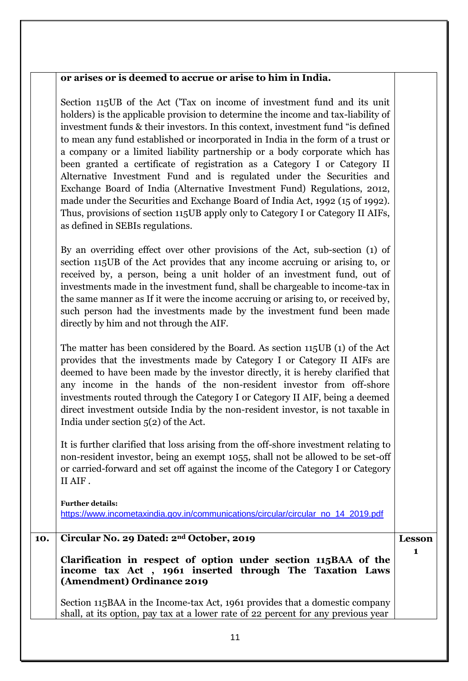### **or arises or is deemed to accrue or arise to him in India.**

Section 115UB of the Act ('Tax on income of investment fund and its unit holders) is the applicable provision to determine the income and tax-liability of investment funds & their investors. In this context, investment fund "is defined to mean any fund established or incorporated in India in the form of a trust or a company or a limited liability partnership or a body corporate which has been granted a certificate of registration as a Category I or Category II Alternative Investment Fund and is regulated under the Securities and Exchange Board of India (Alternative Investment Fund) Regulations, 2012, made under the Securities and Exchange Board of India Act, 1992 (15 of 1992). Thus, provisions of section 115UB apply only to Category I or Category II AIFs, as defined in SEBIs regulations.

By an overriding effect over other provisions of the Act, sub-section (1) of section 115UB of the Act provides that any income accruing or arising to, or received by, a person, being a unit holder of an investment fund, out of investments made in the investment fund, shall be chargeable to income-tax in the same manner as If it were the income accruing or arising to, or received by, such person had the investments made by the investment fund been made directly by him and not through the AIF.

The matter has been considered by the Board. As section 115UB (1) of the Act provides that the investments made by Category I or Category II AIFs are deemed to have been made by the investor directly, it is hereby clarified that any income in the hands of the non-resident investor from off-shore investments routed through the Category I or Category II AIF, being a deemed direct investment outside India by the non-resident investor, is not taxable in India under section 5(2) of the Act.

It is further clarified that loss arising from the off-shore investment relating to non-resident investor, being an exempt 1055, shall not be allowed to be set-off or carried-forward and set off against the income of the Category I or Category II AIF .

**Further details:** https://www.incometaxindia.gov.in/communications/circular/circular\_no\_14\_2019.pdf

## **10. Circular No. 29 Dated: 2nd October, 2019**

**Clarification in respect of option under section 115BAA of the income tax Act , 1961 inserted through The Taxation Laws (Amendment) Ordinance 2019**

**Lesson 1**

Section 115BAA in the Income-tax Act, 1961 provides that a domestic company shall, at its option, pay tax at a lower rate of 22 percent for any previous year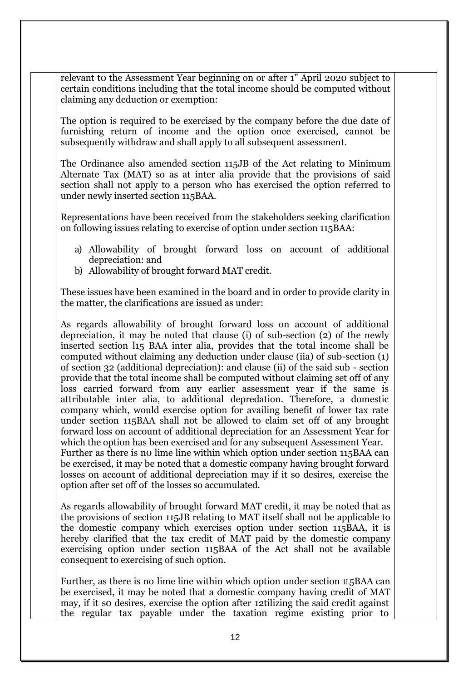relevant t0 the Assessment Year beginning on or after 1" April 2020 subject to certain conditions including that the total income should be computed without claiming any deduction or exemption:

The option is required to be exercised by the company before the due date of furnishing return of income and the option once exercised, cannot be subsequently withdraw and shall apply to all subsequent assessment.

The Ordinance also amended section 115JB of the Act relating to Minimum Alternate Tax (MAT) so as at inter alia provide that the provisions of said section shall not apply to a person who has exercised the option referred to under newly inserted section 115BAA.

Representations have been received from the stakeholders seeking clarification on following issues relating to exercise of option under section 115BAA:

- a) Allowability of brought forward loss on account of additional depreciation: and
- b) Allowability of brought forward MAT credit.

These issues have been examined in the board and in order to provide clarity in the matter, the clarifications are issued as under:

As regards allowability of brought forward loss on account of additional depreciation, it may be noted that clause (i) of sub-section (2) of the newly inserted section l15 BAA inter alia, provides that the total income shall be computed without claiming any deduction under clause (iia) of sub-section (1) of section 32 (additional depreciation): and clause (ii) of the said sub - section provide that the total income shall be computed without claiming set off of any loss carried forward from any earlier assessment year if the same is attributable inter alia, to additional depredation. Therefore, a domestic company which, would exercise option for availing benefit of lower tax rate under section 115BAA shall not be allowed to claim set off of any brought forward loss on account of additional depreciation for an Assessment Year for which the option has been exercised and for any subsequent Assessment Year. Further as there is n0 lime line within which option under section 115BAA can be exercised, it may be noted that a domestic company having brought forward losses on account of additional depreciation may if it so desires, exercise the option after set off of the losses so accumulated.

As regards allowability of brought forward MAT credit, it may be noted that as the provisions of section 115JB relating to MAT itself shall not be applicable to the domestic company which exercises option under section 115BAA, it is hereby clarified that the tax credit of MAT paid by the domestic company exercising option under section 115BAA of the Act shall not be available consequent to exercising of such option.

Further, as there is no lime line within which option under section 1L5BAA can be exercised, it may be noted that a domestic company having credit of MAT may, if it s0 desires, exercise the option after 12tilizing the said credit against the regular tax payable under the taxation regime existing prior to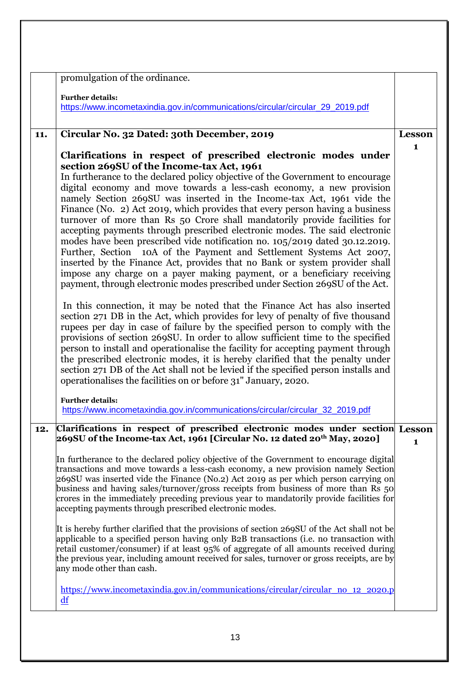|     | promulgation of the ordinance.                                                                                                                                                                                                                                                                                                                                                                                                                                                                                                                                                                                                                                                                                                                                                                                                                                                                                                                                                                                                                                                                                                                                                                                                                                                                                                                                                                                                                                                                                                                                                                                                                                                            |               |
|-----|-------------------------------------------------------------------------------------------------------------------------------------------------------------------------------------------------------------------------------------------------------------------------------------------------------------------------------------------------------------------------------------------------------------------------------------------------------------------------------------------------------------------------------------------------------------------------------------------------------------------------------------------------------------------------------------------------------------------------------------------------------------------------------------------------------------------------------------------------------------------------------------------------------------------------------------------------------------------------------------------------------------------------------------------------------------------------------------------------------------------------------------------------------------------------------------------------------------------------------------------------------------------------------------------------------------------------------------------------------------------------------------------------------------------------------------------------------------------------------------------------------------------------------------------------------------------------------------------------------------------------------------------------------------------------------------------|---------------|
|     | <b>Further details:</b><br>https://www.incometaxindia.gov.in/communications/circular/circular_29_2019.pdf                                                                                                                                                                                                                                                                                                                                                                                                                                                                                                                                                                                                                                                                                                                                                                                                                                                                                                                                                                                                                                                                                                                                                                                                                                                                                                                                                                                                                                                                                                                                                                                 |               |
| 11. | Circular No. 32 Dated: 30th December, 2019                                                                                                                                                                                                                                                                                                                                                                                                                                                                                                                                                                                                                                                                                                                                                                                                                                                                                                                                                                                                                                                                                                                                                                                                                                                                                                                                                                                                                                                                                                                                                                                                                                                | <b>Lesson</b> |
|     | Clarifications in respect of prescribed electronic modes under<br>section 269SU of the Income-tax Act, 1961<br>In furtherance to the declared policy objective of the Government to encourage<br>digital economy and move towards a less-cash economy, a new provision<br>namely Section 269SU was inserted in the Income-tax Act, 1961 vide the<br>Finance (No. 2) Act 2019, which provides that every person having a business<br>turnover of more than Rs 50 Crore shall mandatorily provide facilities for<br>accepting payments through prescribed electronic modes. The said electronic<br>modes have been prescribed vide notification no. 105/2019 dated 30.12.2019.<br>Further, Section 10A of the Payment and Settlement Systems Act 2007,<br>inserted by the Finance Act, provides that no Bank or system provider shall<br>impose any charge on a payer making payment, or a beneficiary receiving<br>payment, through electronic modes prescribed under Section 269SU of the Act.<br>In this connection, it may be noted that the Finance Act has also inserted<br>section 271 DB in the Act, which provides for levy of penalty of five thousand<br>rupees per day in case of failure by the specified person to comply with the<br>provisions of section 269SU. In order to allow sufficient time to the specified<br>person to install and operationalise the facility for accepting payment through<br>the prescribed electronic modes, it is hereby clarified that the penalty under<br>section 271 DB of the Act shall not be levied if the specified person installs and<br>operationalises the facilities on or before 31" January, 2020.<br><b>Further details:</b> | 1             |
|     | https://www.incometaxindia.gov.in/communications/circular/circular_32_2019.pdf                                                                                                                                                                                                                                                                                                                                                                                                                                                                                                                                                                                                                                                                                                                                                                                                                                                                                                                                                                                                                                                                                                                                                                                                                                                                                                                                                                                                                                                                                                                                                                                                            |               |
| 12. | Clarifications in respect of prescribed electronic modes under section Lesson<br>269SU of the Income-tax Act, 1961 [Circular No. 12 dated 20th May, 2020]                                                                                                                                                                                                                                                                                                                                                                                                                                                                                                                                                                                                                                                                                                                                                                                                                                                                                                                                                                                                                                                                                                                                                                                                                                                                                                                                                                                                                                                                                                                                 | 1             |
|     | In furtherance to the declared policy objective of the Government to encourage digital<br>transactions and move towards a less-cash economy, a new provision namely Section<br>269SU was inserted vide the Finance (No.2) Act 2019 as per which person carrying on<br>business and having sales/turnover/gross receipts from business of more than Rs 50<br>crores in the immediately preceding previous year to mandatorily provide facilities for<br>accepting payments through prescribed electronic modes.                                                                                                                                                                                                                                                                                                                                                                                                                                                                                                                                                                                                                                                                                                                                                                                                                                                                                                                                                                                                                                                                                                                                                                            |               |
|     | It is hereby further clarified that the provisions of section 269SU of the Act shall not be<br>applicable to a specified person having only B2B transactions (i.e. no transaction with<br>retail customer/consumer) if at least 95% of aggregate of all amounts received during<br>the previous year, including amount received for sales, turnover or gross receipts, are by<br>any mode other than cash.                                                                                                                                                                                                                                                                                                                                                                                                                                                                                                                                                                                                                                                                                                                                                                                                                                                                                                                                                                                                                                                                                                                                                                                                                                                                                |               |
|     | https://www.incometaxindia.gov.in/communications/circular/circular_no_12_2020.p<br>df                                                                                                                                                                                                                                                                                                                                                                                                                                                                                                                                                                                                                                                                                                                                                                                                                                                                                                                                                                                                                                                                                                                                                                                                                                                                                                                                                                                                                                                                                                                                                                                                     |               |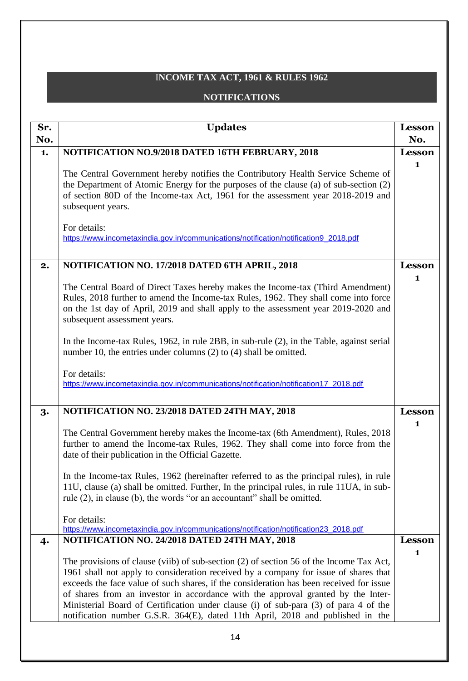# I**NCOME TAX ACT, 1961 & RULES 1962**

### **NOTIFICATIONS**

| Sr. | <b>Updates</b>                                                                                                                                                                                                                                                                                                                                                                                                                                                                                                                           | <b>Lesson</b> |
|-----|------------------------------------------------------------------------------------------------------------------------------------------------------------------------------------------------------------------------------------------------------------------------------------------------------------------------------------------------------------------------------------------------------------------------------------------------------------------------------------------------------------------------------------------|---------------|
| No. |                                                                                                                                                                                                                                                                                                                                                                                                                                                                                                                                          | No.           |
| 1.  | NOTIFICATION NO.9/2018 DATED 16TH FEBRUARY, 2018                                                                                                                                                                                                                                                                                                                                                                                                                                                                                         | <b>Lesson</b> |
|     | The Central Government hereby notifies the Contributory Health Service Scheme of<br>the Department of Atomic Energy for the purposes of the clause (a) of sub-section (2)<br>of section 80D of the Income-tax Act, 1961 for the assessment year 2018-2019 and<br>subsequent years.                                                                                                                                                                                                                                                       | 1             |
|     | For details:<br>https://www.incometaxindia.gov.in/communications/notification/notification9_2018.pdf                                                                                                                                                                                                                                                                                                                                                                                                                                     |               |
| 2.  | NOTIFICATION NO. 17/2018 DATED 6TH APRIL, 2018                                                                                                                                                                                                                                                                                                                                                                                                                                                                                           | Lesson        |
|     |                                                                                                                                                                                                                                                                                                                                                                                                                                                                                                                                          | 1             |
|     | The Central Board of Direct Taxes hereby makes the Income-tax (Third Amendment)<br>Rules, 2018 further to amend the Income-tax Rules, 1962. They shall come into force<br>on the 1st day of April, 2019 and shall apply to the assessment year 2019-2020 and<br>subsequent assessment years.                                                                                                                                                                                                                                             |               |
|     | In the Income-tax Rules, 1962, in rule 2BB, in sub-rule (2), in the Table, against serial<br>number 10, the entries under columns (2) to (4) shall be omitted.                                                                                                                                                                                                                                                                                                                                                                           |               |
|     | For details:<br>https://www.incometaxindia.gov.in/communications/notification/notification17_2018.pdf                                                                                                                                                                                                                                                                                                                                                                                                                                    |               |
| 3.  | NOTIFICATION NO. 23/2018 DATED 24TH MAY, 2018                                                                                                                                                                                                                                                                                                                                                                                                                                                                                            | <b>Lesson</b> |
|     | The Central Government hereby makes the Income-tax (6th Amendment), Rules, 2018<br>further to amend the Income-tax Rules, 1962. They shall come into force from the<br>date of their publication in the Official Gazette.                                                                                                                                                                                                                                                                                                                | 1             |
|     | In the Income-tax Rules, 1962 (hereinafter referred to as the principal rules), in rule<br>11U, clause (a) shall be omitted. Further, In the principal rules, in rule 11UA, in sub-<br>rule (2), in clause (b), the words "or an accountant" shall be omitted.                                                                                                                                                                                                                                                                           |               |
|     | For details:<br>https://www.incometaxindia.gov.in/communications/notification/notification23_2018.pdf                                                                                                                                                                                                                                                                                                                                                                                                                                    |               |
| 4.  | NOTIFICATION NO. 24/2018 DATED 24TH MAY, 2018                                                                                                                                                                                                                                                                                                                                                                                                                                                                                            | <b>Lesson</b> |
|     | The provisions of clause (viib) of sub-section (2) of section 56 of the Income Tax Act,<br>1961 shall not apply to consideration received by a company for issue of shares that<br>exceeds the face value of such shares, if the consideration has been received for issue<br>of shares from an investor in accordance with the approval granted by the Inter-<br>Ministerial Board of Certification under clause (i) of sub-para (3) of para 4 of the<br>notification number G.S.R. 364(E), dated 11th April, 2018 and published in the | $\mathbf{1}$  |
|     |                                                                                                                                                                                                                                                                                                                                                                                                                                                                                                                                          |               |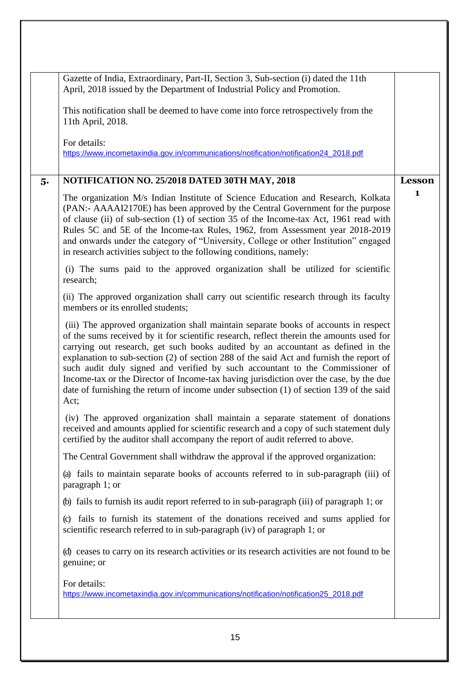|    | Gazette of India, Extraordinary, Part-II, Section 3, Sub-section (i) dated the 11th<br>April, 2018 issued by the Department of Industrial Policy and Promotion.                                                                                                                                                                                                                                                                                                                                                                                                                                                                               |               |
|----|-----------------------------------------------------------------------------------------------------------------------------------------------------------------------------------------------------------------------------------------------------------------------------------------------------------------------------------------------------------------------------------------------------------------------------------------------------------------------------------------------------------------------------------------------------------------------------------------------------------------------------------------------|---------------|
|    | This notification shall be deemed to have come into force retrospectively from the<br>11th April, 2018.                                                                                                                                                                                                                                                                                                                                                                                                                                                                                                                                       |               |
|    | For details:<br>https://www.incometaxindia.gov.in/communications/notification/notification24_2018.pdf                                                                                                                                                                                                                                                                                                                                                                                                                                                                                                                                         |               |
| 5. | NOTIFICATION NO. 25/2018 DATED 30TH MAY, 2018                                                                                                                                                                                                                                                                                                                                                                                                                                                                                                                                                                                                 | <b>Lesson</b> |
|    | The organization M/s Indian Institute of Science Education and Research, Kolkata<br>(PAN:- AAAAI2170E) has been approved by the Central Government for the purpose<br>of clause (ii) of sub-section (1) of section 35 of the Income-tax Act, 1961 read with<br>Rules 5C and 5E of the Income-tax Rules, 1962, from Assessment year 2018-2019<br>and onwards under the category of "University, College or other Institution" engaged<br>in research activities subject to the following conditions, namely:                                                                                                                                   | 1             |
|    | (i) The sums paid to the approved organization shall be utilized for scientific<br>research;                                                                                                                                                                                                                                                                                                                                                                                                                                                                                                                                                  |               |
|    | (ii) The approved organization shall carry out scientific research through its faculty<br>members or its enrolled students;                                                                                                                                                                                                                                                                                                                                                                                                                                                                                                                   |               |
|    | (iii) The approved organization shall maintain separate books of accounts in respect<br>of the sums received by it for scientific research, reflect therein the amounts used for<br>carrying out research, get such books audited by an accountant as defined in the<br>explanation to sub-section (2) of section 288 of the said Act and furnish the report of<br>such audit duly signed and verified by such accountant to the Commissioner of<br>Income-tax or the Director of Income-tax having jurisdiction over the case, by the due<br>date of furnishing the return of income under subsection (1) of section 139 of the said<br>Act; |               |
|    | (iv) The approved organization shall maintain a separate statement of donations<br>received and amounts applied for scientific research and a copy of such statement duly<br>certified by the auditor shall accompany the report of audit referred to above.                                                                                                                                                                                                                                                                                                                                                                                  |               |
|    | The Central Government shall withdraw the approval if the approved organization:                                                                                                                                                                                                                                                                                                                                                                                                                                                                                                                                                              |               |
|    | (a) fails to maintain separate books of accounts referred to in sub-paragraph (iii) of<br>paragraph 1; or                                                                                                                                                                                                                                                                                                                                                                                                                                                                                                                                     |               |
|    | (b) fails to furnish its audit report referred to in sub-paragraph (iii) of paragraph 1; or                                                                                                                                                                                                                                                                                                                                                                                                                                                                                                                                                   |               |
|    | fails to furnish its statement of the donations received and sums applied for<br>$\left( \circ \right)$<br>scientific research referred to in sub-paragraph (iv) of paragraph 1; or                                                                                                                                                                                                                                                                                                                                                                                                                                                           |               |
|    | (d) ceases to carry on its research activities or its research activities are not found to be<br>genuine; or                                                                                                                                                                                                                                                                                                                                                                                                                                                                                                                                  |               |
|    | For details:<br>https://www.incometaxindia.gov.in/communications/notification/notification25 2018.pdf                                                                                                                                                                                                                                                                                                                                                                                                                                                                                                                                         |               |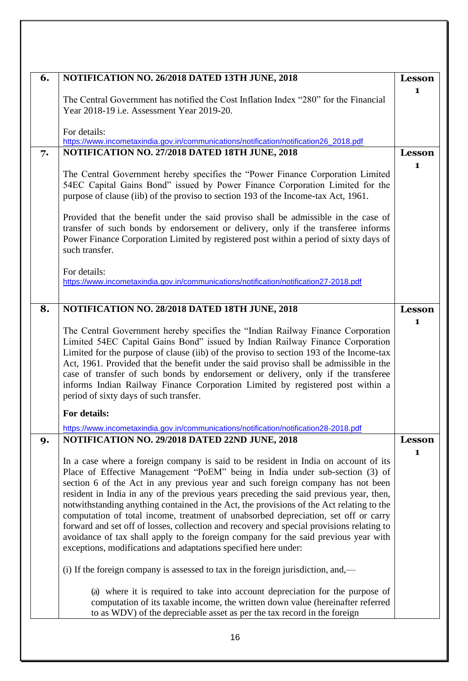| 6. | NOTIFICATION NO. 26/2018 DATED 13TH JUNE, 2018                                                                                                                                                                                                                                                                                                                                                                                                                                                                                                                                                                                                                                                                                                                                             | <b>Lesson</b> |
|----|--------------------------------------------------------------------------------------------------------------------------------------------------------------------------------------------------------------------------------------------------------------------------------------------------------------------------------------------------------------------------------------------------------------------------------------------------------------------------------------------------------------------------------------------------------------------------------------------------------------------------------------------------------------------------------------------------------------------------------------------------------------------------------------------|---------------|
|    | The Central Government has notified the Cost Inflation Index "280" for the Financial<br>Year 2018-19 i.e. Assessment Year 2019-20.                                                                                                                                                                                                                                                                                                                                                                                                                                                                                                                                                                                                                                                         | 1             |
|    | For details:<br>https://www.incometaxindia.gov.in/communications/notification/notification26_2018.pdf                                                                                                                                                                                                                                                                                                                                                                                                                                                                                                                                                                                                                                                                                      |               |
| 7. | NOTIFICATION NO. 27/2018 DATED 18TH JUNE, 2018                                                                                                                                                                                                                                                                                                                                                                                                                                                                                                                                                                                                                                                                                                                                             | <b>Lesson</b> |
|    | The Central Government hereby specifies the "Power Finance Corporation Limited<br>54EC Capital Gains Bond" issued by Power Finance Corporation Limited for the<br>purpose of clause (iib) of the proviso to section 193 of the Income-tax Act, 1961.                                                                                                                                                                                                                                                                                                                                                                                                                                                                                                                                       | 1             |
|    | Provided that the benefit under the said proviso shall be admissible in the case of<br>transfer of such bonds by endorsement or delivery, only if the transferee informs<br>Power Finance Corporation Limited by registered post within a period of sixty days of<br>such transfer.                                                                                                                                                                                                                                                                                                                                                                                                                                                                                                        |               |
|    | For details:<br>https://www.incometaxindia.gov.in/communications/notification/notification27-2018.pdf                                                                                                                                                                                                                                                                                                                                                                                                                                                                                                                                                                                                                                                                                      |               |
| 8. | NOTIFICATION NO. 28/2018 DATED 18TH JUNE, 2018                                                                                                                                                                                                                                                                                                                                                                                                                                                                                                                                                                                                                                                                                                                                             | <b>Lesson</b> |
|    | The Central Government hereby specifies the "Indian Railway Finance Corporation<br>Limited 54EC Capital Gains Bond" issued by Indian Railway Finance Corporation<br>Limited for the purpose of clause (iib) of the proviso to section 193 of the Income-tax<br>Act, 1961. Provided that the benefit under the said proviso shall be admissible in the<br>case of transfer of such bonds by endorsement or delivery, only if the transferee<br>informs Indian Railway Finance Corporation Limited by registered post within a<br>period of sixty days of such transfer.                                                                                                                                                                                                                     | 1             |
|    | For details:                                                                                                                                                                                                                                                                                                                                                                                                                                                                                                                                                                                                                                                                                                                                                                               |               |
|    | https://www.incometaxindia.gov.in/communications/notification/notification28-2018.pdf                                                                                                                                                                                                                                                                                                                                                                                                                                                                                                                                                                                                                                                                                                      |               |
| 9. | NOTIFICATION NO. 29/2018 DATED 22ND JUNE, 2018                                                                                                                                                                                                                                                                                                                                                                                                                                                                                                                                                                                                                                                                                                                                             | <b>Lesson</b> |
|    | In a case where a foreign company is said to be resident in India on account of its<br>Place of Effective Management "PoEM" being in India under sub-section (3) of<br>section 6 of the Act in any previous year and such foreign company has not been<br>resident in India in any of the previous years preceding the said previous year, then,<br>notwithstanding anything contained in the Act, the provisions of the Act relating to the<br>computation of total income, treatment of unabsorbed depreciation, set off or carry<br>forward and set off of losses, collection and recovery and special provisions relating to<br>avoidance of tax shall apply to the foreign company for the said previous year with<br>exceptions, modifications and adaptations specified here under: | $\mathbf{1}$  |
|    | (i) If the foreign company is assessed to tax in the foreign jurisdiction, and,—                                                                                                                                                                                                                                                                                                                                                                                                                                                                                                                                                                                                                                                                                                           |               |
|    | (a) where it is required to take into account depreciation for the purpose of<br>computation of its taxable income, the written down value (hereinafter referred<br>to as WDV) of the depreciable asset as per the tax record in the foreign                                                                                                                                                                                                                                                                                                                                                                                                                                                                                                                                               |               |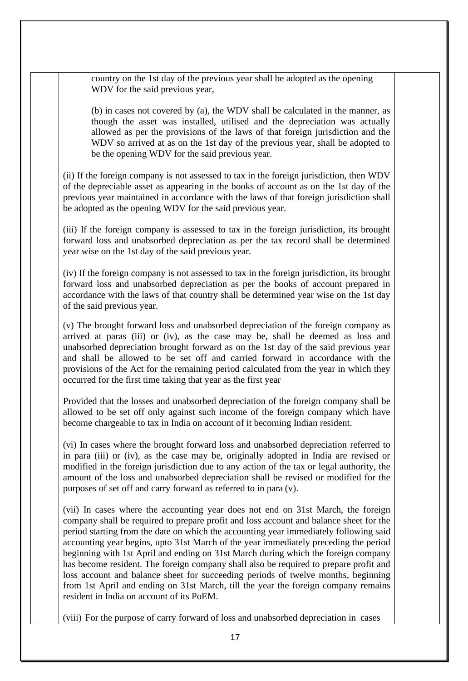country on the 1st day of the previous year shall be adopted as the opening WDV for the said previous year,

(b) in cases not covered by (a), the WDV shall be calculated in the manner, as though the asset was installed, utilised and the depreciation was actually allowed as per the provisions of the laws of that foreign jurisdiction and the WDV so arrived at as on the 1st day of the previous year, shall be adopted to be the opening WDV for the said previous year.

(ii) If the foreign company is not assessed to tax in the foreign jurisdiction, then WDV of the depreciable asset as appearing in the books of account as on the 1st day of the previous year maintained in accordance with the laws of that foreign jurisdiction shall be adopted as the opening WDV for the said previous year.

(iii) If the foreign company is assessed to tax in the foreign jurisdiction, its brought forward loss and unabsorbed depreciation as per the tax record shall be determined year wise on the 1st day of the said previous year.

(iv) If the foreign company is not assessed to tax in the foreign jurisdiction, its brought forward loss and unabsorbed depreciation as per the books of account prepared in accordance with the laws of that country shall be determined year wise on the 1st day of the said previous year.

(v) The brought forward loss and unabsorbed depreciation of the foreign company as arrived at paras (iii) or (iv), as the case may be, shall be deemed as loss and unabsorbed depreciation brought forward as on the 1st day of the said previous year and shall be allowed to be set off and carried forward in accordance with the provisions of the Act for the remaining period calculated from the year in which they occurred for the first time taking that year as the first year

Provided that the losses and unabsorbed depreciation of the foreign company shall be allowed to be set off only against such income of the foreign company which have become chargeable to tax in India on account of it becoming Indian resident.

(vi) In cases where the brought forward loss and unabsorbed depreciation referred to in para (iii) or (iv), as the case may be, originally adopted in India are revised or modified in the foreign jurisdiction due to any action of the tax or legal authority, the amount of the loss and unabsorbed depreciation shall be revised or modified for the purposes of set off and carry forward as referred to in para (v).

(vii) In cases where the accounting year does not end on 31st March, the foreign company shall be required to prepare profit and loss account and balance sheet for the period starting from the date on which the accounting year immediately following said accounting year begins, upto 31st March of the year immediately preceding the period beginning with 1st April and ending on 31st March during which the foreign company has become resident. The foreign company shall also be required to prepare profit and loss account and balance sheet for succeeding periods of twelve months, beginning from 1st April and ending on 31st March, till the year the foreign company remains resident in India on account of its PoEM.

(viii) For the purpose of carry forward of loss and unabsorbed depreciation in cases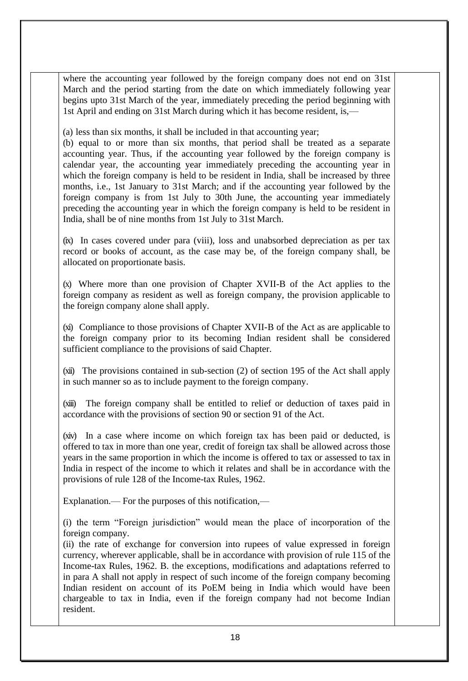where the accounting year followed by the foreign company does not end on 31st March and the period starting from the date on which immediately following year begins upto 31st March of the year, immediately preceding the period beginning with 1st April and ending on 31st March during which it has become resident, is,—

(a) less than six months, it shall be included in that accounting year;

(b) equal to or more than six months, that period shall be treated as a separate accounting year. Thus, if the accounting year followed by the foreign company is calendar year, the accounting year immediately preceding the accounting year in which the foreign company is held to be resident in India, shall be increased by three months, i.e., 1st January to 31st March; and if the accounting year followed by the foreign company is from 1st July to 30th June, the accounting year immediately preceding the accounting year in which the foreign company is held to be resident in India, shall be of nine months from 1st July to 31st March.

(ix) In cases covered under para (viii), loss and unabsorbed depreciation as per tax record or books of account, as the case may be, of the foreign company shall, be allocated on proportionate basis.

(x) Where more than one provision of Chapter XVII-B of the Act applies to the foreign company as resident as well as foreign company, the provision applicable to the foreign company alone shall apply.

(xi) Compliance to those provisions of Chapter XVII-B of the Act as are applicable to the foreign company prior to its becoming Indian resident shall be considered sufficient compliance to the provisions of said Chapter.

(xii) The provisions contained in sub-section (2) of section 195 of the Act shall apply in such manner so as to include payment to the foreign company.

(xiii) The foreign company shall be entitled to relief or deduction of taxes paid in accordance with the provisions of section 90 or section 91 of the Act.

(xiv) In a case where income on which foreign tax has been paid or deducted, is offered to tax in more than one year, credit of foreign tax shall be allowed across those years in the same proportion in which the income is offered to tax or assessed to tax in India in respect of the income to which it relates and shall be in accordance with the provisions of rule 128 of the Income-tax Rules, 1962.

Explanation.— For the purposes of this notification,—

(i) the term "Foreign jurisdiction" would mean the place of incorporation of the foreign company.

(ii) the rate of exchange for conversion into rupees of value expressed in foreign currency, wherever applicable, shall be in accordance with provision of rule 115 of the Income-tax Rules, 1962. B. the exceptions, modifications and adaptations referred to in para A shall not apply in respect of such income of the foreign company becoming Indian resident on account of its PoEM being in India which would have been chargeable to tax in India, even if the foreign company had not become Indian resident.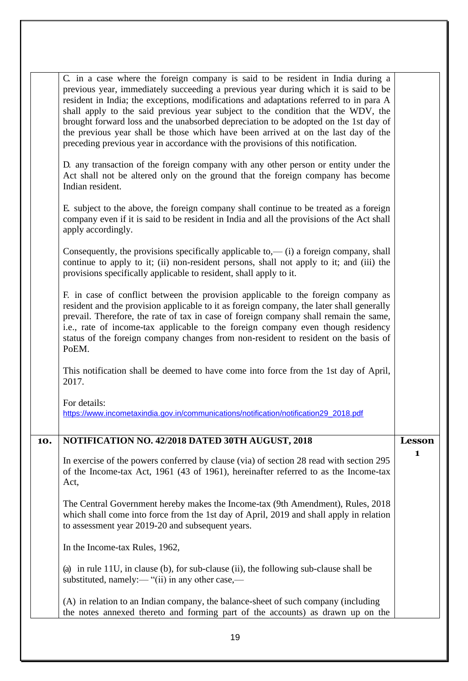|     | C. in a case where the foreign company is said to be resident in India during a<br>previous year, immediately succeeding a previous year during which it is said to be<br>resident in India; the exceptions, modifications and adaptations referred to in para A<br>shall apply to the said previous year subject to the condition that the WDV, the<br>brought forward loss and the unabsorbed depreciation to be adopted on the 1st day of<br>the previous year shall be those which have been arrived at on the last day of the<br>preceding previous year in accordance with the provisions of this notification.<br>D. any transaction of the foreign company with any other person or entity under the<br>Act shall not be altered only on the ground that the foreign company has become |               |
|-----|-------------------------------------------------------------------------------------------------------------------------------------------------------------------------------------------------------------------------------------------------------------------------------------------------------------------------------------------------------------------------------------------------------------------------------------------------------------------------------------------------------------------------------------------------------------------------------------------------------------------------------------------------------------------------------------------------------------------------------------------------------------------------------------------------|---------------|
|     | Indian resident.<br>E. subject to the above, the foreign company shall continue to be treated as a foreign<br>company even if it is said to be resident in India and all the provisions of the Act shall<br>apply accordingly.                                                                                                                                                                                                                                                                                                                                                                                                                                                                                                                                                                  |               |
|     | Consequently, the provisions specifically applicable to,— $(i)$ a foreign company, shall<br>continue to apply to it; (ii) non-resident persons, shall not apply to it; and (iii) the<br>provisions specifically applicable to resident, shall apply to it.                                                                                                                                                                                                                                                                                                                                                                                                                                                                                                                                      |               |
|     | F. in case of conflict between the provision applicable to the foreign company as<br>resident and the provision applicable to it as foreign company, the later shall generally<br>prevail. Therefore, the rate of tax in case of foreign company shall remain the same,<br>i.e., rate of income-tax applicable to the foreign company even though residency<br>status of the foreign company changes from non-resident to resident on the basis of<br>PoEM.                                                                                                                                                                                                                                                                                                                                     |               |
|     | This notification shall be deemed to have come into force from the 1st day of April,<br>2017.                                                                                                                                                                                                                                                                                                                                                                                                                                                                                                                                                                                                                                                                                                   |               |
|     | For details:<br>https://www.incometaxindia.gov.in/communications/notification/notification29_2018.pdf                                                                                                                                                                                                                                                                                                                                                                                                                                                                                                                                                                                                                                                                                           |               |
| 10. | NOTIFICATION NO. 42/2018 DATED 30TH AUGUST, 2018                                                                                                                                                                                                                                                                                                                                                                                                                                                                                                                                                                                                                                                                                                                                                | <b>Lesson</b> |
|     | In exercise of the powers conferred by clause (via) of section 28 read with section 295<br>of the Income-tax Act, 1961 (43 of 1961), hereinafter referred to as the Income-tax<br>Act,                                                                                                                                                                                                                                                                                                                                                                                                                                                                                                                                                                                                          | 1             |
|     | The Central Government hereby makes the Income-tax (9th Amendment), Rules, 2018<br>which shall come into force from the 1st day of April, 2019 and shall apply in relation<br>to assessment year 2019-20 and subsequent years.                                                                                                                                                                                                                                                                                                                                                                                                                                                                                                                                                                  |               |
|     | In the Income-tax Rules, 1962,                                                                                                                                                                                                                                                                                                                                                                                                                                                                                                                                                                                                                                                                                                                                                                  |               |
|     | (a) in rule 11U, in clause (b), for sub-clause (ii), the following sub-clause shall be<br>substituted, namely:— " $(ii)$ in any other case,—                                                                                                                                                                                                                                                                                                                                                                                                                                                                                                                                                                                                                                                    |               |
|     | (A) in relation to an Indian company, the balance-sheet of such company (including<br>the notes annexed thereto and forming part of the accounts) as drawn up on the                                                                                                                                                                                                                                                                                                                                                                                                                                                                                                                                                                                                                            |               |
|     |                                                                                                                                                                                                                                                                                                                                                                                                                                                                                                                                                                                                                                                                                                                                                                                                 |               |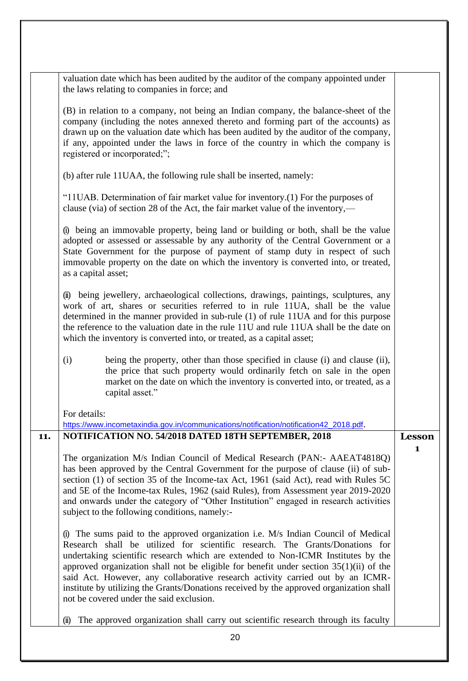|     | valuation date which has been audited by the auditor of the company appointed under<br>the laws relating to companies in force; and                                                                                                                                                                                                                                                                                                 |              |
|-----|-------------------------------------------------------------------------------------------------------------------------------------------------------------------------------------------------------------------------------------------------------------------------------------------------------------------------------------------------------------------------------------------------------------------------------------|--------------|
|     |                                                                                                                                                                                                                                                                                                                                                                                                                                     |              |
|     | (B) in relation to a company, not being an Indian company, the balance-sheet of the<br>company (including the notes annexed thereto and forming part of the accounts) as<br>drawn up on the valuation date which has been audited by the auditor of the company,<br>if any, appointed under the laws in force of the country in which the company is<br>registered or incorporated;";                                               |              |
|     | (b) after rule 11UAA, the following rule shall be inserted, namely:                                                                                                                                                                                                                                                                                                                                                                 |              |
|     | "11UAB. Determination of fair market value for inventory.(1) For the purposes of<br>clause (via) of section 28 of the Act, the fair market value of the inventory,—                                                                                                                                                                                                                                                                 |              |
|     | (i) being an immovable property, being land or building or both, shall be the value<br>adopted or assessed or assessable by any authority of the Central Government or a<br>State Government for the purpose of payment of stamp duty in respect of such<br>immovable property on the date on which the inventory is converted into, or treated,<br>as a capital asset;                                                             |              |
|     | (ii) being jewellery, archaeological collections, drawings, paintings, sculptures, any<br>work of art, shares or securities referred to in rule 11UA, shall be the value<br>determined in the manner provided in sub-rule (1) of rule 11UA and for this purpose<br>the reference to the valuation date in the rule 11U and rule 11UA shall be the date on<br>which the inventory is converted into, or treated, as a capital asset; |              |
|     | (i)<br>being the property, other than those specified in clause (i) and clause (ii),<br>the price that such property would ordinarily fetch on sale in the open<br>market on the date on which the inventory is converted into, or treated, as a<br>capital asset."                                                                                                                                                                 |              |
|     | For details:                                                                                                                                                                                                                                                                                                                                                                                                                        |              |
|     | https://www.incometaxindia.gov.in/communications/notification/notification42_2018.pdf.                                                                                                                                                                                                                                                                                                                                              |              |
| 11. | NOTIFICATION NO. 54/2018 DATED 18TH SEPTEMBER, 2018                                                                                                                                                                                                                                                                                                                                                                                 | Lesson       |
|     |                                                                                                                                                                                                                                                                                                                                                                                                                                     | $\mathbf{1}$ |
|     |                                                                                                                                                                                                                                                                                                                                                                                                                                     |              |
|     | The organization M/s Indian Council of Medical Research (PAN:- AAEAT4818Q)                                                                                                                                                                                                                                                                                                                                                          |              |
|     | has been approved by the Central Government for the purpose of clause (ii) of sub-                                                                                                                                                                                                                                                                                                                                                  |              |
|     | section (1) of section 35 of the Income-tax Act, 1961 (said Act), read with Rules 5C                                                                                                                                                                                                                                                                                                                                                |              |
|     | and 5E of the Income-tax Rules, 1962 (said Rules), from Assessment year 2019-2020                                                                                                                                                                                                                                                                                                                                                   |              |
|     | and onwards under the category of "Other Institution" engaged in research activities<br>subject to the following conditions, namely:-                                                                                                                                                                                                                                                                                               |              |
|     | The sums paid to the approved organization i.e. M/s Indian Council of Medical                                                                                                                                                                                                                                                                                                                                                       |              |
|     | Research shall be utilized for scientific research. The Grants/Donations for                                                                                                                                                                                                                                                                                                                                                        |              |
|     | undertaking scientific research which are extended to Non-ICMR Institutes by the<br>approved organization shall not be eligible for benefit under section $35(1)(ii)$ of the                                                                                                                                                                                                                                                        |              |
|     | said Act. However, any collaborative research activity carried out by an ICMR-                                                                                                                                                                                                                                                                                                                                                      |              |
|     | institute by utilizing the Grants/Donations received by the approved organization shall                                                                                                                                                                                                                                                                                                                                             |              |
|     | not be covered under the said exclusion.                                                                                                                                                                                                                                                                                                                                                                                            |              |
|     | The approved organization shall carry out scientific research through its faculty<br>$\sin$                                                                                                                                                                                                                                                                                                                                         |              |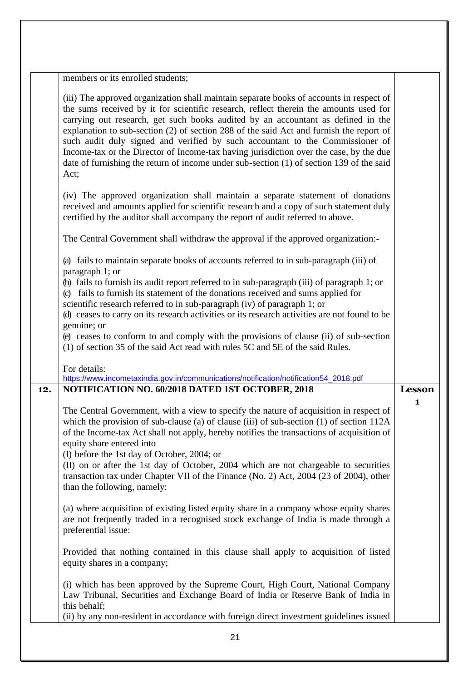|     | members or its enrolled students;                                                                                                                                                                                                                                                                                                                                                                                                                                                                                                                                                                                                              |               |
|-----|------------------------------------------------------------------------------------------------------------------------------------------------------------------------------------------------------------------------------------------------------------------------------------------------------------------------------------------------------------------------------------------------------------------------------------------------------------------------------------------------------------------------------------------------------------------------------------------------------------------------------------------------|---------------|
|     | (iii) The approved organization shall maintain separate books of accounts in respect of<br>the sums received by it for scientific research, reflect therein the amounts used for<br>carrying out research, get such books audited by an accountant as defined in the<br>explanation to sub-section (2) of section 288 of the said Act and furnish the report of<br>such audit duly signed and verified by such accountant to the Commissioner of<br>Income-tax or the Director of Income-tax having jurisdiction over the case, by the due<br>date of furnishing the return of income under sub-section (1) of section 139 of the said<br>Act; |               |
|     | (iv) The approved organization shall maintain a separate statement of donations<br>received and amounts applied for scientific research and a copy of such statement duly<br>certified by the auditor shall accompany the report of audit referred to above.                                                                                                                                                                                                                                                                                                                                                                                   |               |
|     | The Central Government shall withdraw the approval if the approved organization:-                                                                                                                                                                                                                                                                                                                                                                                                                                                                                                                                                              |               |
|     | (a) fails to maintain separate books of accounts referred to in sub-paragraph (iii) of<br>paragraph 1; or                                                                                                                                                                                                                                                                                                                                                                                                                                                                                                                                      |               |
|     | (b) fails to furnish its audit report referred to in sub-paragraph (iii) of paragraph 1; or<br>fails to furnish its statement of the donations received and sums applied for<br>$\circ$<br>scientific research referred to in sub-paragraph (iv) of paragraph 1; or                                                                                                                                                                                                                                                                                                                                                                            |               |
|     | (d) ceases to carry on its research activities or its research activities are not found to be                                                                                                                                                                                                                                                                                                                                                                                                                                                                                                                                                  |               |
|     | genuine; or<br>(e) ceases to conform to and comply with the provisions of clause (ii) of sub-section<br>(1) of section 35 of the said Act read with rules 5C and 5E of the said Rules.                                                                                                                                                                                                                                                                                                                                                                                                                                                         |               |
|     | For details:<br>https://www.incometaxindia.gov.in/communications/notification/notification54_2018.pdf                                                                                                                                                                                                                                                                                                                                                                                                                                                                                                                                          |               |
| 12. | NOTIFICATION NO. 60/2018 DATED 1ST OCTOBER, 2018                                                                                                                                                                                                                                                                                                                                                                                                                                                                                                                                                                                               | <b>Lesson</b> |
|     | The Central Government, with a view to specify the nature of acquisition in respect of<br>which the provision of sub-clause (a) of clause (iii) of sub-section $(1)$ of section $112A$<br>of the Income-tax Act shall not apply, hereby notifies the transactions of acquisition of<br>equity share entered into<br>(I) before the 1st day of October, 2004; or<br>(II) on or after the 1st day of October, 2004 which are not chargeable to securities<br>transaction tax under Chapter VII of the Finance (No. 2) Act, 2004 (23 of 2004), other<br>than the following, namely:                                                               | 1             |
|     | (a) where acquisition of existing listed equity share in a company whose equity shares<br>are not frequently traded in a recognised stock exchange of India is made through a<br>preferential issue:                                                                                                                                                                                                                                                                                                                                                                                                                                           |               |
|     | Provided that nothing contained in this clause shall apply to acquisition of listed<br>equity shares in a company;                                                                                                                                                                                                                                                                                                                                                                                                                                                                                                                             |               |
|     | (i) which has been approved by the Supreme Court, High Court, National Company<br>Law Tribunal, Securities and Exchange Board of India or Reserve Bank of India in<br>this behalf;                                                                                                                                                                                                                                                                                                                                                                                                                                                             |               |
|     |                                                                                                                                                                                                                                                                                                                                                                                                                                                                                                                                                                                                                                                |               |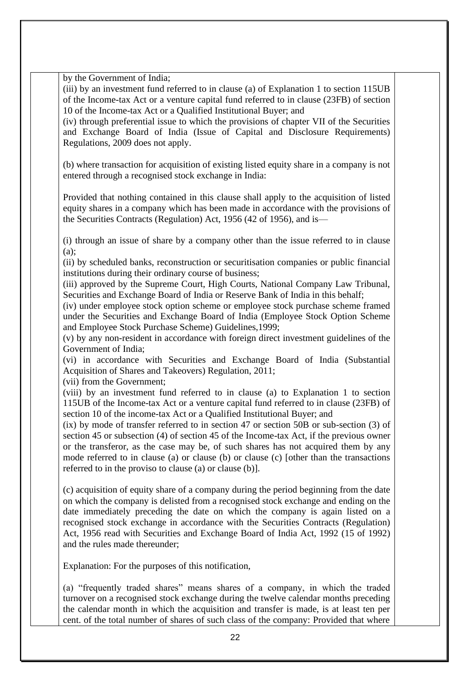by the Government of India;

(iii) by an investment fund referred to in clause (a) of Explanation 1 to section 115UB of the Income-tax Act or a venture capital fund referred to in clause (23FB) of section 10 of the Income-tax Act or a Qualified Institutional Buyer; and

(iv) through preferential issue to which the provisions of chapter VII of the Securities and Exchange Board of India (Issue of Capital and Disclosure Requirements) Regulations, 2009 does not apply.

(b) where transaction for acquisition of existing listed equity share in a company is not entered through a recognised stock exchange in India:

Provided that nothing contained in this clause shall apply to the acquisition of listed equity shares in a company which has been made in accordance with the provisions of the Securities Contracts (Regulation) Act, 1956 (42 of 1956), and is—

(i) through an issue of share by a company other than the issue referred to in clause (a);

(ii) by scheduled banks, reconstruction or securitisation companies or public financial institutions during their ordinary course of business;

(iii) approved by the Supreme Court, High Courts, National Company Law Tribunal, Securities and Exchange Board of India or Reserve Bank of India in this behalf;

(iv) under employee stock option scheme or employee stock purchase scheme framed under the Securities and Exchange Board of India (Employee Stock Option Scheme and Employee Stock Purchase Scheme) Guidelines,1999;

(v) by any non-resident in accordance with foreign direct investment guidelines of the Government of India;

(vi) in accordance with Securities and Exchange Board of India (Substantial Acquisition of Shares and Takeovers) Regulation, 2011;

(vii) from the Government;

(viii) by an investment fund referred to in clause (a) to Explanation 1 to section 115UB of the Income-tax Act or a venture capital fund referred to in clause (23FB) of section 10 of the income-tax Act or a Qualified Institutional Buyer; and

(ix) by mode of transfer referred to in section 47 or section 50B or sub-section (3) of section 45 or subsection (4) of section 45 of the Income-tax Act, if the previous owner or the transferor, as the case may be, of such shares has not acquired them by any mode referred to in clause (a) or clause (b) or clause (c) [other than the transactions referred to in the proviso to clause (a) or clause (b)].

(c) acquisition of equity share of a company during the period beginning from the date on which the company is delisted from a recognised stock exchange and ending on the date immediately preceding the date on which the company is again listed on a recognised stock exchange in accordance with the Securities Contracts (Regulation) Act, 1956 read with Securities and Exchange Board of India Act, 1992 (15 of 1992) and the rules made thereunder;

Explanation: For the purposes of this notification,

(a) "frequently traded shares" means shares of a company, in which the traded turnover on a recognised stock exchange during the twelve calendar months preceding the calendar month in which the acquisition and transfer is made, is at least ten per cent. of the total number of shares of such class of the company: Provided that where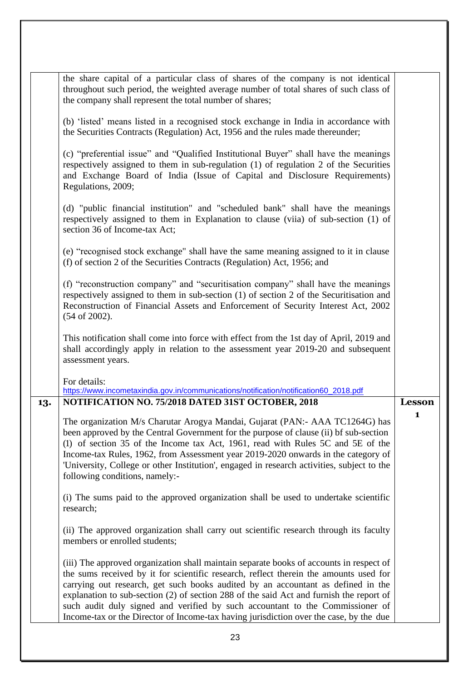|     | 23                                                                                                                                                                                                                                                                                                                                                                                                                                                                                                                                         |               |
|-----|--------------------------------------------------------------------------------------------------------------------------------------------------------------------------------------------------------------------------------------------------------------------------------------------------------------------------------------------------------------------------------------------------------------------------------------------------------------------------------------------------------------------------------------------|---------------|
|     | (iii) The approved organization shall maintain separate books of accounts in respect of<br>the sums received by it for scientific research, reflect therein the amounts used for<br>carrying out research, get such books audited by an accountant as defined in the<br>explanation to sub-section (2) of section 288 of the said Act and furnish the report of<br>such audit duly signed and verified by such accountant to the Commissioner of<br>Income-tax or the Director of Income-tax having jurisdiction over the case, by the due |               |
|     | (ii) The approved organization shall carry out scientific research through its faculty<br>members or enrolled students;                                                                                                                                                                                                                                                                                                                                                                                                                    |               |
|     | (i) The sums paid to the approved organization shall be used to undertake scientific<br>research;                                                                                                                                                                                                                                                                                                                                                                                                                                          |               |
|     | The organization M/s Charutar Arogya Mandai, Gujarat (PAN:- AAA TC1264G) has<br>been approved by the Central Government for the purpose of clause (ii) bf sub-section<br>(1) of section 35 of the Income tax Act, 1961, read with Rules 5C and 5E of the<br>Income-tax Rules, 1962, from Assessment year 2019-2020 onwards in the category of<br>'University, College or other Institution', engaged in research activities, subject to the<br>following conditions, namely:-                                                              | $\mathbf{1}$  |
| 13. | https://www.incometaxindia.gov.in/communications/notification/notification60_2018.pdf<br>NOTIFICATION NO. 75/2018 DATED 31ST OCTOBER, 2018                                                                                                                                                                                                                                                                                                                                                                                                 | <b>Lesson</b> |
|     | This notification shall come into force with effect from the 1st day of April, 2019 and<br>shall accordingly apply in relation to the assessment year 2019-20 and subsequent<br>assessment years.<br>For details:                                                                                                                                                                                                                                                                                                                          |               |
|     | (f) "reconstruction company" and "securitisation company" shall have the meanings<br>respectively assigned to them in sub-section (1) of section 2 of the Securitisation and<br>Reconstruction of Financial Assets and Enforcement of Security Interest Act, 2002<br>$(54 \text{ of } 2002).$                                                                                                                                                                                                                                              |               |
|     | (e) "recognised stock exchange" shall have the same meaning assigned to it in clause<br>(f) of section 2 of the Securities Contracts (Regulation) Act, 1956; and                                                                                                                                                                                                                                                                                                                                                                           |               |
|     | (d) "public financial institution" and "scheduled bank" shall have the meanings<br>respectively assigned to them in Explanation to clause (viia) of sub-section (1) of<br>section 36 of Income-tax Act;                                                                                                                                                                                                                                                                                                                                    |               |
|     | (c) "preferential issue" and "Qualified Institutional Buyer" shall have the meanings<br>respectively assigned to them in sub-regulation (1) of regulation 2 of the Securities<br>and Exchange Board of India (Issue of Capital and Disclosure Requirements)<br>Regulations, 2009;                                                                                                                                                                                                                                                          |               |
|     | (b) 'listed' means listed in a recognised stock exchange in India in accordance with<br>the Securities Contracts (Regulation) Act, 1956 and the rules made thereunder;                                                                                                                                                                                                                                                                                                                                                                     |               |
|     | the share capital of a particular class of shares of the company is not identical<br>throughout such period, the weighted average number of total shares of such class of<br>the company shall represent the total number of shares;                                                                                                                                                                                                                                                                                                       |               |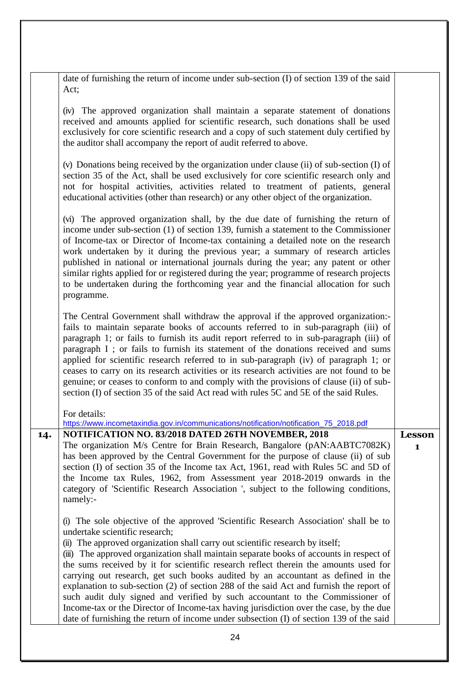|     | date of furnishing the return of income under sub-section (I) of section 139 of the said<br>Act;                                                                                                                                                                                                                                                                                                                                                                                                                                                                                                                                                                                                                                                                                                                                            |                        |
|-----|---------------------------------------------------------------------------------------------------------------------------------------------------------------------------------------------------------------------------------------------------------------------------------------------------------------------------------------------------------------------------------------------------------------------------------------------------------------------------------------------------------------------------------------------------------------------------------------------------------------------------------------------------------------------------------------------------------------------------------------------------------------------------------------------------------------------------------------------|------------------------|
|     | (iv) The approved organization shall maintain a separate statement of donations<br>received and amounts applied for scientific research, such donations shall be used<br>exclusively for core scientific research and a copy of such statement duly certified by<br>the auditor shall accompany the report of audit referred to above.                                                                                                                                                                                                                                                                                                                                                                                                                                                                                                      |                        |
|     | (v) Donations being received by the organization under clause (ii) of sub-section (I) of<br>section 35 of the Act, shall be used exclusively for core scientific research only and<br>not for hospital activities, activities related to treatment of patients, general<br>educational activities (other than research) or any other object of the organization.                                                                                                                                                                                                                                                                                                                                                                                                                                                                            |                        |
|     | (vi) The approved organization shall, by the due date of furnishing the return of<br>income under sub-section (1) of section 139, furnish a statement to the Commissioner<br>of Income-tax or Director of Income-tax containing a detailed note on the research<br>work undertaken by it during the previous year; a summary of research articles<br>published in national or international journals during the year; any patent or other<br>similar rights applied for or registered during the year; programme of research projects<br>to be undertaken during the forthcoming year and the financial allocation for such<br>programme.                                                                                                                                                                                                   |                        |
|     | The Central Government shall withdraw the approval if the approved organization:-<br>fails to maintain separate books of accounts referred to in sub-paragraph (iii) of<br>paragraph 1; or fails to furnish its audit report referred to in sub-paragraph (iii) of<br>paragraph I; or fails to furnish its statement of the donations received and sums<br>applied for scientific research referred to in sub-paragraph (iv) of paragraph 1; or<br>ceases to carry on its research activities or its research activities are not found to be<br>genuine; or ceases to conform to and comply with the provisions of clause (ii) of sub-<br>section (I) of section 35 of the said Act read with rules 5C and 5E of the said Rules.                                                                                                            |                        |
|     | For details:<br>https://www.incometaxindia.gov.in/communications/notification/notification_75_2018.pdf                                                                                                                                                                                                                                                                                                                                                                                                                                                                                                                                                                                                                                                                                                                                      |                        |
| 14. | NOTIFICATION NO. 83/2018 DATED 26TH NOVEMBER, 2018<br>The organization M/s Centre for Brain Research, Bangalore (pAN:AABTC7082K)<br>has been approved by the Central Government for the purpose of clause (ii) of sub<br>section (I) of section 35 of the Income tax Act, 1961, read with Rules 5C and 5D of<br>the Income tax Rules, 1962, from Assessment year 2018-2019 onwards in the<br>category of 'Scientific Research Association ', subject to the following conditions,<br>namely:-                                                                                                                                                                                                                                                                                                                                               | Lesson<br>$\mathbf{1}$ |
|     | The sole objective of the approved 'Scientific Research Association' shall be to<br>undertake scientific research;<br>(ii) The approved organization shall carry out scientific research by itself;<br>(iii) The approved organization shall maintain separate books of accounts in respect of<br>the sums received by it for scientific research reflect therein the amounts used for<br>carrying out research, get such books audited by an accountant as defined in the<br>explanation to sub-section (2) of section 288 of the said Act and furnish the report of<br>such audit duly signed and verified by such accountant to the Commissioner of<br>Income-tax or the Director of Income-tax having jurisdiction over the case, by the due<br>date of furnishing the return of income under subsection (I) of section 139 of the said |                        |
|     | 24                                                                                                                                                                                                                                                                                                                                                                                                                                                                                                                                                                                                                                                                                                                                                                                                                                          |                        |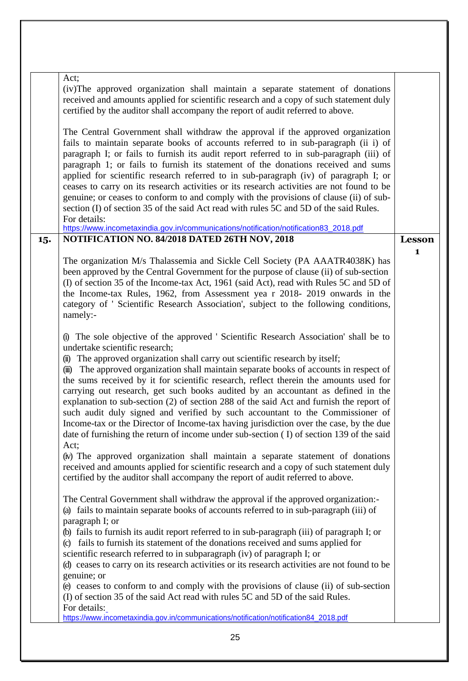| Act;<br>(iv) The approved organization shall maintain a separate statement of donations<br>received and amounts applied for scientific research and a copy of such statement duly<br>certified by the auditor shall accompany the report of audit referred to above.<br>The Central Government shall withdraw the approval if the approved organization<br>fails to maintain separate books of accounts referred to in sub-paragraph (ii i) of<br>paragraph I; or fails to furnish its audit report referred to in sub-paragraph (iii) of<br>paragraph 1; or fails to furnish its statement of the donations received and sums<br>applied for scientific research referred to in sub-paragraph (iv) of paragraph I; or<br>ceases to carry on its research activities or its research activities are not found to be<br>genuine; or ceases to conform to and comply with the provisions of clause (ii) of sub-<br>section (I) of section 35 of the said Act read with rules 5C and 5D of the said Rules.<br>For details:<br>https://www.incometaxindia.gov.in/communications/notification/notification83_2018.pdf<br>NOTIFICATION NO. 84/2018 DATED 26TH NOV, 2018<br>15.<br>The organization M/s Thalassemia and Sickle Cell Society (PA AAATR4038K) has<br>been approved by the Central Government for the purpose of clause (ii) of sub-section<br>(I) of section 35 of the Income-tax Act, 1961 (said Act), read with Rules 5C and 5D of<br>the Income-tax Rules, 1962, from Assessment yea r 2018-2019 onwards in the<br>category of ' Scientific Research Association', subject to the following conditions,<br>namely:- |              |
|-------------------------------------------------------------------------------------------------------------------------------------------------------------------------------------------------------------------------------------------------------------------------------------------------------------------------------------------------------------------------------------------------------------------------------------------------------------------------------------------------------------------------------------------------------------------------------------------------------------------------------------------------------------------------------------------------------------------------------------------------------------------------------------------------------------------------------------------------------------------------------------------------------------------------------------------------------------------------------------------------------------------------------------------------------------------------------------------------------------------------------------------------------------------------------------------------------------------------------------------------------------------------------------------------------------------------------------------------------------------------------------------------------------------------------------------------------------------------------------------------------------------------------------------------------------------------------------------------------------------------------|--------------|
|                                                                                                                                                                                                                                                                                                                                                                                                                                                                                                                                                                                                                                                                                                                                                                                                                                                                                                                                                                                                                                                                                                                                                                                                                                                                                                                                                                                                                                                                                                                                                                                                                               |              |
|                                                                                                                                                                                                                                                                                                                                                                                                                                                                                                                                                                                                                                                                                                                                                                                                                                                                                                                                                                                                                                                                                                                                                                                                                                                                                                                                                                                                                                                                                                                                                                                                                               |              |
|                                                                                                                                                                                                                                                                                                                                                                                                                                                                                                                                                                                                                                                                                                                                                                                                                                                                                                                                                                                                                                                                                                                                                                                                                                                                                                                                                                                                                                                                                                                                                                                                                               |              |
|                                                                                                                                                                                                                                                                                                                                                                                                                                                                                                                                                                                                                                                                                                                                                                                                                                                                                                                                                                                                                                                                                                                                                                                                                                                                                                                                                                                                                                                                                                                                                                                                                               | Lesson       |
|                                                                                                                                                                                                                                                                                                                                                                                                                                                                                                                                                                                                                                                                                                                                                                                                                                                                                                                                                                                                                                                                                                                                                                                                                                                                                                                                                                                                                                                                                                                                                                                                                               | $\mathbf{1}$ |
| (i) The sole objective of the approved 'Scientific Research Association' shall be to<br>undertake scientific research;<br>(ii) The approved organization shall carry out scientific research by itself;<br>The approved organization shall maintain separate books of accounts in respect of<br>(iii)<br>the sums received by it for scientific research, reflect therein the amounts used for<br>carrying out research, get such books audited by an accountant as defined in the<br>explanation to sub-section (2) of section 288 of the said Act and furnish the report of<br>such audit duly signed and verified by such accountant to the Commissioner of<br>Income-tax or the Director of Income-tax having jurisdiction over the case, by the due<br>date of furnishing the return of income under sub-section (I) of section 139 of the said<br>Act;<br>(iv) The approved organization shall maintain a separate statement of donations<br>received and amounts applied for scientific research and a copy of such statement duly<br>certified by the auditor shall accompany the report of audit referred to above.                                                                                                                                                                                                                                                                                                                                                                                                                                                                                                  |              |
| The Central Government shall withdraw the approval if the approved organization:-<br>(a) fails to maintain separate books of accounts referred to in sub-paragraph (iii) of<br>paragraph I; or<br>(b) fails to furnish its audit report referred to in sub-paragraph (iii) of paragraph I; or<br>(c) fails to furnish its statement of the donations received and sums applied for<br>scientific research referred to in subparagraph (iv) of paragraph I; or<br>(d) ceases to carry on its research activities or its research activities are not found to be<br>genuine; or<br>(e) ceases to conform to and comply with the provisions of clause (ii) of sub-section                                                                                                                                                                                                                                                                                                                                                                                                                                                                                                                                                                                                                                                                                                                                                                                                                                                                                                                                                        |              |
| (I) of section 35 of the said Act read with rules 5C and 5D of the said Rules.<br>For details:<br>https://www.incometaxindia.gov.in/communications/notification/notification84_2018.pdf                                                                                                                                                                                                                                                                                                                                                                                                                                                                                                                                                                                                                                                                                                                                                                                                                                                                                                                                                                                                                                                                                                                                                                                                                                                                                                                                                                                                                                       |              |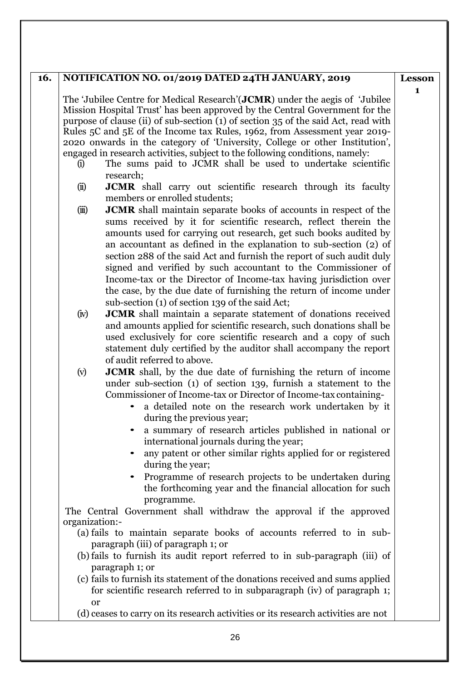## **16. NOTIFICATION NO. 01/2019 DATED 24TH JANUARY, 2019**

The 'Jubilee Centre for Medical Research'(**JCMR**) under the aegis of 'Jubilee Mission Hospital Trust' has been approved by the Central Government for the purpose of clause (ii) of sub-section (1) of section 35 of the said Act, read with Rules 5C and 5E of the Income tax Rules, 1962, from Assessment year 2019- 2020 onwards in the category of 'University, College or other Institution', engaged in research activities, subject to the following conditions, namely:

- (i) The sums paid to JCMR shall be used to undertake scientific research;
- (ii) **JCMR** shall carry out scientific research through its faculty members or enrolled students;
- (iii) **JCMR** shall maintain separate books of accounts in respect of the sums received by it for scientific research, reflect therein the amounts used for carrying out research, get such books audited by an accountant as defined in the explanation to sub-section (2) of section 288 of the said Act and furnish the report of such audit duly signed and verified by such accountant to the Commissioner of Income-tax or the Director of Income-tax having jurisdiction over the case, by the due date of furnishing the return of income under sub-section (1) of section 139 of the said Act;
- (iv) **JCMR** shall maintain a separate statement of donations received and amounts applied for scientific research, such donations shall be used exclusively for core scientific research and a copy of such statement duly certified by the auditor shall accompany the report of audit referred to above.
- (v) **JCMR** shall, by the due date of furnishing the return of income under sub-section (1) of section 139, furnish a statement to the Commissioner of Income-tax or Director of Income-tax containing
	- a detailed note on the research work undertaken by it during the previous year;
	- a summary of research articles published in national or international journals during the year;
	- any patent or other similar rights applied for or registered during the year;
	- Programme of research projects to be undertaken during the forthcoming year and the financial allocation for such programme.

The Central Government shall withdraw the approval if the approved organization:-

- (a) fails to maintain separate books of accounts referred to in subparagraph (iii) of paragraph 1; or
- (b) fails to furnish its audit report referred to in sub-paragraph (iii) of paragraph 1; or
- (c) fails to furnish its statement of the donations received and sums applied for scientific research referred to in subparagraph (iv) of paragraph 1; or
- (d) ceases to carry on its research activities or its research activities are not

**Lesson 1**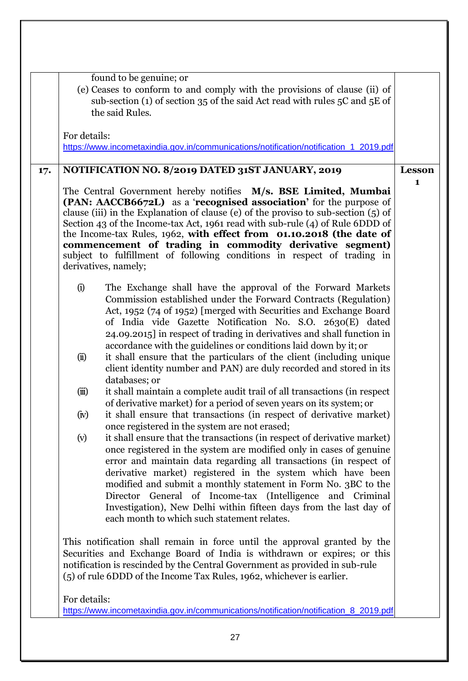|     | found to be genuine; or<br>(e) Ceases to conform to and comply with the provisions of clause (ii) of<br>sub-section (1) of section 35 of the said Act read with rules 5C and 5E of<br>the said Rules.                                                                                                                                                                                                                                                                                                                                                 |               |
|-----|-------------------------------------------------------------------------------------------------------------------------------------------------------------------------------------------------------------------------------------------------------------------------------------------------------------------------------------------------------------------------------------------------------------------------------------------------------------------------------------------------------------------------------------------------------|---------------|
|     | For details:<br>https://www.incometaxindia.gov.in/communications/notification/notification_1_2019.pdf                                                                                                                                                                                                                                                                                                                                                                                                                                                 |               |
| 17. | NOTIFICATION NO. 8/2019 DATED 31ST JANUARY, 2019                                                                                                                                                                                                                                                                                                                                                                                                                                                                                                      | <b>Lesson</b> |
|     | The Central Government hereby notifies M/s. BSE Limited, Mumbai<br>(PAN: AACCB6672L) as a 'recognised association' for the purpose of<br>clause (iii) in the Explanation of clause (e) of the proviso to sub-section $(5)$ of<br>Section 43 of the Income-tax Act, 1961 read with sub-rule (4) of Rule 6DDD of<br>the Income-tax Rules, 1962, with effect from 01.10.2018 (the date of<br>commencement of trading in commodity derivative segment)<br>subject to fulfillment of following conditions in respect of trading in<br>derivatives, namely; | $\mathbf{1}$  |
|     | (i)<br>The Exchange shall have the approval of the Forward Markets<br>Commission established under the Forward Contracts (Regulation)<br>Act, 1952 (74 of 1952) [merged with Securities and Exchange Board<br>of India vide Gazette Notification No. S.O. 2630(E) dated<br>24.09.2015] in respect of trading in derivatives and shall function in<br>accordance with the guidelines or conditions laid down by it; or                                                                                                                                 |               |
|     | it shall ensure that the particulars of the client (including unique<br>(ii)<br>client identity number and PAN) are duly recorded and stored in its<br>databases; or                                                                                                                                                                                                                                                                                                                                                                                  |               |
|     | it shall maintain a complete audit trail of all transactions (in respect)<br>(iii)<br>of derivative market) for a period of seven years on its system; or<br>$\left(\mathrm{iv}\right)$<br>it shall ensure that transactions (in respect of derivative market)<br>once registered in the system are not erased;                                                                                                                                                                                                                                       |               |
|     | it shall ensure that the transactions (in respect of derivative market)<br>(v)<br>once registered in the system are modified only in cases of genuine<br>error and maintain data regarding all transactions (in respect of<br>derivative market) registered in the system which have been<br>modified and submit a monthly statement in Form No. 3BC to the<br>Director General of Income-tax (Intelligence<br>and Criminal<br>Investigation), New Delhi within fifteen days from the last day of<br>each month to which such statement relates.      |               |
|     | This notification shall remain in force until the approval granted by the<br>Securities and Exchange Board of India is withdrawn or expires; or this<br>notification is rescinded by the Central Government as provided in sub-rule<br>(5) of rule 6DDD of the Income Tax Rules, 1962, whichever is earlier.                                                                                                                                                                                                                                          |               |
|     | For details:<br>https://www.incometaxindia.gov.in/communications/notification/notification_8_2019.pdf                                                                                                                                                                                                                                                                                                                                                                                                                                                 |               |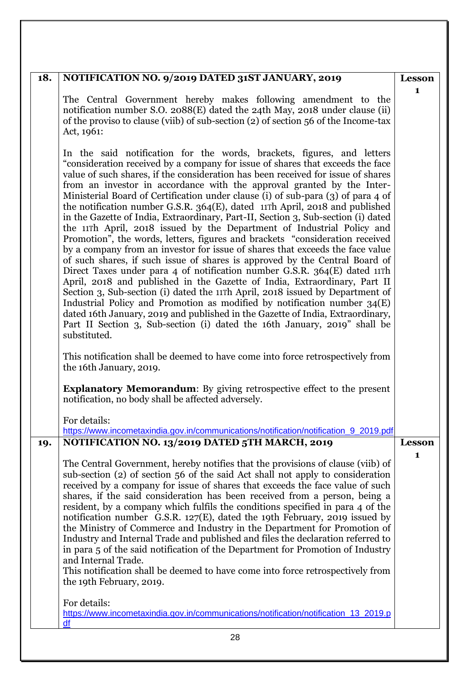| 18. | NOTIFICATION NO. 9/2019 DATED 31ST JANUARY, 2019                                                                                                                                                                                                                                                                                                                                                                                                                                                                                                                                                                                                                                                                                                                                                                                                                                                                                                                                                                                                                                                                                                                                                                                                                                                                                                                                                                             | <b>Lesson</b>                 |
|-----|------------------------------------------------------------------------------------------------------------------------------------------------------------------------------------------------------------------------------------------------------------------------------------------------------------------------------------------------------------------------------------------------------------------------------------------------------------------------------------------------------------------------------------------------------------------------------------------------------------------------------------------------------------------------------------------------------------------------------------------------------------------------------------------------------------------------------------------------------------------------------------------------------------------------------------------------------------------------------------------------------------------------------------------------------------------------------------------------------------------------------------------------------------------------------------------------------------------------------------------------------------------------------------------------------------------------------------------------------------------------------------------------------------------------------|-------------------------------|
|     | The Central Government hereby makes following amendment to the<br>notification number S.O. 2088(E) dated the 24th May, 2018 under clause (ii)<br>of the proviso to clause (viib) of sub-section (2) of section 56 of the Income-tax<br>Act, 1961:                                                                                                                                                                                                                                                                                                                                                                                                                                                                                                                                                                                                                                                                                                                                                                                                                                                                                                                                                                                                                                                                                                                                                                            | 1                             |
|     | In the said notification for the words, brackets, figures, and letters<br>"consideration received by a company for issue of shares that exceeds the face<br>value of such shares, if the consideration has been received for issue of shares<br>from an investor in accordance with the approval granted by the Inter-<br>Ministerial Board of Certification under clause (i) of sub-para (3) of para 4 of<br>the notification number G.S.R. 364(E), dated 11Th April, 2018 and published<br>in the Gazette of India, Extraordinary, Part-II, Section 3, Sub-section (i) dated<br>the 11Th April, 2018 issued by the Department of Industrial Policy and<br>Promotion", the words, letters, figures and brackets "consideration received<br>by a company from an investor for issue of shares that exceeds the face value<br>of such shares, if such issue of shares is approved by the Central Board of<br>Direct Taxes under para 4 of notification number G.S.R. 364(E) dated 11Th<br>April, 2018 and published in the Gazette of India, Extraordinary, Part II<br>Section 3, Sub-section (i) dated the 11 <sup>Th</sup> April, 2018 issued by Department of<br>Industrial Policy and Promotion as modified by notification number $34(E)$<br>dated 16th January, 2019 and published in the Gazette of India, Extraordinary,<br>Part II Section 3, Sub-section (i) dated the 16th January, 2019" shall be<br>substituted. |                               |
|     | This notification shall be deemed to have come into force retrospectively from<br>the 16th January, 2019.                                                                                                                                                                                                                                                                                                                                                                                                                                                                                                                                                                                                                                                                                                                                                                                                                                                                                                                                                                                                                                                                                                                                                                                                                                                                                                                    |                               |
|     | <b>Explanatory Memorandum:</b> By giving retrospective effect to the present<br>notification, no body shall be affected adversely.                                                                                                                                                                                                                                                                                                                                                                                                                                                                                                                                                                                                                                                                                                                                                                                                                                                                                                                                                                                                                                                                                                                                                                                                                                                                                           |                               |
|     | For details:<br>https://www.incometaxindia.gov.in/communications/notification/notification_9_2019.pdf                                                                                                                                                                                                                                                                                                                                                                                                                                                                                                                                                                                                                                                                                                                                                                                                                                                                                                                                                                                                                                                                                                                                                                                                                                                                                                                        |                               |
| 19. | NOTIFICATION NO. 13/2019 DATED 5TH MARCH, 2019<br>The Central Government, hereby notifies that the provisions of clause (viib) of<br>sub-section (2) of section 56 of the said Act shall not apply to consideration<br>received by a company for issue of shares that exceeds the face value of such<br>shares, if the said consideration has been received from a person, being a<br>resident, by a company which fulfils the conditions specified in para 4 of the<br>notification number G.S.R. 127(E), dated the 19th February, 2019 issued by<br>the Ministry of Commerce and Industry in the Department for Promotion of<br>Industry and Internal Trade and published and files the declaration referred to<br>in para 5 of the said notification of the Department for Promotion of Industry<br>and Internal Trade.<br>This notification shall be deemed to have come into force retrospectively from<br>the 19th February, 2019.                                                                                                                                                                                                                                                                                                                                                                                                                                                                                     | <b>Lesson</b><br>$\mathbf{1}$ |
|     | For details:<br>https://www.incometaxindia.gov.in/communications/notification/notification_13_2019.p<br>df                                                                                                                                                                                                                                                                                                                                                                                                                                                                                                                                                                                                                                                                                                                                                                                                                                                                                                                                                                                                                                                                                                                                                                                                                                                                                                                   |                               |
|     | 28                                                                                                                                                                                                                                                                                                                                                                                                                                                                                                                                                                                                                                                                                                                                                                                                                                                                                                                                                                                                                                                                                                                                                                                                                                                                                                                                                                                                                           |                               |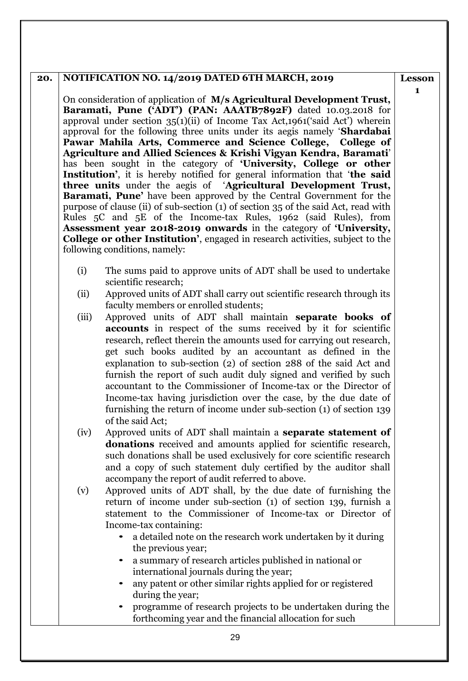## **20. NOTIFICATION NO. 14/2019 DATED 6TH MARCH, 2019**

On consideration of application of **M/s Agricultural Development Trust, Baramati, Pune ('ADT') (PAN: AAATB7892F)** dated 10.03.2018 for approval under section  $35(1)(ii)$  of Income Tax Act,1961('said Act') wherein approval for the following three units under its aegis namely '**Shardabai Pawar Mahila Arts, Commerce and Science College, College of Agriculture and Allied Sciences & Krishi Vigyan Kendra, Baramati**' has been sought in the category of **'University, College or other Institution'**, it is hereby notified for general information that '**the said three units** under the aegis of '**Agricultural Development Trust, Baramati, Pune'** have been approved by the Central Government for the purpose of clause (ii) of sub-section (1) of section 35 of the said Act, read with Rules 5C and 5E of the Income-tax Rules, 1962 (said Rules), from **Assessment year 2018-2019 onwards** in the category of **'University, College or other Institution'**, engaged in research activities, subject to the following conditions, namely:

- (i) The sums paid to approve units of ADT shall be used to undertake scientific research;
- (ii) Approved units of ADT shall carry out scientific research through its faculty members or enrolled students;
- (iii) Approved units of ADT shall maintain **separate books of accounts** in respect of the sums received by it for scientific research, reflect therein the amounts used for carrying out research, get such books audited by an accountant as defined in the explanation to sub-section (2) of section 288 of the said Act and furnish the report of such audit duly signed and verified by such accountant to the Commissioner of Income-tax or the Director of Income-tax having jurisdiction over the case, by the due date of furnishing the return of income under sub-section (1) of section 139 of the said Act;
- (iv) Approved units of ADT shall maintain a **separate statement of donations** received and amounts applied for scientific research, such donations shall be used exclusively for core scientific research and a copy of such statement duly certified by the auditor shall accompany the report of audit referred to above.
- (v) Approved units of ADT shall, by the due date of furnishing the return of income under sub-section (1) of section 139, furnish a statement to the Commissioner of Income-tax or Director of Income-tax containing:
	- a detailed note on the research work undertaken by it during the previous year;
	- a summary of research articles published in national or international journals during the year;
	- any patent or other similar rights applied for or registered during the year;
	- programme of research projects to be undertaken during the forthcoming year and the financial allocation for such

**Lesson 1**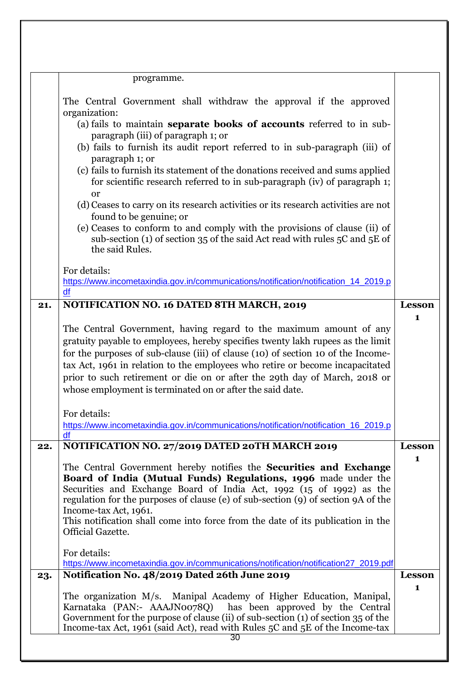|     | programme.                                                                                                                                                                                                                                                                                                                                                                                                                                                            |                               |
|-----|-----------------------------------------------------------------------------------------------------------------------------------------------------------------------------------------------------------------------------------------------------------------------------------------------------------------------------------------------------------------------------------------------------------------------------------------------------------------------|-------------------------------|
|     | The Central Government shall withdraw the approval if the approved<br>organization:<br>(a) fails to maintain separate books of accounts referred to in sub-<br>paragraph (iii) of paragraph 1; or                                                                                                                                                                                                                                                                     |                               |
|     | (b) fails to furnish its audit report referred to in sub-paragraph (iii) of<br>paragraph 1; or<br>(c) fails to furnish its statement of the donations received and sums applied                                                                                                                                                                                                                                                                                       |                               |
|     | for scientific research referred to in sub-paragraph (iv) of paragraph 1;<br><b>or</b>                                                                                                                                                                                                                                                                                                                                                                                |                               |
|     | (d) Ceases to carry on its research activities or its research activities are not<br>found to be genuine; or                                                                                                                                                                                                                                                                                                                                                          |                               |
|     | (e) Ceases to conform to and comply with the provisions of clause (ii) of<br>sub-section (1) of section 35 of the said Act read with rules 5C and 5E of<br>the said Rules.                                                                                                                                                                                                                                                                                            |                               |
|     | For details:<br>https://www.incometaxindia.gov.in/communications/notification/notification_14_2019.p                                                                                                                                                                                                                                                                                                                                                                  |                               |
|     | df                                                                                                                                                                                                                                                                                                                                                                                                                                                                    |                               |
| 21. | NOTIFICATION NO. 16 DATED 8TH MARCH, 2019                                                                                                                                                                                                                                                                                                                                                                                                                             | <b>Lesson</b><br>$\mathbf{1}$ |
|     | The Central Government, having regard to the maximum amount of any<br>gratuity payable to employees, hereby specifies twenty lakh rupees as the limit<br>for the purposes of sub-clause (iii) of clause (10) of section 10 of the Income-<br>tax Act, 1961 in relation to the employees who retire or become incapacitated<br>prior to such retirement or die on or after the 29th day of March, 2018 or<br>whose employment is terminated on or after the said date. |                               |
|     | For details:<br>https://www.incometaxindia.gov.in/communications/notification/notification_16_2019.p<br>df                                                                                                                                                                                                                                                                                                                                                            |                               |
| 22. | NOTIFICATION NO. 27/2019 DATED 20TH MARCH 2019                                                                                                                                                                                                                                                                                                                                                                                                                        | <b>Lesson</b>                 |
|     | The Central Government hereby notifies the <b>Securities and Exchange</b><br>Board of India (Mutual Funds) Regulations, 1996 made under the<br>Securities and Exchange Board of India Act, 1992 (15 of 1992) as the<br>regulation for the purposes of clause (e) of sub-section (9) of section 9A of the<br>Income-tax Act, 1961.<br>This notification shall come into force from the date of its publication in the<br>Official Gazette.                             | $\mathbf{1}$                  |
|     | For details:<br>https://www.incometaxindia.gov.in/communications/notification/notification27_2019.pdf                                                                                                                                                                                                                                                                                                                                                                 |                               |
| 23. | Notification No. 48/2019 Dated 26th June 2019                                                                                                                                                                                                                                                                                                                                                                                                                         | <b>Lesson</b><br>1            |
|     | The organization M/s. Manipal Academy of Higher Education, Manipal,<br>Karnataka (PAN:- AAAJN0078Q)<br>has been approved by the Central                                                                                                                                                                                                                                                                                                                               |                               |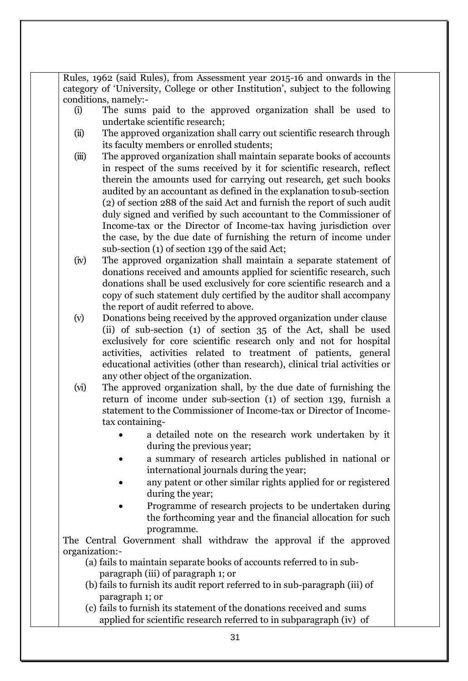Rules, 1962 (said Rules), from Assessment year 2015-16 and onwards in the category of 'University, College or other Institution', subject to the following conditions, namely:-

- (i) The sums paid to the approved organization shall be used to undertake scientific research;
- (ii) The approved organization shall carry out scientific research through its faculty members or enrolled students;
- (iii) The approved organization shall maintain separate books of accounts in respect of the sums received by it for scientific research, reflect therein the amounts used for carrying out research, get such books audited by an accountant as defined in the explanation tosub-section (2) of section 288 of the said Act and furnish the report of such audit duly signed and verified by such accountant to the Commissioner of Income-tax or the Director of Income-tax having jurisdiction over the case, by the due date of furnishing the return of income under sub-section (1) of section 139 of the said Act;
- (iv) The approved organization shall maintain a separate statement of donations received and amounts applied for scientific research, such donations shall be used exclusively for core scientific research and a copy of such statement duly certified by the auditor shall accompany the report of audit referred to above.
- (v) Donations being received by the approved organization under clause (ii) of sub-section (1) of section 35 of the Act, shall be used exclusively for core scientific research only and not for hospital activities, activities related to treatment of patients, general educational activities (other than research), clinical trial activities or any other object of the organization.
- (vi) The approved organization shall, by the due date of furnishing the return of income under sub-section (1) of section 139, furnish a statement to the Commissioner of Income-tax or Director of Incometax containing-
	- a detailed note on the research work undertaken by it during the previous year;
	- a summary of research articles published in national or international journals during the year;
	- any patent or other similar rights applied for or registered during the year;
	- Programme of research projects to be undertaken during the forthcoming year and the financial allocation for such programme.

The Central Government shall withdraw the approval if the approved organization:-

- (a) fails to maintain separate books of accounts referred to in subparagraph (iii) of paragraph 1; or
- (b) fails to furnish its audit report referred to in sub-paragraph (iii) of paragraph 1; or
- (c) fails to furnish its statement of the donations received and sums applied for scientific research referred to in subparagraph (iv) of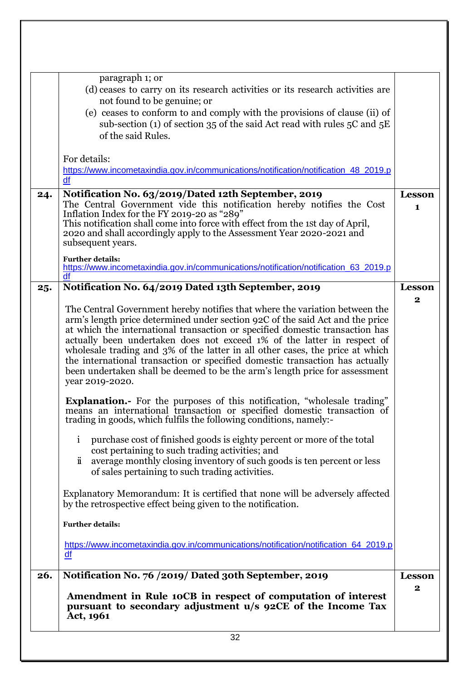|     | Amendment in Rule 10CB in respect of computation of interest<br>pursuant to secondary adjustment u/s 92CE of the Income Tax<br>Act, 1961<br>32                                                                                                                                                                                                                                                                                                                                                                                                                                             |                              |
|-----|--------------------------------------------------------------------------------------------------------------------------------------------------------------------------------------------------------------------------------------------------------------------------------------------------------------------------------------------------------------------------------------------------------------------------------------------------------------------------------------------------------------------------------------------------------------------------------------------|------------------------------|
| 26. | Notification No. 76 /2019/ Dated 30th September, 2019                                                                                                                                                                                                                                                                                                                                                                                                                                                                                                                                      | Lesson<br>$\mathbf{2}$       |
|     | https://www.incometaxindia.gov.in/communications/notification/notification_64_2019.p<br>df                                                                                                                                                                                                                                                                                                                                                                                                                                                                                                 |                              |
|     | <b>Further details:</b>                                                                                                                                                                                                                                                                                                                                                                                                                                                                                                                                                                    |                              |
|     | by the retrospective effect being given to the notification.                                                                                                                                                                                                                                                                                                                                                                                                                                                                                                                               |                              |
|     | Explanatory Memorandum: It is certified that none will be adversely affected                                                                                                                                                                                                                                                                                                                                                                                                                                                                                                               |                              |
|     | $\ddot{\mathbf{i}}$<br>average monthly closing inventory of such goods is ten percent or less<br>of sales pertaining to such trading activities.                                                                                                                                                                                                                                                                                                                                                                                                                                           |                              |
|     | purchase cost of finished goods is eighty percent or more of the total<br>$\mathbf{i}$<br>cost pertaining to such trading activities; and                                                                                                                                                                                                                                                                                                                                                                                                                                                  |                              |
|     | Explanation.- For the purposes of this notification, "wholesale trading"<br>means an international transaction or specified domestic transaction of<br>trading in goods, which fulfils the following conditions, namely:-                                                                                                                                                                                                                                                                                                                                                                  |                              |
|     | The Central Government hereby notifies that where the variation between the<br>arm's length price determined under section 92C of the said Act and the price<br>at which the international transaction or specified domestic transaction has<br>actually been undertaken does not exceed 1% of the latter in respect of<br>wholesale trading and 3% of the latter in all other cases, the price at which<br>the international transaction or specified domestic transaction has actually<br>been undertaken shall be deemed to be the arm's length price for assessment<br>year 2019-2020. |                              |
| 25. | Notification No. 64/2019 Dated 13th September, 2019                                                                                                                                                                                                                                                                                                                                                                                                                                                                                                                                        | <b>Lesson</b><br>$\mathbf 2$ |
|     | <b>Further details:</b><br>https://www.incometaxindia.gov.in/communications/notification/notification_63_2019.p<br>df                                                                                                                                                                                                                                                                                                                                                                                                                                                                      |                              |
|     | Inflation Index for the FY 2019-20 as "289"<br>This notification shall come into force with effect from the 1st day of April,<br>2020 and shall accordingly apply to the Assessment Year 2020-2021 and<br>subsequent years.                                                                                                                                                                                                                                                                                                                                                                |                              |
| 24. | Notification No. 63/2019/Dated 12th September, 2019<br>The Central Government vide this notification hereby notifies the Cost                                                                                                                                                                                                                                                                                                                                                                                                                                                              | Lesson<br>$\mathbf{1}$       |
|     | For details:<br>https://www.incometaxindia.gov.in/communications/notification/notification 48 2019.p<br>df                                                                                                                                                                                                                                                                                                                                                                                                                                                                                 |                              |
|     | not found to be genuine; or<br>(e) ceases to conform to and comply with the provisions of clause (ii) of<br>sub-section (1) of section 35 of the said Act read with rules $5C$ and $5E$<br>of the said Rules.                                                                                                                                                                                                                                                                                                                                                                              |                              |
|     | paragraph 1; or<br>(d) ceases to carry on its research activities or its research activities are                                                                                                                                                                                                                                                                                                                                                                                                                                                                                           |                              |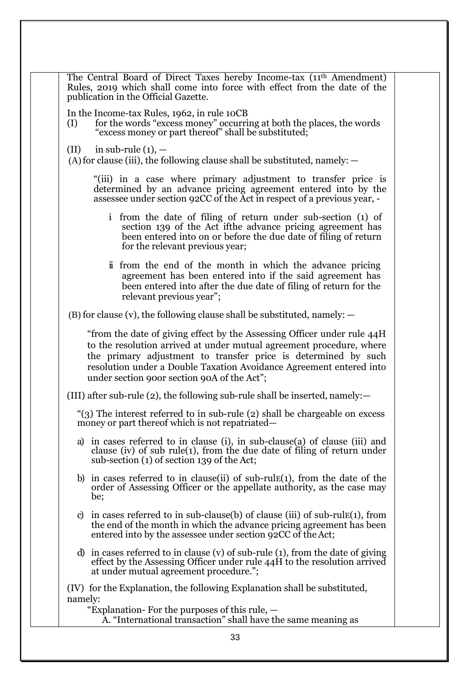| The Central Board of Direct Taxes hereby Income-tax (11 <sup>th</sup> Amendment)<br>Rules, 2019 which shall come into force with effect from the date of the<br>publication in the Official Gazette.                                                                                                                                    |  |
|-----------------------------------------------------------------------------------------------------------------------------------------------------------------------------------------------------------------------------------------------------------------------------------------------------------------------------------------|--|
| In the Income-tax Rules, 1962, in rule 10CB<br>for the words "excess money" occurring at both the places, the words<br>(I)<br>"excess money or part thereof" shall be substituted;                                                                                                                                                      |  |
| in sub-rule $(1)$ , $-$<br>(II)<br>$(A)$ for clause (iii), the following clause shall be substituted, namely: $-$                                                                                                                                                                                                                       |  |
| "(iii) in a case where primary adjustment to transfer price is<br>determined by an advance pricing agreement entered into by the<br>assessee under section 92CC of the Act in respect of a previous year, -                                                                                                                             |  |
| from the date of filing of return under sub-section (1) of<br>$\mathbf{i}$<br>section 139 of the Act ifthe advance pricing agreement has<br>been entered into on or before the due date of filing of return<br>for the relevant previous year;                                                                                          |  |
| in from the end of the month in which the advance pricing<br>agreement has been entered into if the said agreement has<br>been entered into after the due date of filing of return for the<br>relevant previous year";                                                                                                                  |  |
| $(B)$ for clause (v), the following clause shall be substituted, namely: $-$                                                                                                                                                                                                                                                            |  |
| "from the date of giving effect by the Assessing Officer under rule 44H<br>to the resolution arrived at under mutual agreement procedure, where<br>the primary adjustment to transfer price is determined by such<br>resolution under a Double Taxation Avoidance Agreement entered into<br>under section 900r section 90A of the Act"; |  |
| (III) after sub-rule (2), the following sub-rule shall be inserted, namely: $-$                                                                                                                                                                                                                                                         |  |
| "(3) The interest referred to in sub-rule (2) shall be chargeable on excess<br>money or part thereof which is not repatriated—                                                                                                                                                                                                          |  |
| in cases referred to in clause (i), in sub-clause (a) of clause (iii) and<br>a)<br>clause (iv) of sub rule(1), from the due date of filing of return under<br>sub-section (1) of section 139 of the Act;                                                                                                                                |  |
| b) in cases referred to in clause (ii) of sub-rule $(1)$ , from the date of the<br>order of Assessing Officer or the appellate authority, as the case may<br>be;                                                                                                                                                                        |  |
| c) in cases referred to in sub-clause(b) of clause (iii) of sub-rule(1), from<br>the end of the month in which the advance pricing agreement has been<br>entered into by the assessee under section 92CC of the Act;                                                                                                                    |  |
| d) in cases referred to in clause (v) of sub-rule $(1)$ , from the date of giving<br>effect by the Assessing Officer under rule 44H to the resolution arrived<br>at under mutual agreement procedure.";                                                                                                                                 |  |
| (IV) for the Explanation, the following Explanation shall be substituted,<br>namely:<br>"Explanation- For the purposes of this rule, —                                                                                                                                                                                                  |  |
| A. "International transaction" shall have the same meaning as                                                                                                                                                                                                                                                                           |  |
| 33                                                                                                                                                                                                                                                                                                                                      |  |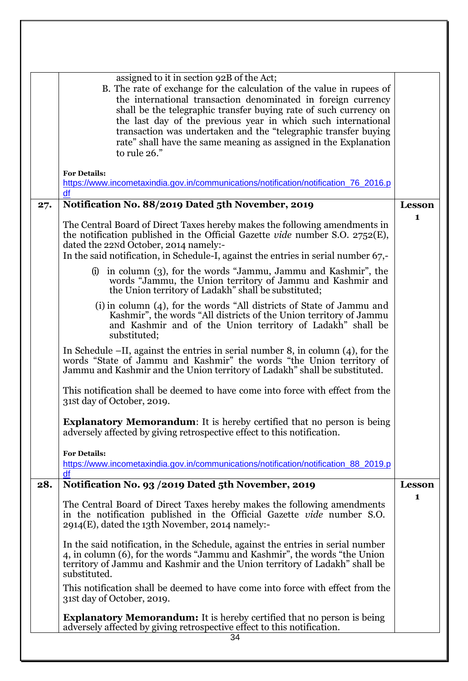|     | assigned to it in section 92B of the Act;<br>B. The rate of exchange for the calculation of the value in rupees of<br>the international transaction denominated in foreign currency<br>shall be the telegraphic transfer buying rate of such currency on<br>the last day of the previous year in which such international<br>transaction was undertaken and the "telegraphic transfer buying<br>rate" shall have the same meaning as assigned in the Explanation<br>to rule 26." |               |
|-----|----------------------------------------------------------------------------------------------------------------------------------------------------------------------------------------------------------------------------------------------------------------------------------------------------------------------------------------------------------------------------------------------------------------------------------------------------------------------------------|---------------|
|     | <b>For Details:</b><br>https://www.incometaxindia.gov.in/communications/notification/notification_76_2016.p<br>df                                                                                                                                                                                                                                                                                                                                                                |               |
| 27. | Notification No. 88/2019 Dated 5th November, 2019                                                                                                                                                                                                                                                                                                                                                                                                                                | <b>Lesson</b> |
|     | The Central Board of Direct Taxes hereby makes the following amendments in<br>the notification published in the Official Gazette vide number S.O. 2752(E),<br>dated the 22Nd October, 2014 namely:-<br>In the said notification, in Schedule-I, against the entries in serial number 67,-                                                                                                                                                                                        | 1             |
|     | in column (3), for the words "Jammu, Jammu and Kashmir", the<br>(i)<br>words "Jammu, the Union territory of Jammu and Kashmir and<br>the Union territory of Ladakh" shall be substituted;                                                                                                                                                                                                                                                                                        |               |
|     | (i) in column (4), for the words "All districts of State of Jammu and<br>Kashmir", the words "All districts of the Union territory of Jammu<br>and Kashmir and of the Union territory of Ladakh" shall be<br>substituted;                                                                                                                                                                                                                                                        |               |
|     | In Schedule $-II$ , against the entries in serial number 8, in column (4), for the<br>words "State of Jammu and Kashmir" the words "the Union territory of<br>Jammu and Kashmir and the Union territory of Ladakh" shall be substituted.                                                                                                                                                                                                                                         |               |
|     | This notification shall be deemed to have come into force with effect from the<br>31st day of October, 2019.                                                                                                                                                                                                                                                                                                                                                                     |               |
|     | <b>Explanatory Memorandum:</b> It is hereby certified that no person is being<br>adversely affected by giving retrospective effect to this notification.                                                                                                                                                                                                                                                                                                                         |               |
|     | <b>For Details:</b><br>https://www.incometaxindia.gov.in/communications/notification/notification_88_2019.p<br>df                                                                                                                                                                                                                                                                                                                                                                |               |
| 28. | Notification No. 93 / 2019 Dated 5th November, 2019                                                                                                                                                                                                                                                                                                                                                                                                                              | <b>Lesson</b> |
|     | The Central Board of Direct Taxes hereby makes the following amendments<br>in the notification published in the Official Gazette vide number S.O.<br>$2914(E)$ , dated the 13th November, 2014 namely:-                                                                                                                                                                                                                                                                          | 1             |
|     | In the said notification, in the Schedule, against the entries in serial number<br>4, in column (6), for the words "Jammu and Kashmir", the words "the Union<br>territory of Jammu and Kashmir and the Union territory of Ladakh" shall be<br>substituted.                                                                                                                                                                                                                       |               |
|     | This notification shall be deemed to have come into force with effect from the<br>31st day of October, 2019.                                                                                                                                                                                                                                                                                                                                                                     |               |
|     | <b>Explanatory Memorandum:</b> It is hereby certified that no person is being<br>adversely affected by giving retrospective effect to this notification.<br>34                                                                                                                                                                                                                                                                                                                   |               |
|     |                                                                                                                                                                                                                                                                                                                                                                                                                                                                                  |               |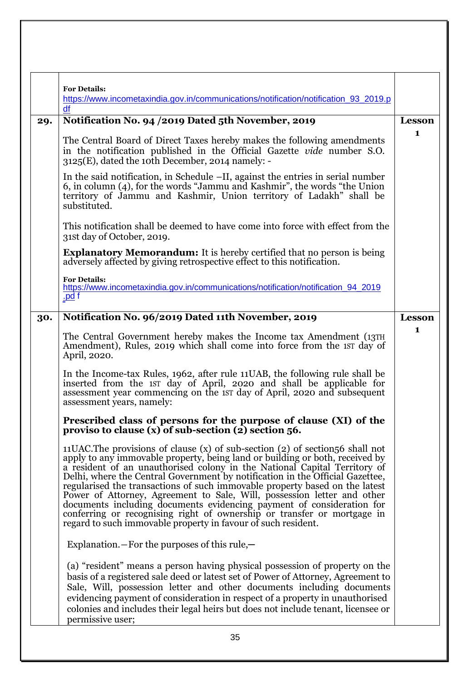|     | <b>For Details:</b><br>https://www.incometaxindia.gov.in/communications/notification/notification_93_2019.p<br>df                                                                                                                                                                                                                                                                                                                                                                                                                                                                                                                                                                                                 |               |
|-----|-------------------------------------------------------------------------------------------------------------------------------------------------------------------------------------------------------------------------------------------------------------------------------------------------------------------------------------------------------------------------------------------------------------------------------------------------------------------------------------------------------------------------------------------------------------------------------------------------------------------------------------------------------------------------------------------------------------------|---------------|
| 29. | Notification No. 94 /2019 Dated 5th November, 2019                                                                                                                                                                                                                                                                                                                                                                                                                                                                                                                                                                                                                                                                | <b>Lesson</b> |
|     | The Central Board of Direct Taxes hereby makes the following amendments<br>in the notification published in the Official Gazette vide number S.O.<br>$3125(E)$ , dated the 10th December, 2014 namely: -                                                                                                                                                                                                                                                                                                                                                                                                                                                                                                          | 1             |
|     | In the said notification, in Schedule $-II$ , against the entries in serial number<br>6, in column (4), for the words "Jammu and Kashmir", the words "the Union<br>territory of Jammu and Kashmir, Union territory of Ladakh" shall be<br>substituted.                                                                                                                                                                                                                                                                                                                                                                                                                                                            |               |
|     | This notification shall be deemed to have come into force with effect from the<br>31st day of October, 2019.                                                                                                                                                                                                                                                                                                                                                                                                                                                                                                                                                                                                      |               |
|     | <b>Explanatory Memorandum:</b> It is hereby certified that no person is being<br>adversely affected by giving retrospective effect to this notification.                                                                                                                                                                                                                                                                                                                                                                                                                                                                                                                                                          |               |
|     | <b>For Details:</b><br>https://www.incometaxindia.gov.in/communications/notification/notification_94_2019<br><u>.pd</u> f                                                                                                                                                                                                                                                                                                                                                                                                                                                                                                                                                                                         |               |
| 30. | Notification No. 96/2019 Dated 11th November, 2019                                                                                                                                                                                                                                                                                                                                                                                                                                                                                                                                                                                                                                                                | <b>Lesson</b> |
|     | The Central Government hereby makes the Income tax Amendment (13TH)<br>Amendment), Rules, 2019 which shall come into force from the 1st day of<br>April, 2020.                                                                                                                                                                                                                                                                                                                                                                                                                                                                                                                                                    | 1             |
|     | In the Income-tax Rules, 1962, after rule 11 UAB, the following rule shall be<br>inserted from the 1st day of April, 2020 and shall be applicable for<br>assessment year commencing on the 1st day of April, 2020 and subsequent<br>assessment years, namely:                                                                                                                                                                                                                                                                                                                                                                                                                                                     |               |
|     | Prescribed class of persons for the purpose of clause (XI) of the<br>proviso to clause $(x)$ of sub-section $(2)$ section 56.                                                                                                                                                                                                                                                                                                                                                                                                                                                                                                                                                                                     |               |
|     | 11UAC. The provisions of clause $(x)$ of sub-section $(2)$ of section $56$ shall not<br>apply to any immovable property, being land or building or both, received by<br>a resident of an unauthorised colony in the National Capital Territory of<br>Delhi, where the Central Government by notification in the Official Gazettee,<br>regularised the transactions of such immovable property based on the latest<br>Power of Attorney, Agreement to Sale, Will, possession letter and other<br>documents including documents evidencing payment of consideration for<br>conferring or recognising right of ownership or transfer or mortgage in<br>regard to such immovable property in favour of such resident. |               |
|     | Explanation. $-$ For the purposes of this rule, $-$                                                                                                                                                                                                                                                                                                                                                                                                                                                                                                                                                                                                                                                               |               |
|     | (a) "resident" means a person having physical possession of property on the<br>basis of a registered sale deed or latest set of Power of Attorney, Agreement to<br>Sale, Will, possession letter and other documents including documents<br>evidencing payment of consideration in respect of a property in unauthorised<br>colonies and includes their legal heirs but does not include tenant, licensee or<br>permissive user;                                                                                                                                                                                                                                                                                  |               |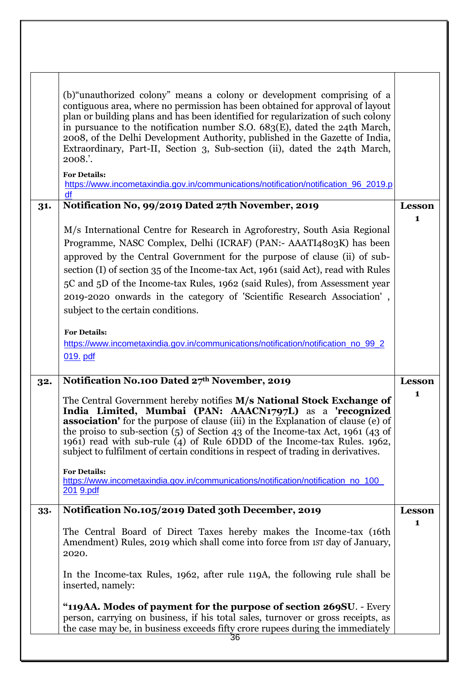| 31. | (b) "unauthorized colony" means a colony or development comprising of a<br>contiguous area, where no permission has been obtained for approval of layout<br>plan or building plans and has been identified for regularization of such colony<br>in pursuance to the notification number S.O. $683(E)$ , dated the 24th March,<br>2008, of the Delhi Development Authority, published in the Gazette of India,<br>Extraordinary, Part-II, Section 3, Sub-section (ii), dated the 24th March,<br>$2008$ .<br><b>For Details:</b><br>https://www.incometaxindia.gov.in/communications/notification/notification_96_2019.p<br>df<br>Notification No, 99/2019 Dated 27th November, 2019<br>M/s International Centre for Research in Agroforestry, South Asia Regional<br>Programme, NASC Complex, Delhi (ICRAF) (PAN:- AAATI4803K) has been<br>approved by the Central Government for the purpose of clause (ii) of sub-<br>section (I) of section 35 of the Income-tax Act, 1961 (said Act), read with Rules<br>5C and 5D of the Income-tax Rules, 1962 (said Rules), from Assessment year<br>2019-2020 onwards in the category of 'Scientific Research Association',<br>subject to the certain conditions.<br><b>For Details:</b><br>https://www.incometaxindia.gov.in/communications/notification/notification_no_99_2 | <b>Lesson</b><br>1 |
|-----|----------------------------------------------------------------------------------------------------------------------------------------------------------------------------------------------------------------------------------------------------------------------------------------------------------------------------------------------------------------------------------------------------------------------------------------------------------------------------------------------------------------------------------------------------------------------------------------------------------------------------------------------------------------------------------------------------------------------------------------------------------------------------------------------------------------------------------------------------------------------------------------------------------------------------------------------------------------------------------------------------------------------------------------------------------------------------------------------------------------------------------------------------------------------------------------------------------------------------------------------------------------------------------------------------------------------|--------------------|
|     | 019. pdf                                                                                                                                                                                                                                                                                                                                                                                                                                                                                                                                                                                                                                                                                                                                                                                                                                                                                                                                                                                                                                                                                                                                                                                                                                                                                                             |                    |
| 32. | Notification No.100 Dated 27th November, 2019                                                                                                                                                                                                                                                                                                                                                                                                                                                                                                                                                                                                                                                                                                                                                                                                                                                                                                                                                                                                                                                                                                                                                                                                                                                                        | Lesson             |
|     | The Central Government hereby notifies M/s National Stock Exchange of<br>India Limited, Mumbai (PAN: AAACN1797L) as a 'recognized<br><b>association'</b> for the purpose of clause (iii) in the Explanation of clause (e) of<br>the proiso to sub-section $(5)$ of Section 43 of the Income-tax Act, 1961 (43 of<br>1961) read with sub-rule (4) of Rule 6DDD of the Income-tax Rules. 1962,<br>subject to fulfilment of certain conditions in respect of trading in derivatives.<br><b>For Details:</b><br>https://www.incometaxindia.gov.in/communications/notification/notification no 100<br>201 9.pdf                                                                                                                                                                                                                                                                                                                                                                                                                                                                                                                                                                                                                                                                                                           | 1                  |
| 33. | Notification No.105/2019 Dated 30th December, 2019                                                                                                                                                                                                                                                                                                                                                                                                                                                                                                                                                                                                                                                                                                                                                                                                                                                                                                                                                                                                                                                                                                                                                                                                                                                                   | Lesson             |
|     | The Central Board of Direct Taxes hereby makes the Income-tax (16th<br>Amendment) Rules, 2019 which shall come into force from 1ST day of January,<br>2020.<br>In the Income-tax Rules, 1962, after rule 119A, the following rule shall be<br>inserted, namely:                                                                                                                                                                                                                                                                                                                                                                                                                                                                                                                                                                                                                                                                                                                                                                                                                                                                                                                                                                                                                                                      | $\mathbf{1}$       |
|     | "119AA. Modes of payment for the purpose of section 269SU. - Every<br>person, carrying on business, if his total sales, turnover or gross receipts, as<br>the case may be, in business exceeds fifty crore rupees during the immediately<br>36                                                                                                                                                                                                                                                                                                                                                                                                                                                                                                                                                                                                                                                                                                                                                                                                                                                                                                                                                                                                                                                                       |                    |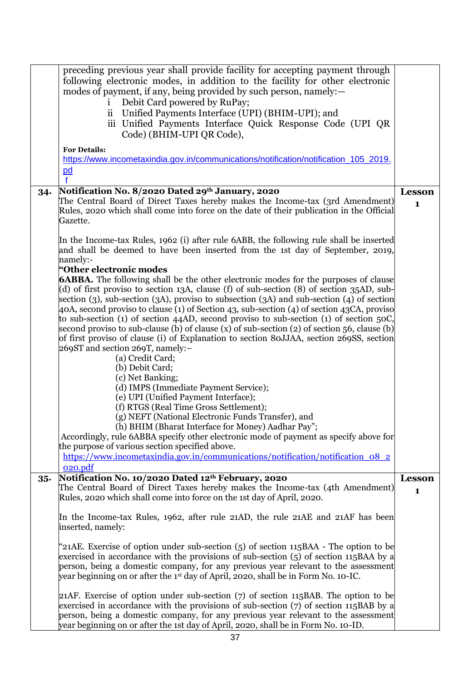|        | preceding previous year shall provide facility for accepting payment through<br>following electronic modes, in addition to the facility for other electronic<br>modes of payment, if any, being provided by such person, namely:—<br>Debit Card powered by RuPay;<br>1<br>$\ddot{\text{ii}}$<br>Unified Payments Interface (UPI) (BHIM-UPI); and<br>iii Unified Payments Interface Quick Response Code (UPI QR<br>Code) (BHIM-UPI QR Code),                                                                                                                                                                                                                                                                                |                               |
|--------|----------------------------------------------------------------------------------------------------------------------------------------------------------------------------------------------------------------------------------------------------------------------------------------------------------------------------------------------------------------------------------------------------------------------------------------------------------------------------------------------------------------------------------------------------------------------------------------------------------------------------------------------------------------------------------------------------------------------------|-------------------------------|
|        | <b>For Details:</b><br>https://www.incometaxindia.gov.in/communications/notification/notification 105 2019.<br>$\underline{\mathsf{pd}}$                                                                                                                                                                                                                                                                                                                                                                                                                                                                                                                                                                                   |                               |
| 34.    | Notification No. 8/2020 Dated 29th January, 2020<br>The Central Board of Direct Taxes hereby makes the Income-tax (3rd Amendment)<br>Rules, 2020 which shall come into force on the date of their publication in the Official<br>Gazette.                                                                                                                                                                                                                                                                                                                                                                                                                                                                                  | <b>Lesson</b><br>$\mathbf{1}$ |
|        | In the Income-tax Rules, 1962 (i) after rule 6ABB, the following rule shall be inserted<br>and shall be deemed to have been inserted from the 1st day of September, 2019,<br>namely:-<br>"Other electronic modes                                                                                                                                                                                                                                                                                                                                                                                                                                                                                                           |                               |
|        | <b>6ABBA.</b> The following shall be the other electronic modes for the purposes of clause<br>(d) of first proviso to section 13A, clause (f) of sub-section (8) of section 35AD, sub-<br>section (3), sub-section (3A), proviso to subsection (3A) and sub-section (4) of section<br>40A, second proviso to clause (1) of Section 43, sub-section (4) of section 43CA, proviso<br>to sub-section (1) of section 44AD, second proviso to sub-section (1) of section 50C,<br>second proviso to sub-clause (b) of clause (x) of sub-section (2) of section 56, clause (b)<br>of first proviso of clause (i) of Explanation to section 80JJAA, section 269SS, section<br>269ST and section 269T, namely:-<br>(a) Credit Card; |                               |
|        | (b) Debit Card;<br>(c) Net Banking;<br>(d) IMPS (Immediate Payment Service);<br>(e) UPI (Unified Payment Interface);<br>(f) RTGS (Real Time Gross Settlement);<br>(g) NEFT (National Electronic Funds Transfer), and<br>(h) BHIM (Bharat Interface for Money) Aadhar Pay";<br>Accordingly, rule 6ABBA specify other electronic mode of payment as specify above for                                                                                                                                                                                                                                                                                                                                                        |                               |
|        | the purpose of various section specified above.<br>https://www.incometaxindia.gov.in/communications/notification/notification 08 2<br>020.pdf                                                                                                                                                                                                                                                                                                                                                                                                                                                                                                                                                                              |                               |
| $35 -$ | Notification No. 10/2020 Dated 12th February, 2020<br>The Central Board of Direct Taxes hereby makes the Income-tax (4th Amendment)<br>Rules, 2020 which shall come into force on the 1st day of April, 2020.                                                                                                                                                                                                                                                                                                                                                                                                                                                                                                              | <b>Lesson</b><br>$\mathbf{1}$ |
|        | In the Income-tax Rules, 1962, after rule 21AD, the rule 21AE and 21AF has been<br>inserted, namely:                                                                                                                                                                                                                                                                                                                                                                                                                                                                                                                                                                                                                       |                               |
|        | '21AE. Exercise of option under sub-section (5) of section 115BAA - The option to be<br>exercised in accordance with the provisions of sub-section (5) of section 115BAA by a<br>person, being a domestic company, for any previous year relevant to the assessment<br>year beginning on or after the 1 <sup>st</sup> day of April, 2020, shall be in Form No. 10-IC.                                                                                                                                                                                                                                                                                                                                                      |                               |
|        | 21AF. Exercise of option under sub-section $(7)$ of section 115BAB. The option to be<br>exercised in accordance with the provisions of sub-section $(7)$ of section 115BAB by a<br>person, being a domestic company, for any previous year relevant to the assessment<br>year beginning on or after the 1st day of April, 2020, shall be in Form No. 10-ID.                                                                                                                                                                                                                                                                                                                                                                |                               |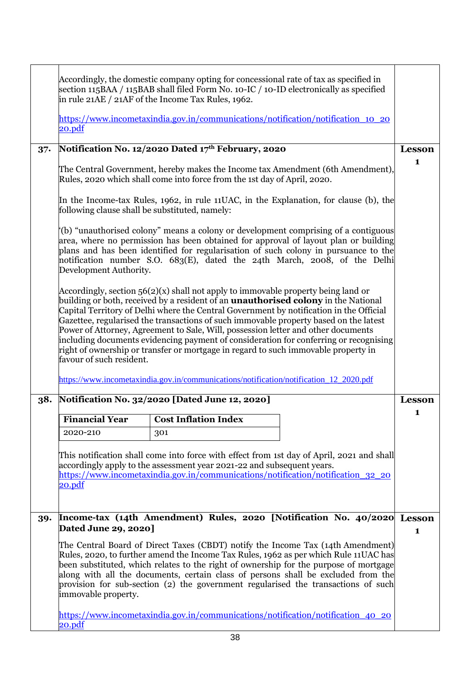|        | Accordingly, the domestic company opting for concessional rate of tax as specified in<br>section 115BAA / 115BAB shall filed Form No. 10-IC / 10-ID electronically as specified<br>in rule 21AE / 21AF of the Income Tax Rules, 1962.<br>https://www.incometaxindia.gov.in/communications/notification/notification 10 20                                                                                                                                                                                                                                                                                                                                                                                                                                      |                                                    |                                                                                                                                                                                                                                                                                                                                               |               |
|--------|----------------------------------------------------------------------------------------------------------------------------------------------------------------------------------------------------------------------------------------------------------------------------------------------------------------------------------------------------------------------------------------------------------------------------------------------------------------------------------------------------------------------------------------------------------------------------------------------------------------------------------------------------------------------------------------------------------------------------------------------------------------|----------------------------------------------------|-----------------------------------------------------------------------------------------------------------------------------------------------------------------------------------------------------------------------------------------------------------------------------------------------------------------------------------------------|---------------|
|        | 20.pdf                                                                                                                                                                                                                                                                                                                                                                                                                                                                                                                                                                                                                                                                                                                                                         |                                                    |                                                                                                                                                                                                                                                                                                                                               |               |
| $37 -$ |                                                                                                                                                                                                                                                                                                                                                                                                                                                                                                                                                                                                                                                                                                                                                                | Notification No. 12/2020 Dated 17th February, 2020 |                                                                                                                                                                                                                                                                                                                                               | <b>Lesson</b> |
|        | The Central Government, hereby makes the Income tax Amendment (6th Amendment),<br>Rules, 2020 which shall come into force from the 1st day of April, 2020.                                                                                                                                                                                                                                                                                                                                                                                                                                                                                                                                                                                                     |                                                    |                                                                                                                                                                                                                                                                                                                                               | 1             |
|        | following clause shall be substituted, namely:                                                                                                                                                                                                                                                                                                                                                                                                                                                                                                                                                                                                                                                                                                                 |                                                    | In the Income-tax Rules, 1962, in rule 11UAC, in the Explanation, for clause (b), the                                                                                                                                                                                                                                                         |               |
|        | Development Authority.                                                                                                                                                                                                                                                                                                                                                                                                                                                                                                                                                                                                                                                                                                                                         |                                                    | (b) "unauthorised colony" means a colony or development comprising of a contiguous<br>area, where no permission has been obtained for approval of layout plan or building<br>plans and has been identified for regularisation of such colony in pursuance to the<br>notification number S.O. 683(E), dated the 24th March, 2008, of the Delhi |               |
|        | Accordingly, section $56(2)(x)$ shall not apply to immovable property being land or<br>building or both, received by a resident of an <b>unauthorised colony</b> in the National<br>Capital Territory of Delhi where the Central Government by notification in the Official<br>Gazettee, regularised the transactions of such immovable property based on the latest<br>Power of Attorney, Agreement to Sale, Will, possession letter and other documents<br>including documents evidencing payment of consideration for conferring or recognising<br>right of ownership or transfer or mortgage in regard to such immovable property in<br>favour of such resident.<br>https://www.incometaxindia.gov.in/communications/notification/notification_12_2020.pdf |                                                    |                                                                                                                                                                                                                                                                                                                                               |               |
| 38.    |                                                                                                                                                                                                                                                                                                                                                                                                                                                                                                                                                                                                                                                                                                                                                                | Notification No. 32/2020 [Dated June 12, 2020]     |                                                                                                                                                                                                                                                                                                                                               | <b>Lesson</b> |
|        | <b>Financial Year</b>                                                                                                                                                                                                                                                                                                                                                                                                                                                                                                                                                                                                                                                                                                                                          | <b>Cost Inflation Index</b>                        |                                                                                                                                                                                                                                                                                                                                               | 1             |
|        | 2020-210                                                                                                                                                                                                                                                                                                                                                                                                                                                                                                                                                                                                                                                                                                                                                       | 301                                                |                                                                                                                                                                                                                                                                                                                                               |               |
|        | This notification shall come into force with effect from 1st day of April, 2021 and shall<br>accordingly apply to the assessment year 2021-22 and subsequent years.<br>https://www.incometaxindia.gov.in/communications/notification/notification 32 20<br>20.pdf                                                                                                                                                                                                                                                                                                                                                                                                                                                                                              |                                                    |                                                                                                                                                                                                                                                                                                                                               |               |
| 39.    | Dated June 29, 2020]                                                                                                                                                                                                                                                                                                                                                                                                                                                                                                                                                                                                                                                                                                                                           |                                                    | Income-tax (14th Amendment) Rules, 2020 [Notification No. 40/2020 Lesson                                                                                                                                                                                                                                                                      | 1             |
|        | The Central Board of Direct Taxes (CBDT) notify the Income Tax (14th Amendment)<br>Rules, 2020, to further amend the Income Tax Rules, 1962 as per which Rule 11UAC has<br>been substituted, which relates to the right of ownership for the purpose of mortgage<br>along with all the documents, certain class of persons shall be excluded from the<br>provision for sub-section (2) the government regularised the transactions of such<br>immovable property.                                                                                                                                                                                                                                                                                              |                                                    |                                                                                                                                                                                                                                                                                                                                               |               |
|        | <u>https://www.incometaxindia.gov.in/communications/notification/notification_40_20</u><br>20.pdf                                                                                                                                                                                                                                                                                                                                                                                                                                                                                                                                                                                                                                                              |                                                    |                                                                                                                                                                                                                                                                                                                                               |               |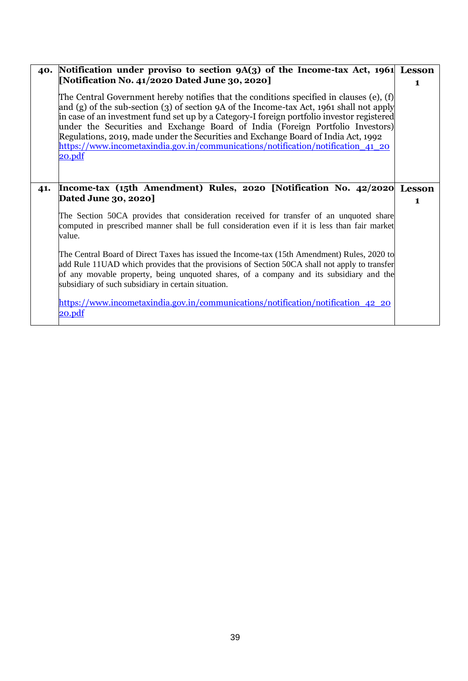|     | 40. Notification under proviso to section 9A(3) of the Income-tax Act, 1961 Lesson                                                                                                                                                                                                                                                                                                                                                                                                                                                                              |               |
|-----|-----------------------------------------------------------------------------------------------------------------------------------------------------------------------------------------------------------------------------------------------------------------------------------------------------------------------------------------------------------------------------------------------------------------------------------------------------------------------------------------------------------------------------------------------------------------|---------------|
|     | [Notification No. 41/2020 Dated June 30, 2020]                                                                                                                                                                                                                                                                                                                                                                                                                                                                                                                  | $\mathbf{1}$  |
|     | The Central Government hereby notifies that the conditions specified in clauses (e), (f)<br>and (g) of the sub-section (3) of section 9A of the Income-tax Act, 1961 shall not apply<br>in case of an investment fund set up by a Category-I foreign portfolio investor registered<br>under the Securities and Exchange Board of India (Foreign Portfolio Investors)<br>Regulations, 2019, made under the Securities and Exchange Board of India Act, 1992<br>https://www.incometaxindia.gov.in/communications/notification/notification 41 20<br><u>20.pdf</u> |               |
| 41. | Income-tax (15th Amendment) Rules, 2020 [Notification No. 42/2020]                                                                                                                                                                                                                                                                                                                                                                                                                                                                                              | <b>Lesson</b> |
|     | Dated June 30, 2020]                                                                                                                                                                                                                                                                                                                                                                                                                                                                                                                                            | $\mathbf{1}$  |
|     | The Section 50CA provides that consideration received for transfer of an unquoted share<br>computed in prescribed manner shall be full consideration even if it is less than fair market<br>value.                                                                                                                                                                                                                                                                                                                                                              |               |
|     | The Central Board of Direct Taxes has issued the Income-tax (15th Amendment) Rules, 2020 to<br>add Rule 11UAD which provides that the provisions of Section 50CA shall not apply to transfer<br>of any movable property, being unquoted shares, of a company and its subsidiary and the<br>subsidiary of such subsidiary in certain situation.                                                                                                                                                                                                                  |               |
|     | https://www.incometaxindia.gov.in/communications/notification/notification 42 20<br><u>20.pdf</u>                                                                                                                                                                                                                                                                                                                                                                                                                                                               |               |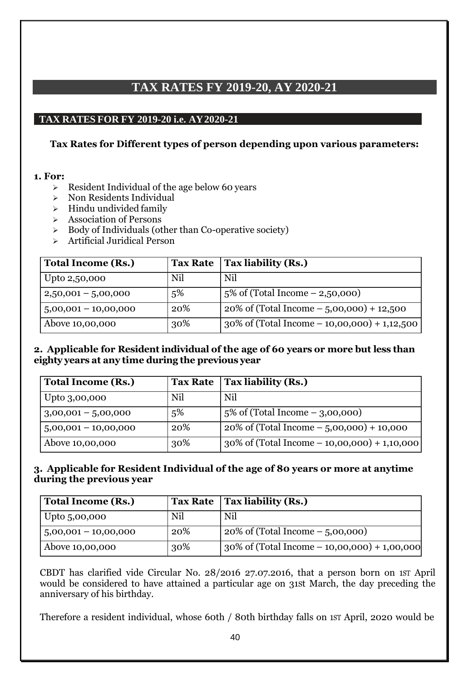# **TAX RATES FY 2019-20, AY 2020-21**

## **TAX RATES FOR FY 2019-20 i.e. AY2020-21**

### **Tax Rates for Different types of person depending upon various parameters:**

#### **1. For:**

- ➢ Resident Individual of the age below 60 years
- ➢ Non Residents Individual
- $\triangleright$  Hindu undivided family
- ➢ Association of Persons
- $\geq$  Body of Individuals (other than Co-operative society)
- ➢ Artificial Juridical Person

| <b>Total Income (Rs.)</b> |     | Tax Rate $ $ Tax liability (Rs.)                |
|---------------------------|-----|-------------------------------------------------|
| Upto 2,50,000             | Nil | Nil                                             |
| $2,50,001 - 5,00,000$     | 5%  | $5\%$ of (Total Income $- 2,50,000$ )           |
| $5,00,001 - 10,00,000$    | 20% | $20\%$ of (Total Income $-5,00,000$ ) + 12,500  |
| Above 10,00,000           | 30% | $30\%$ of (Total Income – 10,00,000) + 1,12,500 |

#### **2. Applicable for Resident individual of the age of 60 years or more but less than eighty years at any time during the previous year**

| <b>Total Income (Rs.)</b> |     | Tax Rate $ $ Tax liability (Rs.)                     |
|---------------------------|-----|------------------------------------------------------|
| Upto 3,00,000             | Nil | Nil                                                  |
| $3,00,001 - 5,00,000$     | 5%  | $\frac{1}{2}$ s of (Total Income – 3,00,000)         |
| $5,00,001 - 10,00,000$    | 20% | $20\%$ of (Total Income $-5,00,000$ ) + 10,000       |
| Above 10,00,000           | 30% | $\vert$ 30% of (Total Income – 10,00,000) + 1,10,000 |

### **3. Applicable for Resident Individual of the age of 80 years or more at anytime during the previous year**

| <b>Total Income (Rs.)</b> |     | Tax Rate $ $ Tax liability (Rs.)                    |
|---------------------------|-----|-----------------------------------------------------|
| Upto $5,00,000$           | Nil | Nil                                                 |
| $5,00,001 - 10,00,000$    | 20% | $20\%$ of (Total Income $-5,00,000$ )               |
| Above 10,00,000           | 30% | $\int$ 30% of (Total Income – 10,00,000) + 1,00,000 |

CBDT has clarified vide Circular No. 28/2016 27.07.2016, that a person born on 1ST April would be considered to have attained a particular age on 31St March, the day preceding the anniversary of his birthday.

Therefore a resident individual, whose 60th / 80th birthday falls on 1ST April, 2020 would be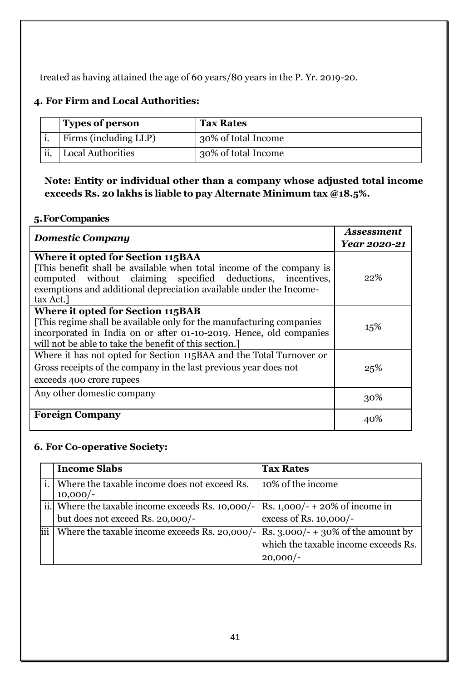treated as having attained the age of 60 years/80 years in the P. Yr. 2019-20.

# **4. For Firm and Local Authorities:**

|     | <b>Types of person</b>   | <b>Tax Rates</b>    |
|-----|--------------------------|---------------------|
|     | Firms (including LLP)    | 30% of total Income |
| ii. | <b>Local Authorities</b> | 30% of total Income |

**Note: Entity or individual other than a company whose adjusted total income exceeds Rs. 20 lakhs is liable to pay Alternate Minimum tax @18.5%.**

## **5.ForCompanies**

| <b>Domestic Company</b>                                                                                                                                                                                                                                     | <b>Assessment</b> |
|-------------------------------------------------------------------------------------------------------------------------------------------------------------------------------------------------------------------------------------------------------------|-------------------|
|                                                                                                                                                                                                                                                             | Year 2020-21      |
| Where it opted for Section 115BAA<br>[This benefit shall be available when total income of the company is<br>computed without claiming specified deductions, incentives,<br>exemptions and additional depreciation available under the Income-<br>tax Act.] | 22%               |
| Where it opted for Section 115BAB<br>[This regime shall be available only for the manufacturing companies]<br>incorporated in India on or after 01-10-2019. Hence, old companies<br>will not be able to take the benefit of this section.                   | 15%               |
| Where it has not opted for Section 115BAA and the Total Turnover or<br>Gross receipts of the company in the last previous year does not<br>exceeds 400 crore rupees                                                                                         | 25%               |
| Any other domestic company                                                                                                                                                                                                                                  | 30%               |
| <b>Foreign Company</b>                                                                                                                                                                                                                                      | 40%               |

## **6. For Co-operative Society:**

|                                                            |  | <b>Income Slabs</b>                                                                                                    | <b>Tax Rates</b>                                   |
|------------------------------------------------------------|--|------------------------------------------------------------------------------------------------------------------------|----------------------------------------------------|
| Where the taxable income does not exceed Rs.<br>$10,000/-$ |  |                                                                                                                        | 10% of the income                                  |
|                                                            |  | ii. Where the taxable income exceeds Rs. 10,000/-   Rs. 1,000/- + 20% of income in<br>but does not exceed Rs. 20,000/- | excess of Rs. 10,000/-                             |
|                                                            |  | Where the taxable income exceeds Rs. 20,000/- Rs. 3.000/- + 30% of the amount by                                       | which the taxable income exceeds Rs.<br>$20,000/-$ |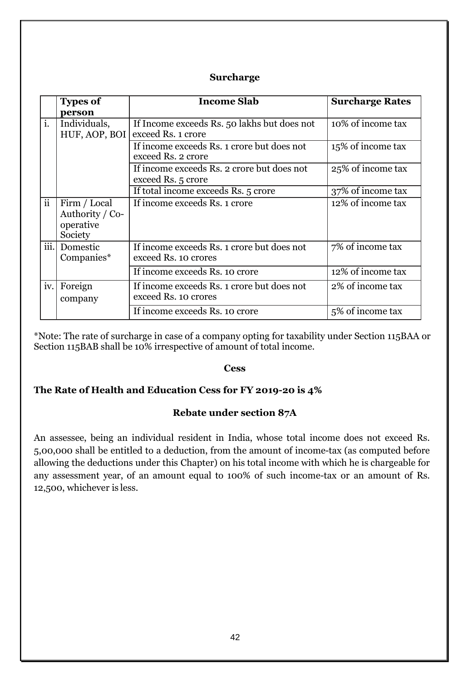#### **Surcharge**

|                 | <b>Types of</b>                                         | <b>Income Slab</b>                                                 | <b>Surcharge Rates</b> |
|-----------------|---------------------------------------------------------|--------------------------------------------------------------------|------------------------|
|                 | person                                                  |                                                                    |                        |
| i.              | Individuals,<br>HUF, AOP, BOI                           | If Income exceeds Rs. 50 lakhs but does not<br>exceed Rs. 1 crore  | 10% of income tax      |
|                 |                                                         | If income exceeds Rs. 1 crore but does not<br>exceed Rs. 2 crore   | 15% of income tax      |
|                 |                                                         | If income exceeds Rs. 2 crore but does not<br>exceed Rs. 5 crore   | 25% of income tax      |
|                 |                                                         | If total income exceeds Rs. 5 crore                                | 37% of income tax      |
| $\ddot{\rm ii}$ | Firm / Local<br>Authority / Co-<br>operative<br>Society | If income exceeds Rs. 1 crore                                      | 12% of income tax      |
|                 | iii. Domestic<br>Companies*                             | If income exceeds Rs. 1 crore but does not<br>exceed Rs. 10 crores | 7% of income tax       |
|                 |                                                         | If income exceeds Rs. 10 crore                                     | 12% of income tax      |
|                 | iv. Foreign<br>company                                  | If income exceeds Rs. 1 crore but does not<br>exceed Rs. 10 crores | 2% of income tax       |
|                 |                                                         | If income exceeds Rs. 10 crore                                     | 5% of income tax       |

\*Note: The rate of surcharge in case of a company opting for taxability under Section 115BAA or Section 115BAB shall be 10% irrespective of amount of total income.

#### **Cess**

#### **The Rate of Health and Education Cess for FY 2019-20 is 4%**

#### **Rebate under section 87A**

An assessee, being an individual resident in India, whose total income does not exceed Rs. 5,00,000 shall be entitled to a deduction, from the amount of income-tax (as computed before allowing the deductions under this Chapter) on his total income with which he is chargeable for any assessment year, of an amount equal to 100% of such income-tax or an amount of Rs. 12,500, whichever is less.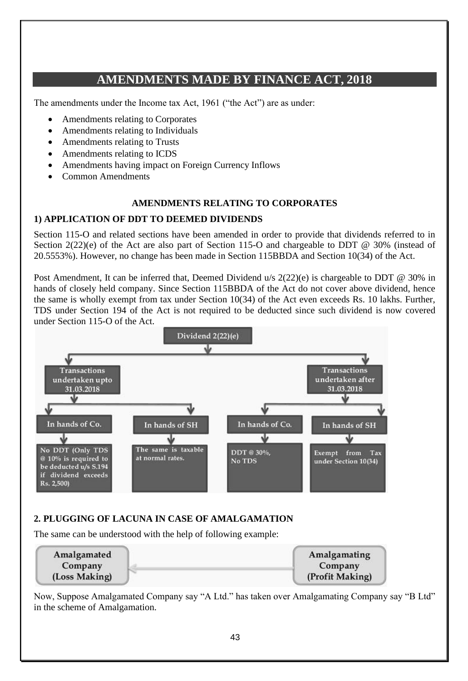# **AMENDMENTS MADE BY FINANCE ACT, 2018**

The amendments under the Income tax Act, 1961 ("the Act") are as under:

- Amendments relating to Corporates
- Amendments relating to Individuals
- Amendments relating to Trusts
- Amendments relating to ICDS
- Amendments having impact on Foreign Currency Inflows
- Common Amendments

#### **AMENDMENTS RELATING TO CORPORATES**

#### **1) APPLICATION OF DDT TO DEEMED DIVIDENDS**

Section 115-O and related sections have been amended in order to provide that dividends referred to in Section 2(22)(e) of the Act are also part of Section 115-O and chargeable to DDT @ 30% (instead of 20.5553%). However, no change has been made in Section 115BBDA and Section 10(34) of the Act.

Post Amendment, It can be inferred that, Deemed Dividend u/s  $2(22)(e)$  is chargeable to DDT @ 30% in hands of closely held company. Since Section 115BBDA of the Act do not cover above dividend, hence the same is wholly exempt from tax under Section 10(34) of the Act even exceeds Rs. 10 lakhs. Further, TDS under Section 194 of the Act is not required to be deducted since such dividend is now covered under Section 115-O of the Act.



## **2. PLUGGING OF LACUNA IN CASE OF AMALGAMATION**

The same can be understood with the help of following example:

| Amalgamated   | Amalgamating    |
|---------------|-----------------|
| Company       | Company         |
| (Loss Making) | (Profit Making) |

Now, Suppose Amalgamated Company say "A Ltd." has taken over Amalgamating Company say "B Ltd" in the scheme of Amalgamation.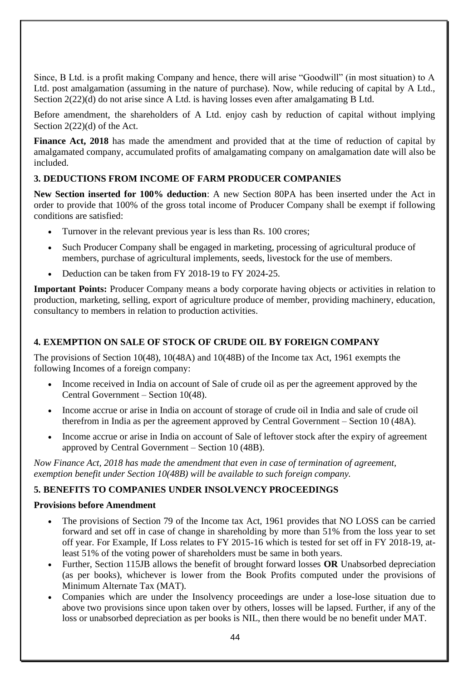Since, B Ltd. is a profit making Company and hence, there will arise "Goodwill" (in most situation) to A Ltd. post amalgamation (assuming in the nature of purchase). Now, while reducing of capital by A Ltd., Section 2(22)(d) do not arise since A Ltd. is having losses even after amalgamating B Ltd.

Before amendment, the shareholders of A Ltd. enjoy cash by reduction of capital without implying Section 2(22)(d) of the Act.

**Finance Act, 2018** has made the amendment and provided that at the time of reduction of capital by amalgamated company, accumulated profits of amalgamating company on amalgamation date will also be included.

### **3. DEDUCTIONS FROM INCOME OF FARM PRODUCER COMPANIES**

**New Section inserted for 100% deduction**: A new Section 80PA has been inserted under the Act in order to provide that 100% of the gross total income of Producer Company shall be exempt if following conditions are satisfied:

- Turnover in the relevant previous year is less than Rs. 100 crores;
- Such Producer Company shall be engaged in marketing, processing of agricultural produce of members, purchase of agricultural implements, seeds, livestock for the use of members.
- Deduction can be taken from FY 2018-19 to FY 2024-25.

**Important Points:** Producer Company means a body corporate having objects or activities in relation to production, marketing, selling, export of agriculture produce of member, providing machinery, education, consultancy to members in relation to production activities.

## **4. EXEMPTION ON SALE OF STOCK OF CRUDE OIL BY FOREIGN COMPANY**

The provisions of Section 10(48), 10(48A) and 10(48B) of the Income tax Act, 1961 exempts the following Incomes of a foreign company:

- Income received in India on account of Sale of crude oil as per the agreement approved by the Central Government – Section 10(48).
- Income accrue or arise in India on account of storage of crude oil in India and sale of crude oil therefrom in India as per the agreement approved by Central Government – Section 10 (48A).
- Income accrue or arise in India on account of Sale of leftover stock after the expiry of agreement approved by Central Government – Section 10 (48B).

*Now Finance Act, 2018 has made the amendment that even in case of termination of agreement, exemption benefit under Section 10(48B) will be available to such foreign company.* 

#### **5. BENEFITS TO COMPANIES UNDER INSOLVENCY PROCEEDINGS**

#### **Provisions before Amendment**

- The provisions of Section 79 of the Income tax Act, 1961 provides that NO LOSS can be carried forward and set off in case of change in shareholding by more than 51% from the loss year to set off year. For Example, If Loss relates to FY 2015-16 which is tested for set off in FY 2018-19, atleast 51% of the voting power of shareholders must be same in both years.
- Further, Section 115JB allows the benefit of brought forward losses **OR** Unabsorbed depreciation (as per books), whichever is lower from the Book Profits computed under the provisions of Minimum Alternate Tax (MAT).
- Companies which are under the Insolvency proceedings are under a lose-lose situation due to above two provisions since upon taken over by others, losses will be lapsed. Further, if any of the loss or unabsorbed depreciation as per books is NIL, then there would be no benefit under MAT.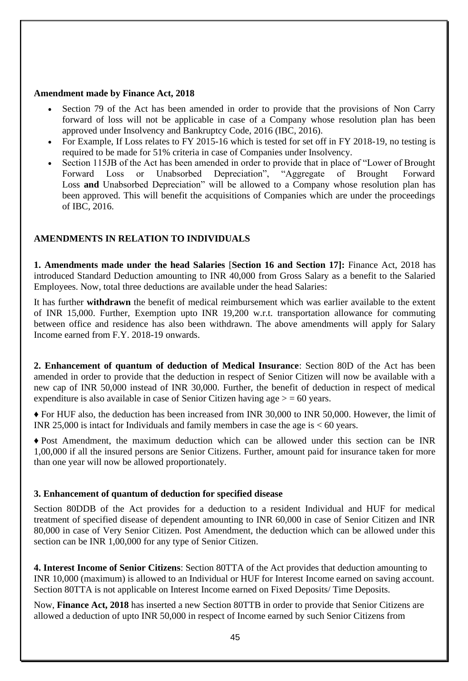#### **Amendment made by Finance Act, 2018**

- Section 79 of the Act has been amended in order to provide that the provisions of Non Carry forward of loss will not be applicable in case of a Company whose resolution plan has been approved under Insolvency and Bankruptcy Code, 2016 (IBC, 2016).
- For Example, If Loss relates to FY 2015-16 which is tested for set off in FY 2018-19, no testing is required to be made for 51% criteria in case of Companies under Insolvency.
- Section 115JB of the Act has been amended in order to provide that in place of "Lower of Brought Forward Loss or Unabsorbed Depreciation", "Aggregate of Brought Forward Loss **and** Unabsorbed Depreciation" will be allowed to a Company whose resolution plan has been approved. This will benefit the acquisitions of Companies which are under the proceedings of IBC, 2016.

#### **AMENDMENTS IN RELATION TO INDIVIDUALS**

**1. Amendments made under the head Salaries** [**Section 16 and Section 17]:** Finance Act, 2018 has introduced Standard Deduction amounting to INR 40,000 from Gross Salary as a benefit to the Salaried Employees. Now, total three deductions are available under the head Salaries:

It has further **withdrawn** the benefit of medical reimbursement which was earlier available to the extent of INR 15,000. Further, Exemption upto INR 19,200 w.r.t. transportation allowance for commuting between office and residence has also been withdrawn. The above amendments will apply for Salary Income earned from F.Y. 2018-19 onwards.

**2. Enhancement of quantum of deduction of Medical Insurance**: Section 80D of the Act has been amended in order to provide that the deduction in respect of Senior Citizen will now be available with a new cap of INR 50,000 instead of INR 30,000. Further, the benefit of deduction in respect of medical expenditure is also available in case of Senior Citizen having age  $>$  = 60 years.

**♦** For HUF also, the deduction has been increased from INR 30,000 to INR 50,000. However, the limit of INR 25,000 is intact for Individuals and family members in case the age is  $< 60$  years.

**♦** Post Amendment, the maximum deduction which can be allowed under this section can be INR 1,00,000 if all the insured persons are Senior Citizens. Further, amount paid for insurance taken for more than one year will now be allowed proportionately.

#### **3. Enhancement of quantum of deduction for specified disease**

Section 80DDB of the Act provides for a deduction to a resident Individual and HUF for medical treatment of specified disease of dependent amounting to INR 60,000 in case of Senior Citizen and INR 80,000 in case of Very Senior Citizen. Post Amendment, the deduction which can be allowed under this section can be INR 1,00,000 for any type of Senior Citizen.

**4. Interest Income of Senior Citizens**: Section 80TTA of the Act provides that deduction amounting to INR 10,000 (maximum) is allowed to an Individual or HUF for Interest Income earned on saving account. Section 80TTA is not applicable on Interest Income earned on Fixed Deposits/ Time Deposits.

Now, **Finance Act, 2018** has inserted a new Section 80TTB in order to provide that Senior Citizens are allowed a deduction of upto INR 50,000 in respect of Income earned by such Senior Citizens from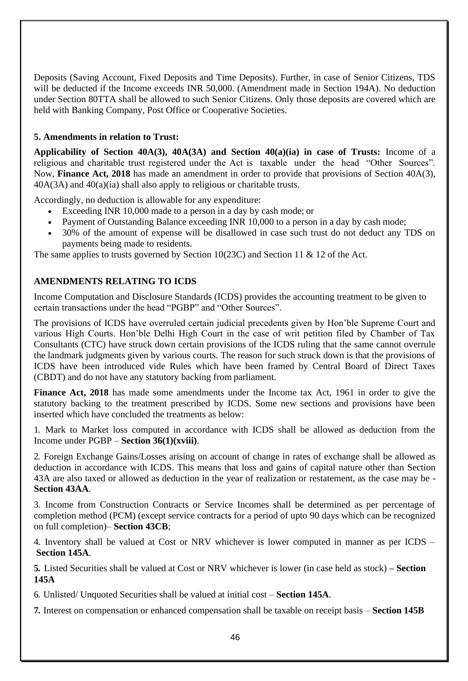Deposits (Saving Account, Fixed Deposits and Time Deposits). Further, in case of Senior Citizens, TDS will be deducted if the Income exceeds INR 50,000. (Amendment made in Section 194A). No deduction under Section 80TTA shall be allowed to such Senior Citizens. Only those deposits are covered which are held with Banking Company, Post Office or Cooperative Societies.

#### **5. Amendments in relation to Trust:**

**Applicability of Section 40A(3), 40A(3A) and Section 40(a)(ia) in case of Trusts:** Income of a religious and charitable trust registered under the Act is taxable under the head "Other Sources". Now, **Finance Act, 2018** has made an amendment in order to provide that provisions of Section 40A(3), 40A(3A) and 40(a)(ia) shall also apply to religious or charitable trusts.

Accordingly, no deduction is allowable for any expenditure:

- Exceeding INR 10,000 made to a person in a day by cash mode; or
- Payment of Outstanding Balance exceeding INR 10,000 to a person in a day by cash mode;
- 30% of the amount of expense will be disallowed in case such trust do not deduct any TDS on payments being made to residents.

The same applies to trusts governed by Section 10(23C) and Section 11 & 12 of the Act.

### **AMENDMENTS RELATING TO ICDS**

Income Computation and Disclosure Standards (ICDS) provides the accounting treatment to be given to certain transactions under the head "PGBP" and "Other Sources".

The provisions of ICDS have overruled certain judicial precedents given by Hon'ble Supreme Court and various High Courts. Hon'ble Delhi High Court in the case of writ petition filed by Chamber of Tax Consultants (CTC) have struck down certain provisions of the ICDS ruling that the same cannot overrule the landmark judgments given by various courts. The reason for such struck down is that the provisions of ICDS have been introduced vide Rules which have been framed by Central Board of Direct Taxes (CBDT) and do not have any statutory backing from parliament.

**Finance Act, 2018** has made some amendments under the Income tax Act, 1961 in order to give the statutory backing to the treatment prescribed by ICDS. Some new sections and provisions have been inserted which have concluded the treatments as below:

1. Mark to Market loss computed in accordance with ICDS shall be allowed as deduction from the Income under PGBP – **Section 36(1)(xviii)**.

2. Foreign Exchange Gains/Losses arising on account of change in rates of exchange shall be allowed as deduction in accordance with ICDS. This means that loss and gains of capital nature other than Section 43A are also taxed or allowed as deduction in the year of realization or restatement, as the case may be - **Section 43AA**.

3. Income from Construction Contracts or Service Incomes shall be determined as per percentage of completion method (PCM) (except service contracts for a period of upto 90 days which can be recognized on full completion)– **Section 43CB**;

4. Inventory shall be valued at Cost or NRV whichever is lower computed in manner as per ICDS – **Section 145A**.

**5.** Listed Securities shall be valued at Cost or NRV whichever is lower (in case held as stock) **– Section 145A**

6. Unlisted/ Unquoted Securities shall be valued at initial cost – **Section 145A**.

**7.** Interest on compensation or enhanced compensation shall be taxable on receipt basis – **Section 145B**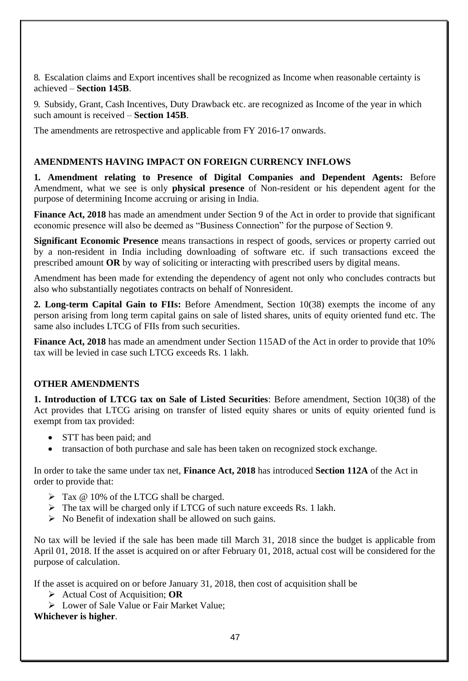8. Escalation claims and Export incentives shall be recognized as Income when reasonable certainty is achieved – **Section 145B**.

9. Subsidy, Grant, Cash Incentives, Duty Drawback etc. are recognized as Income of the year in which such amount is received – **Section 145B**.

The amendments are retrospective and applicable from FY 2016-17 onwards.

#### **AMENDMENTS HAVING IMPACT ON FOREIGN CURRENCY INFLOWS**

**1. Amendment relating to Presence of Digital Companies and Dependent Agents:** Before Amendment, what we see is only **physical presence** of Non-resident or his dependent agent for the purpose of determining Income accruing or arising in India.

**Finance Act, 2018** has made an amendment under Section 9 of the Act in order to provide that significant economic presence will also be deemed as "Business Connection" for the purpose of Section 9.

**Significant Economic Presence** means transactions in respect of goods, services or property carried out by a non-resident in India including downloading of software etc. if such transactions exceed the prescribed amount **OR** by way of soliciting or interacting with prescribed users by digital means.

Amendment has been made for extending the dependency of agent not only who concludes contracts but also who substantially negotiates contracts on behalf of Nonresident.

**2. Long-term Capital Gain to FIIs:** Before Amendment, Section 10(38) exempts the income of any person arising from long term capital gains on sale of listed shares, units of equity oriented fund etc. The same also includes LTCG of FIIs from such securities.

**Finance Act, 2018** has made an amendment under Section 115AD of the Act in order to provide that 10% tax will be levied in case such LTCG exceeds Rs. 1 lakh.

#### **OTHER AMENDMENTS**

**1. Introduction of LTCG tax on Sale of Listed Securities**: Before amendment, Section 10(38) of the Act provides that LTCG arising on transfer of listed equity shares or units of equity oriented fund is exempt from tax provided:

- STT has been paid; and
- transaction of both purchase and sale has been taken on recognized stock exchange.

In order to take the same under tax net, **Finance Act, 2018** has introduced **Section 112A** of the Act in order to provide that:

- $\triangleright$  Tax @ 10% of the LTCG shall be charged.
- $\triangleright$  The tax will be charged only if LTCG of such nature exceeds Rs. 1 lakh.
- ➢ No Benefit of indexation shall be allowed on such gains.

No tax will be levied if the sale has been made till March 31, 2018 since the budget is applicable from April 01, 2018. If the asset is acquired on or after February 01, 2018, actual cost will be considered for the purpose of calculation.

If the asset is acquired on or before January 31, 2018, then cost of acquisition shall be

➢ Actual Cost of Acquisition; **OR**

➢ Lower of Sale Value or Fair Market Value;

**Whichever is higher**.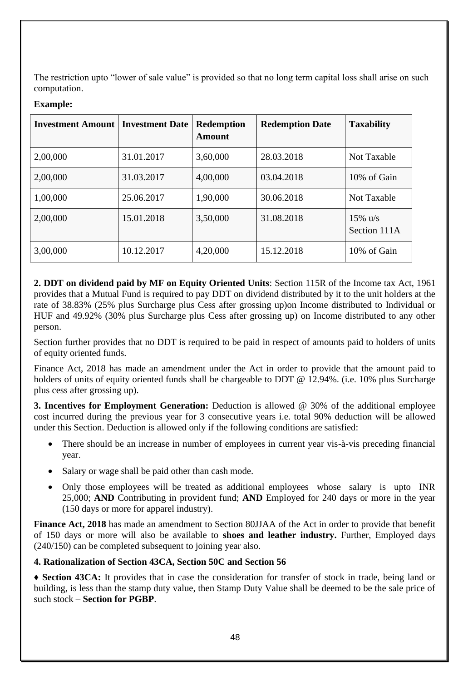The restriction upto "lower of sale value" is provided so that no long term capital loss shall arise on such computation.

| <b>Investment Amount</b> | <b>Investment Date</b> | <b>Redemption</b><br><b>Amount</b> | <b>Redemption Date</b> | <b>Taxability</b>         |
|--------------------------|------------------------|------------------------------------|------------------------|---------------------------|
| 2,00,000                 | 31.01.2017             | 3,60,000                           | 28.03.2018             | <b>Not Taxable</b>        |
| 2,00,000                 | 31.03.2017             | 4,00,000                           | 03.04.2018             | 10% of Gain               |
| 1,00,000                 | 25.06.2017             | 1,90,000                           | 30.06.2018             | <b>Not Taxable</b>        |
| 2,00,000                 | 15.01.2018             | 3,50,000                           | 31.08.2018             | 15% $u/s$<br>Section 111A |
| 3,00,000                 | 10.12.2017             | 4,20,000                           | 15.12.2018             | 10% of Gain               |

#### **Example:**

**2. DDT on dividend paid by MF on Equity Oriented Units**: Section 115R of the Income tax Act, 1961 provides that a Mutual Fund is required to pay DDT on dividend distributed by it to the unit holders at the rate of 38.83% (25% plus Surcharge plus Cess after grossing up)on Income distributed to Individual or HUF and 49.92% (30% plus Surcharge plus Cess after grossing up) on Income distributed to any other person.

Section further provides that no DDT is required to be paid in respect of amounts paid to holders of units of equity oriented funds.

Finance Act, 2018 has made an amendment under the Act in order to provide that the amount paid to holders of units of equity oriented funds shall be chargeable to DDT @ 12.94%. (i.e. 10% plus Surcharge plus cess after grossing up).

**3. Incentives for Employment Generation:** Deduction is allowed @ 30% of the additional employee cost incurred during the previous year for 3 consecutive years i.e. total 90% deduction will be allowed under this Section. Deduction is allowed only if the following conditions are satisfied:

- There should be an increase in number of employees in current year vis-à-vis preceding financial year.
- Salary or wage shall be paid other than cash mode.
- Only those employees will be treated as additional employees whose salary is upto INR 25,000; **AND** Contributing in provident fund; **AND** Employed for 240 days or more in the year (150 days or more for apparel industry).

**Finance Act, 2018** has made an amendment to Section 80JJAA of the Act in order to provide that benefit of 150 days or more will also be available to **shoes and leather industry.** Further, Employed days (240/150) can be completed subsequent to joining year also.

#### **4. Rationalization of Section 43CA, Section 50C and Section 56**

**♦ Section 43CA:** It provides that in case the consideration for transfer of stock in trade, being land or building, is less than the stamp duty value, then Stamp Duty Value shall be deemed to be the sale price of such stock – **Section for PGBP**.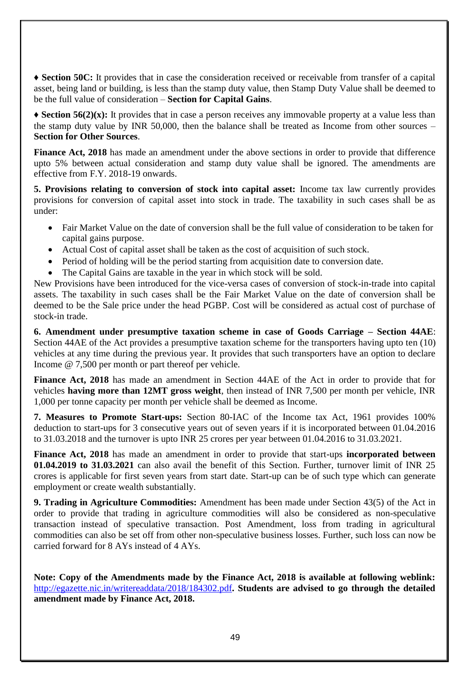**♦ Section 50C:** It provides that in case the consideration received or receivable from transfer of a capital asset, being land or building, is less than the stamp duty value, then Stamp Duty Value shall be deemed to be the full value of consideration – **Section for Capital Gains**.

**♦ Section 56(2)(x):** It provides that in case a person receives any immovable property at a value less than the stamp duty value by INR 50,000, then the balance shall be treated as Income from other sources – **Section for Other Sources**.

**Finance Act, 2018** has made an amendment under the above sections in order to provide that difference upto 5% between actual consideration and stamp duty value shall be ignored. The amendments are effective from F.Y. 2018-19 onwards.

**5. Provisions relating to conversion of stock into capital asset:** Income tax law currently provides provisions for conversion of capital asset into stock in trade. The taxability in such cases shall be as under:

- Fair Market Value on the date of conversion shall be the full value of consideration to be taken for capital gains purpose.
- Actual Cost of capital asset shall be taken as the cost of acquisition of such stock.
- Period of holding will be the period starting from acquisition date to conversion date.
- The Capital Gains are taxable in the year in which stock will be sold.

New Provisions have been introduced for the vice-versa cases of conversion of stock-in-trade into capital assets. The taxability in such cases shall be the Fair Market Value on the date of conversion shall be deemed to be the Sale price under the head PGBP. Cost will be considered as actual cost of purchase of stock-in trade.

**6. Amendment under presumptive taxation scheme in case of Goods Carriage – Section 44AE**: Section 44AE of the Act provides a presumptive taxation scheme for the transporters having upto ten (10) vehicles at any time during the previous year. It provides that such transporters have an option to declare Income @ 7,500 per month or part thereof per vehicle.

**Finance Act, 2018** has made an amendment in Section 44AE of the Act in order to provide that for vehicles **having more than 12MT gross weight**, then instead of INR 7,500 per month per vehicle, INR 1,000 per tonne capacity per month per vehicle shall be deemed as Income.

**7. Measures to Promote Start-ups:** Section 80-IAC of the Income tax Act, 1961 provides 100% deduction to start-ups for 3 consecutive years out of seven years if it is incorporated between 01.04.2016 to 31.03.2018 and the turnover is upto INR 25 crores per year between 01.04.2016 to 31.03.2021.

**Finance Act, 2018** has made an amendment in order to provide that start-ups **incorporated between 01.04.2019 to 31.03.2021** can also avail the benefit of this Section. Further, turnover limit of INR 25 crores is applicable for first seven years from start date. Start-up can be of such type which can generate employment or create wealth substantially.

**9. Trading in Agriculture Commodities:** Amendment has been made under Section 43(5) of the Act in order to provide that trading in agriculture commodities will also be considered as non-speculative transaction instead of speculative transaction. Post Amendment, loss from trading in agricultural commodities can also be set off from other non-speculative business losses. Further, such loss can now be carried forward for 8 AYs instead of 4 AYs.

**Note: Copy of the Amendments made by the Finance Act, 2018 is available at following weblink:**  http://egazette.nic.in/writereaddata/2018/184302.pdf**. Students are advised to go through the detailed amendment made by Finance Act, 2018.**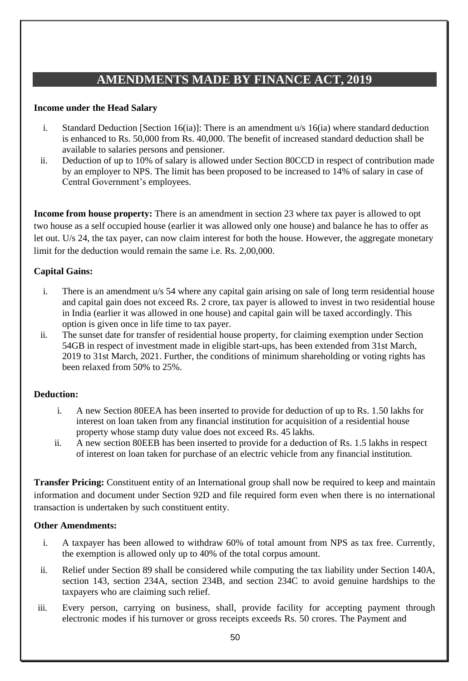# **AMENDMENTS MADE BY FINANCE ACT, 2019**

#### **Income under the Head Salary**

- i. Standard Deduction [Section 16(ia)]: There is an amendment u/s 16(ia) where standard deduction is enhanced to Rs. 50,000 from Rs. 40,000. The benefit of increased standard deduction shall be available to salaries persons and pensioner.
- ii. Deduction of up to 10% of salary is allowed under Section 80CCD in respect of contribution made by an employer to NPS. The limit has been proposed to be increased to 14% of salary in case of Central Government's employees.

**Income from house property:** There is an amendment in section 23 where tax payer is allowed to opt two house as a self occupied house (earlier it was allowed only one house) and balance he has to offer as let out. U/s 24, the tax payer, can now claim interest for both the house. However, the aggregate monetary limit for the deduction would remain the same i.e. Rs. 2,00,000.

### **Capital Gains:**

- i. There is an amendment u/s 54 where any capital gain arising on sale of long term residential house and capital gain does not exceed Rs. 2 crore, tax payer is allowed to invest in two residential house in India (earlier it was allowed in one house) and capital gain will be taxed accordingly. This option is given once in life time to tax payer.
- ii. The sunset date for transfer of residential house property, for claiming exemption under Section 54GB in respect of investment made in eligible start-ups, has been extended from 31st March, 2019 to 31st March, 2021. Further, the conditions of minimum shareholding or voting rights has been relaxed from 50% to 25%.

#### **Deduction:**

- i. A new Section 80EEA has been inserted to provide for deduction of up to Rs. 1.50 lakhs for interest on loan taken from any financial institution for acquisition of a residential house property whose stamp duty value does not exceed Rs. 45 lakhs.
- ii. A new section 80EEB has been inserted to provide for a deduction of Rs. 1.5 lakhs in respect of interest on loan taken for purchase of an electric vehicle from any financial institution.

**Transfer Pricing:** Constituent entity of an International group shall now be required to keep and maintain information and document under Section 92D and file required form even when there is no international transaction is undertaken by such constituent entity.

#### **Other Amendments:**

- i. A taxpayer has been allowed to withdraw 60% of total amount from NPS as tax free. Currently, the exemption is allowed only up to 40% of the total corpus amount.
- ii. Relief under Section 89 shall be considered while computing the tax liability under Section 140A, section 143, section 234A, section 234B, and section 234C to avoid genuine hardships to the taxpayers who are claiming such relief.
- iii. Every person, carrying on business, shall, provide facility for accepting payment through electronic modes if his turnover or gross receipts exceeds Rs. 50 crores. The Payment and